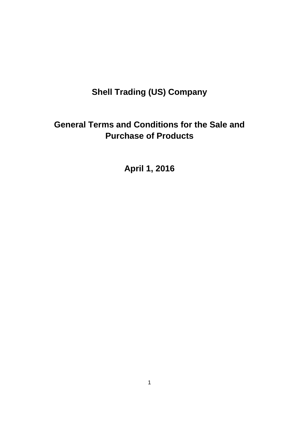# **Shell Trading (US) Company**

# **General Terms and Conditions for the Sale and Purchase of Products**

**April 1, 2016**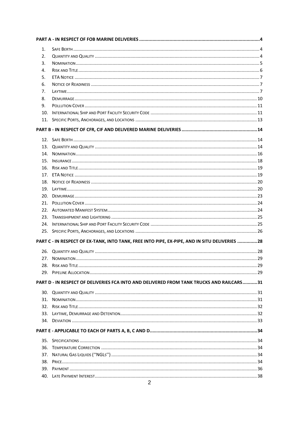| 1.  |                                                                                               |  |
|-----|-----------------------------------------------------------------------------------------------|--|
| 2.  |                                                                                               |  |
| 3.  |                                                                                               |  |
| 4.  |                                                                                               |  |
| 5.  |                                                                                               |  |
| 6.  |                                                                                               |  |
| 7.  |                                                                                               |  |
| 8.  |                                                                                               |  |
| 9.  |                                                                                               |  |
| 10. |                                                                                               |  |
|     |                                                                                               |  |
|     |                                                                                               |  |
|     |                                                                                               |  |
|     |                                                                                               |  |
| 14. |                                                                                               |  |
|     |                                                                                               |  |
| 16. |                                                                                               |  |
| 17. |                                                                                               |  |
| 18. |                                                                                               |  |
|     |                                                                                               |  |
| 20. |                                                                                               |  |
|     |                                                                                               |  |
|     |                                                                                               |  |
|     |                                                                                               |  |
|     |                                                                                               |  |
|     |                                                                                               |  |
|     | PART C - IN RESPECT OF EX-TANK, INTO TANK, FREE INTO PIPE, EX-PIPE, AND IN SITU DELIVERIES 28 |  |
|     |                                                                                               |  |
|     |                                                                                               |  |
|     |                                                                                               |  |
|     |                                                                                               |  |
|     |                                                                                               |  |
|     | PART D - IN RESPECT OF DELIVERIES FCA INTO AND DELIVERED FROM TANK TRUCKS AND RAILCARS31      |  |
| 30. |                                                                                               |  |
| 31. |                                                                                               |  |
| 32. |                                                                                               |  |
|     |                                                                                               |  |
|     |                                                                                               |  |
|     |                                                                                               |  |
| 35. |                                                                                               |  |
| 36. |                                                                                               |  |
| 37. |                                                                                               |  |
| 38. |                                                                                               |  |
|     |                                                                                               |  |
|     |                                                                                               |  |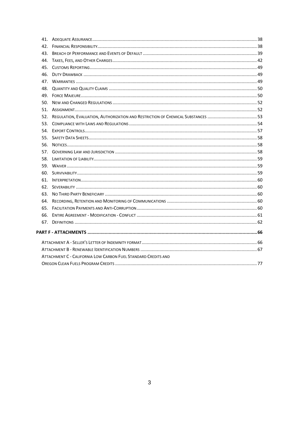| 43.                                                            |  |
|----------------------------------------------------------------|--|
|                                                                |  |
|                                                                |  |
| 46.                                                            |  |
|                                                                |  |
|                                                                |  |
|                                                                |  |
|                                                                |  |
|                                                                |  |
|                                                                |  |
| 53.                                                            |  |
|                                                                |  |
|                                                                |  |
| 56.                                                            |  |
|                                                                |  |
|                                                                |  |
|                                                                |  |
|                                                                |  |
|                                                                |  |
|                                                                |  |
|                                                                |  |
|                                                                |  |
|                                                                |  |
|                                                                |  |
|                                                                |  |
|                                                                |  |
|                                                                |  |
|                                                                |  |
| ATTACHMENT C - CALIFORNIA LOW CARBON FUEL STANDARD CREDITS AND |  |
|                                                                |  |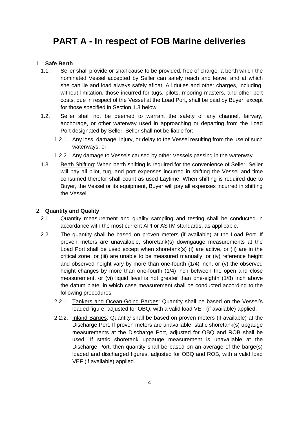# <span id="page-3-0"></span>**PART A - In respect of FOB Marine deliveries**

# <span id="page-3-1"></span>1. **Safe Berth**

- 1.1. Seller shall provide or shall cause to be provided, free of charge, a berth which the nominated Vessel accepted by Seller can safely reach and leave, and at which she can lie and load always safely afloat. All duties and other charges, including, without limitation, those incurred for tugs, pilots, mooring masters, and other port costs, due in respect of the Vessel at the Load Port, shall be paid by Buyer, except for those specified in Section 1.3 below.
- 1.2. Seller shall not be deemed to warrant the safety of any channel, fairway, anchorage, or other waterway used in approaching or departing from the Load Port designated by Seller. Seller shall not be liable for:
	- 1.2.1. Any loss, damage, injury, or delay to the Vessel resulting from the use of such waterways; or
	- 1.2.2. Any damage to Vessels caused by other Vessels passing in the waterway.
- 1.3. Berth Shifting: When berth shifting is required for the convenience of Seller, Seller will pay all pilot, tug, and port expenses incurred in shifting the Vessel and time consumed therefor shall count as used Laytime. When shifting is required due to Buyer, the Vessel or its equipment, Buyer will pay all expenses incurred in shifting the Vessel.

# <span id="page-3-2"></span>2. **Quantity and Quality**

- 2.1. Quantity measurement and quality sampling and testing shall be conducted in accordance with the most current API or ASTM standards, as applicable.
- 2.2. The quantity shall be based on proven meters (if available) at the Load Port. If proven meters are unavailable, shoretank(s) downgauge measurements at the Load Port shall be used except when shoretank(s) (i) are active, or (ii) are in the critical zone, or (iii) are unable to be measured manually, or (iv) reference height and observed height vary by more than one-fourth (1/4) inch, or (v) the observed height changes by more than one-fourth (1/4) inch between the open and close measurement, or (vi) liquid level is not greater than one-eighth (1/8) inch above the datum plate, in which case measurement shall be conducted according to the following procedures:
	- 2.2.1. Tankers and Ocean-Going Barges: Quantity shall be based on the Vessel's loaded figure, adjusted for OBQ, with a valid load VEF (if available) applied.
	- 2.2.2. Inland Barges: Quantity shall be based on proven meters (if available) at the Discharge Port. If proven meters are unavailable, static shoretank(s) upgauge measurements at the Discharge Port, adjusted for OBQ and ROB shall be used. If static shoretank upgauge measurement is unavailable at the Discharge Port, then quantity shall be based on an average of the barge(s) loaded and discharged figures, adjusted for OBQ and ROB, with a valid load VEF (if available) applied.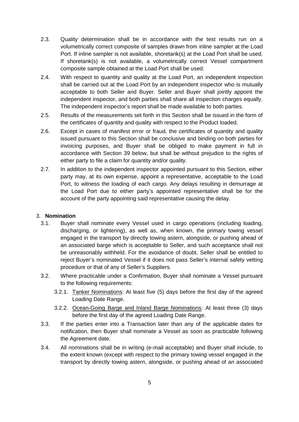- 2.3. Quality determination shall be in accordance with the test results run on a volumetrically correct composite of samples drawn from inline sampler at the Load Port. If inline sampler is not available, shoretank(s) at the Load Port shall be used. If shoretank(s) is not available, a volumetrically correct Vessel compartment composite sample obtained at the Load Port shall be used.
- 2.4. With respect to quantity and quality at the Load Port, an independent inspection shall be carried out at the Load Port by an independent inspector who is mutually acceptable to both Seller and Buyer. Seller and Buyer shall jointly appoint the independent inspector, and both parties shall share all inspection charges equally. The independent inspector's report shall be made available to both parties.
- 2.5. Results of the measurements set forth in this Section shall be issued in the form of the certificates of quantity and quality with respect to the Product loaded.
- 2.6. Except in cases of manifest error or fraud, the certificates of quantity and quality issued pursuant to this Section shall be conclusive and binding on both parties for invoicing purposes, and Buyer shall be obliged to make payment in full in accordance with Section 39 below, but shall be without prejudice to the rights of either party to file a claim for quantity and/or quality.
- 2.7. In addition to the independent inspector appointed pursuant to this Section, either party may, at its own expense, appoint a representative, acceptable to the Load Port, to witness the loading of each cargo. Any delays resulting in demurrage at the Load Port due to either party's appointed representative shall be for the account of the party appointing said representative causing the delay.

## <span id="page-4-0"></span>3. **Nomination**

- 3.1. Buyer shall nominate every Vessel used in cargo operations (including loading, discharging, or lightering), as well as, when known, the primary towing vessel engaged in the transport by directly towing astern, alongside, or pushing ahead of an associated barge which is acceptable to Seller, and such acceptance shall not be unreasonably withheld. For the avoidance of doubt, Seller shall be entitled to reject Buyer's nominated Vessel if it does not pass Seller's internal safety vetting procedure or that of any of Seller's Suppliers.
- 3.2. Where practicable under a Confirmation, Buyer shall nominate a Vessel pursuant to the following requirements:
	- 3.2.1. Tanker Nominations: At least five (5) days before the first day of the agreed Loading Date Range.
	- 3.2.2. Ocean-Going Barge and Inland Barge Nominations: At least three (3) days before the first day of the agreed Loading Date Range.
- 3.3. If the parties enter into a Transaction later than any of the applicable dates for notification, then Buyer shall nominate a Vessel as soon as practicable following the Agreement date.
- 3.4. All nominations shall be in writing (e-mail acceptable) and Buyer shall include, to the extent known (except with respect to the primary towing vessel engaged in the transport by directly towing astern, alongside, or pushing ahead of an associated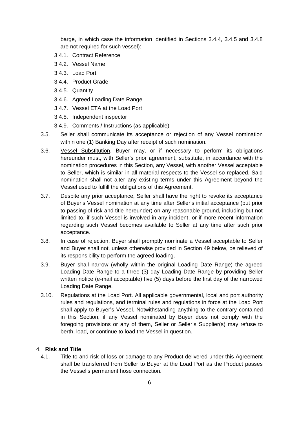barge, in which case the information identified in Sections 3.4.4, 3.4.5 and 3.4.8 are not required for such vessel):

- 3.4.1. Contract Reference
- 3.4.2. Vessel Name
- 3.4.3. Load Port
- 3.4.4. Product Grade
- 3.4.5. Quantity
- 3.4.6. Agreed Loading Date Range
- 3.4.7. Vessel ETA at the Load Port
- 3.4.8. Independent inspector
- 3.4.9. Comments / Instructions (as applicable)
- 3.5. Seller shall communicate its acceptance or rejection of any Vessel nomination within one (1) Banking Day after receipt of such nomination.
- 3.6. Vessel Substitution. Buyer may, or if necessary to perform its obligations hereunder must, with Seller's prior agreement, substitute, in accordance with the nomination procedures in this Section, any Vessel, with another Vessel acceptable to Seller, which is similar in all material respects to the Vessel so replaced. Said nomination shall not alter any existing terms under this Agreement beyond the Vessel used to fulfill the obligations of this Agreement.
- 3.7. Despite any prior acceptance, Seller shall have the right to revoke its acceptance of Buyer's Vessel nomination at any time after Seller's initial acceptance (but prior to passing of risk and title hereunder) on any reasonable ground, including but not limited to, if such Vessel is involved in any incident, or if more recent information regarding such Vessel becomes available to Seller at any time after such prior acceptance.
- 3.8. In case of rejection, Buyer shall promptly nominate a Vessel acceptable to Seller and Buyer shall not, unless otherwise provided in Section 49 below, be relieved of its responsibility to perform the agreed loading.
- 3.9. Buyer shall narrow (wholly within the original Loading Date Range) the agreed Loading Date Range to a three (3) day Loading Date Range by providing Seller written notice (e-mail acceptable) five (5) days before the first day of the narrowed Loading Date Range.
- 3.10. Regulations at the Load Port. All applicable governmental, local and port authority rules and regulations, and terminal rules and regulations in force at the Load Port shall apply to Buyer's Vessel. Notwithstanding anything to the contrary contained in this Section, if any Vessel nominated by Buyer does not comply with the foregoing provisions or any of them, Seller or Seller's Supplier(s) may refuse to berth, load, or continue to load the Vessel in question.

## <span id="page-5-0"></span>4. **Risk and Title**

4.1. Title to and risk of loss or damage to any Product delivered under this Agreement shall be transferred from Seller to Buyer at the Load Port as the Product passes the Vessel's permanent hose connection.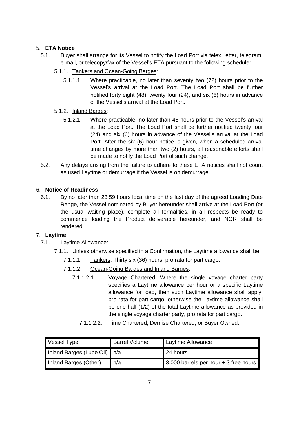# <span id="page-6-0"></span>5. **ETA Notice**

- 5.1. Buyer shall arrange for its Vessel to notify the Load Port via telex, letter, telegram, e-mail, or telecopy/fax of the Vessel's ETA pursuant to the following schedule:
	- 5.1.1. Tankers and Ocean-Going Barges:
		- 5.1.1.1. Where practicable, no later than seventy two (72) hours prior to the Vessel's arrival at the Load Port. The Load Port shall be further notified forty eight (48), twenty four (24), and six (6) hours in advance of the Vessel's arrival at the Load Port.
	- 5.1.2. Inland Barges:
		- 5.1.2.1. Where practicable, no later than 48 hours prior to the Vessel's arrival at the Load Port. The Load Port shall be further notified twenty four (24) and six (6) hours in advance of the Vessel's arrival at the Load Port. After the six (6) hour notice is given, when a scheduled arrival time changes by more than two (2) hours, all reasonable efforts shall be made to notify the Load Port of such change.
- 5.2. Any delays arising from the failure to adhere to these ETA notices shall not count as used Laytime or demurrage if the Vessel is on demurrage.

# <span id="page-6-1"></span>6. **Notice of Readiness**

6.1. By no later than 23:59 hours local time on the last day of the agreed Loading Date Range, the Vessel nominated by Buyer hereunder shall arrive at the Load Port (or the usual waiting place), complete all formalities, in all respects be ready to commence loading the Product deliverable hereunder, and NOR shall be tendered.

## <span id="page-6-2"></span>7. **Laytime**

- 7.1. Laytime Allowance:
	- 7.1.1. Unless otherwise specified in a Confirmation, the Laytime allowance shall be:
		- 7.1.1.1. Tankers: Thirty six (36) hours, pro rata for part cargo.
		- 7.1.1.2. Ocean-Going Barges and Inland Barges:
			- 7.1.1.2.1. Voyage Chartered: Where the single voyage charter party specifies a Laytime allowance per hour or a specific Laytime allowance for load, then such Laytime allowance shall apply, pro rata for part cargo, otherwise the Laytime allowance shall be one-half (1/2) of the total Laytime allowance as provided in the single voyage charter party, pro rata for part cargo.
				- 7.1.1.2.2. Time Chartered, Demise Chartered, or Buyer Owned:

| Vessel Type                  | <b>Barrel Volume</b> | Laytime Allowance                     |
|------------------------------|----------------------|---------------------------------------|
| Inland Barges (Lube Oil) n/a |                      | 24 hours                              |
| Inland Barges (Other)        | l n/a                | 3,000 barrels per hour + 3 free hours |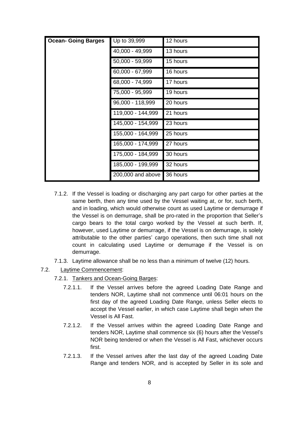| <b>Ocean- Going Barges</b> | Up to 39,999      | 12 hours |
|----------------------------|-------------------|----------|
|                            | 40,000 - 49,999   | 13 hours |
|                            | 50,000 - 59,999   | 15 hours |
|                            | 60,000 - 67,999   | 16 hours |
|                            | 68,000 - 74,999   | 17 hours |
|                            | 75,000 - 95,999   | 19 hours |
|                            | 96,000 - 118,999  | 20 hours |
|                            | 119,000 - 144,999 | 21 hours |
|                            | 145,000 - 154,999 | 23 hours |
|                            | 155,000 - 164,999 | 25 hours |
|                            | 165,000 - 174,999 | 27 hours |
|                            | 175,000 - 184,999 | 30 hours |
|                            | 185,000 - 199,999 | 32 hours |
|                            | 200,000 and above | 36 hours |

- 7.1.2. If the Vessel is loading or discharging any part cargo for other parties at the same berth, then any time used by the Vessel waiting at, or for, such berth, and in loading, which would otherwise count as used Laytime or demurrage if the Vessel is on demurrage, shall be pro-rated in the proportion that Seller's cargo bears to the total cargo worked by the Vessel at such berth. If, however, used Laytime or demurrage, if the Vessel is on demurrage, is solely attributable to the other parties' cargo operations, then such time shall not count in calculating used Laytime or demurrage if the Vessel is on demurrage.
- 7.1.3. Laytime allowance shall be no less than a minimum of twelve (12) hours.
- 7.2. Laytime Commencement:
	- 7.2.1. Tankers and Ocean-Going Barges:
		- 7.2.1.1. If the Vessel arrives before the agreed Loading Date Range and tenders NOR, Laytime shall not commence until 06:01 hours on the first day of the agreed Loading Date Range, unless Seller elects to accept the Vessel earlier, in which case Laytime shall begin when the Vessel is All Fast.
		- 7.2.1.2. If the Vessel arrives within the agreed Loading Date Range and tenders NOR, Laytime shall commence six (6) hours after the Vessel's NOR being tendered or when the Vessel is All Fast, whichever occurs first.
		- 7.2.1.3. If the Vessel arrives after the last day of the agreed Loading Date Range and tenders NOR, and is accepted by Seller in its sole and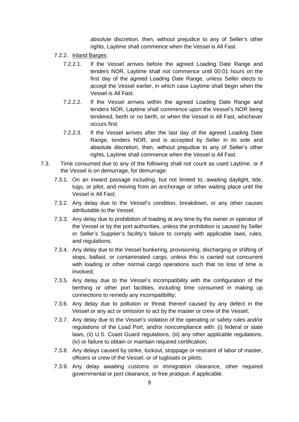absolute discretion, then, without prejudice to any of Seller's other rights, Laytime shall commence when the Vessel is All Fast.

- 7.2.2. Inland Barges:
	- 7.2.2.1. If the Vessel arrives before the agreed Loading Date Range and tenders NOR, Laytime shall not commence until 00:01 hours on the first day of the agreed Loading Date Range, unless Seller elects to accept the Vessel earlier, in which case Laytime shall begin when the Vessel is All Fast.
	- 7.2.2.2. If the Vessel arrives within the agreed Loading Date Range and tenders NOR, Laytime shall commence upon the Vessel's NOR being tendered, berth or no berth, or when the Vessel is All Fast, whichever occurs first.
	- 7.2.2.3. If the Vessel arrives after the last day of the agreed Loading Date Range, tenders NOR, and is accepted by Seller in its sole and absolute discretion, then, without prejudice to any of Seller's other rights, Laytime shall commence when the Vessel is All Fast.
- 7.3. Time consumed due to any of the following shall not count as used Laytime, or if the Vessel is on demurrage, for demurrage:
	- 7.3.1. On an inward passage including, but not limited to, awaiting daylight, tide, tugs, or pilot, and moving from an anchorage or other waiting place until the Vessel is All Fast;
	- 7.3.2. Any delay due to the Vessel's condition, breakdown, or any other causes attributable to the Vessel;
	- 7.3.3. Any delay due to prohibition of loading at any time by the owner or operator of the Vessel or by the port authorities, unless the prohibition is caused by Seller or Seller's Supplier's facility's failure to comply with applicable laws, rules, and regulations;
	- 7.3.4. Any delay due to the Vessel bunkering, provisioning, discharging or shifting of slops, ballast, or contaminated cargo, unless this is carried out concurrent with loading or other normal cargo operations such that no loss of time is involved;
	- 7.3.5. Any delay due to the Vessel's incompatibility with the configuration of the berthing or other port facilities, including time consumed in making up connections to remedy any incompatibility;
	- 7.3.6. Any delay due to pollution or threat thereof caused by any defect in the Vessel or any act or omission to act by the master or crew of the Vessel;
	- 7.3.7. Any delay due to the Vessel's violation of the operating or safety rules and/or regulations of the Load Port, and/or noncompliance with: (i) federal or state laws, (ii) U.S. Coast Guard regulations, (iii) any other applicable regulations, (iv) or failure to obtain or maintain required certification;
	- 7.3.8. Any delays caused by strike, lockout, stoppage or restraint of labor of master, officers or crew of the Vessel, or of tugboats or pilots;
	- 7.3.9. Any delay awaiting customs or immigration clearance, other required governmental or port clearance, or free pratique, if applicable.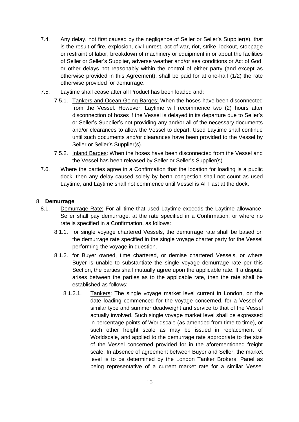- 7.4. Any delay, not first caused by the negligence of Seller or Seller's Supplier(s), that is the result of fire, explosion, civil unrest, act of war, riot, strike, lockout, stoppage or restraint of labor, breakdown of machinery or equipment in or about the facilities of Seller or Seller's Supplier, adverse weather and/or sea conditions or Act of God, or other delays not reasonably within the control of either party (and except as otherwise provided in this Agreement), shall be paid for at one-half (1/2) the rate otherwise provided for demurrage.
- 7.5. Laytime shall cease after all Product has been loaded and:
	- 7.5.1. Tankers and Ocean-Going Barges: When the hoses have been disconnected from the Vessel. However, Laytime will recommence two (2) hours after disconnection of hoses if the Vessel is delayed in its departure due to Seller's or Seller's Supplier's not providing any and/or all of the necessary documents and/or clearances to allow the Vessel to depart. Used Laytime shall continue until such documents and/or clearances have been provided to the Vessel by Seller or Seller's Supplier(s).
	- 7.5.2. Inland Barges: When the hoses have been disconnected from the Vessel and the Vessel has been released by Seller or Seller's Supplier(s).
- 7.6. Where the parties agree in a Confirmation that the location for loading is a public dock, then any delay caused solely by berth congestion shall not count as used Laytime, and Laytime shall not commence until Vessel is All Fast at the dock.

# <span id="page-9-0"></span>8. **Demurrage**

- 8.1. Demurrage Rate: For all time that used Laytime exceeds the Laytime allowance, Seller shall pay demurrage, at the rate specified in a Confirmation, or where no rate is specified in a Confirmation, as follows:
	- 8.1.1. for single voyage chartered Vessels, the demurrage rate shall be based on the demurrage rate specified in the single voyage charter party for the Vessel performing the voyage in question.
	- 8.1.2. for Buyer owned, time chartered, or demise chartered Vessels, or where Buyer is unable to substantiate the single voyage demurrage rate per this Section, the parties shall mutually agree upon the applicable rate. If a dispute arises between the parties as to the applicable rate, then the rate shall be established as follows:
		- 8.1.2.1. Tankers: The single voyage market level current in London, on the date loading commenced for the voyage concerned, for a Vessel of similar type and summer deadweight and service to that of the Vessel actually involved. Such single voyage market level shall be expressed in percentage points of Worldscale (as amended from time to time), or such other freight scale as may be issued in replacement of Worldscale, and applied to the demurrage rate appropriate to the size of the Vessel concerned provided for in the aforementioned freight scale. In absence of agreement between Buyer and Seller, the market level is to be determined by the London Tanker Brokers' Panel as being representative of a current market rate for a similar Vessel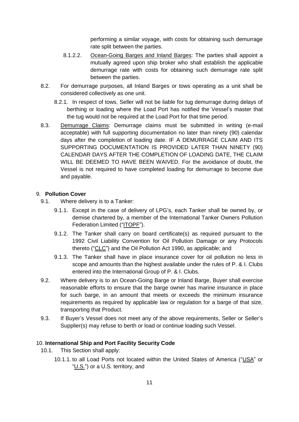performing a similar voyage, with costs for obtaining such demurrage rate split between the parties.

- 8.1.2.2. Ocean-Going Barges and Inland Barges: The parties shall appoint a mutually agreed upon ship broker who shall establish the applicable demurrage rate with costs for obtaining such demurrage rate split between the parties.
- 8.2. For demurrage purposes, all Inland Barges or tows operating as a unit shall be considered collectively as one unit.
	- 8.2.1. In respect of tows, Seller will not be liable for tug demurrage during delays of berthing or loading where the Load Port has notified the Vessel's master that the tug would not be required at the Load Port for that time period.
- 8.3. Demurrage Claims: Demurrage claims must be submitted in writing (e-mail acceptable) with full supporting documentation no later than ninety (90) calendar days after the completion of loading date. IF A DEMURRAGE CLAIM AND ITS SUPPORTING DOCUMENTATION IS PROVIDED LATER THAN NINETY (90) CALENDAR DAYS AFTER THE COMPLETION OF LOADING DATE, THE CLAIM WILL BE DEEMED TO HAVE BEEN WAIVED. For the avoidance of doubt, the Vessel is not required to have completed loading for demurrage to become due and payable.

## <span id="page-10-0"></span>9. **Pollution Cover**

- 9.1. Where delivery is to a Tanker:
	- 9.1.1. Except in the case of delivery of LPG's, each Tanker shall be owned by, or demise chartered by, a member of the International Tanker Owners Pollution Federation Limited ("ITOPF").
	- 9.1.2. The Tanker shall carry on board certificate(s) as required pursuant to the 1992 Civil Liability Convention for Oil Pollution Damage or any Protocols thereto ("CLC") and the Oil Pollution Act 1990, as applicable; and
	- 9.1.3. The Tanker shall have in place insurance cover for oil pollution no less in scope and amounts than the highest available under the rules of P. & I. Clubs entered into the International Group of P. & I. Clubs.
- 9.2. Where delivery is to an Ocean-Going Barge or Inland Barge, Buyer shall exercise reasonable efforts to ensure that the barge owner has marine insurance in place for such barge, in an amount that meets or exceeds the minimum insurance requirements as required by applicable law or regulation for a barge of that size, transporting that Product.
- 9.3. If Buyer's Vessel does not meet any of the above requirements, Seller or Seller's Supplier(s) may refuse to berth or load or continue loading such Vessel.

## <span id="page-10-1"></span>10. **International Ship and Port Facility Security Code**

- 10.1. This Section shall apply:
	- 10.1.1. to all Load Ports not located within the United States of America ("USA" or "U.S.") or a U.S. territory, and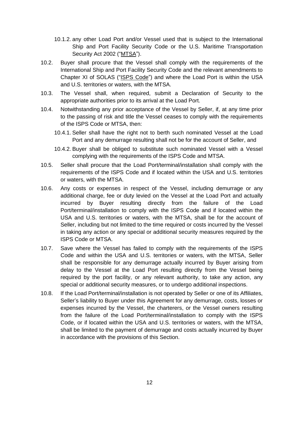- 10.1.2. any other Load Port and/or Vessel used that is subject to the International Ship and Port Facility Security Code or the U.S. Maritime Transportation Security Act 2002 ("MTSA").
- 10.2. Buyer shall procure that the Vessel shall comply with the requirements of the International Ship and Port Facility Security Code and the relevant amendments to Chapter XI of SOLAS ("ISPS Code") and where the Load Port is within the USA and U.S. territories or waters, with the MTSA.
- 10.3. The Vessel shall, when required, submit a Declaration of Security to the appropriate authorities prior to its arrival at the Load Port.
- 10.4. Notwithstanding any prior acceptance of the Vessel by Seller, if, at any time prior to the passing of risk and title the Vessel ceases to comply with the requirements of the ISPS Code or MTSA, then:
	- 10.4.1. Seller shall have the right not to berth such nominated Vessel at the Load Port and any demurrage resulting shall not be for the account of Seller, and
	- 10.4.2. Buyer shall be obliged to substitute such nominated Vessel with a Vessel complying with the requirements of the ISPS Code and MTSA.
- 10.5. Seller shall procure that the Load Port/terminal/installation shall comply with the requirements of the ISPS Code and if located within the USA and U.S. territories or waters, with the MTSA.
- 10.6. Any costs or expenses in respect of the Vessel, including demurrage or any additional charge, fee or duty levied on the Vessel at the Load Port and actually incurred by Buyer resulting directly from the failure of the Load Port/terminal/installation to comply with the ISPS Code and if located within the USA and U.S. territories or waters, with the MTSA, shall be for the account of Seller, including but not limited to the time required or costs incurred by the Vessel in taking any action or any special or additional security measures required by the ISPS Code or MTSA.
- 10.7. Save where the Vessel has failed to comply with the requirements of the ISPS Code and within the USA and U.S. territories or waters, with the MTSA, Seller shall be responsible for any demurrage actually incurred by Buyer arising from delay to the Vessel at the Load Port resulting directly from the Vessel being required by the port facility, or any relevant authority, to take any action, any special or additional security measures, or to undergo additional inspections.
- 10.8. If the Load Port/terminal/installation is not operated by Seller or one of its Affiliates, Seller's liability to Buyer under this Agreement for any demurrage, costs, losses or expenses incurred by the Vessel, the charterers, or the Vessel owners resulting from the failure of the Load Port/terminal/installation to comply with the ISPS Code, or if located within the USA and U.S. territories or waters, with the MTSA, shall be limited to the payment of demurrage and costs actually incurred by Buyer in accordance with the provisions of this Section.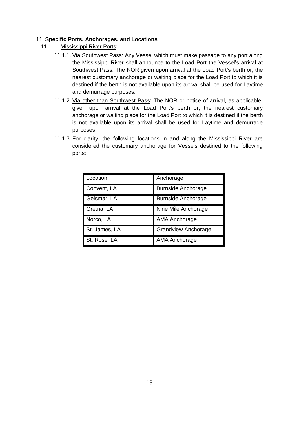## <span id="page-12-0"></span>11. **Specific Ports, Anchorages, and Locations**

- 11.1. Mississippi River Ports:
	- 11.1.1. Via Southwest Pass: Any Vessel which must make passage to any port along the Mississippi River shall announce to the Load Port the Vessel's arrival at Southwest Pass. The NOR given upon arrival at the Load Port's berth or, the nearest customary anchorage or waiting place for the Load Port to which it is destined if the berth is not available upon its arrival shall be used for Laytime and demurrage purposes.
	- 11.1.2. Via other than Southwest Pass: The NOR or notice of arrival, as applicable, given upon arrival at the Load Port's berth or, the nearest customary anchorage or waiting place for the Load Port to which it is destined if the berth is not available upon its arrival shall be used for Laytime and demurrage purposes.
	- 11.1.3. For clarity, the following locations in and along the Mississippi River are considered the customary anchorage for Vessels destined to the following ports:

| Location      | Anchorage                  |
|---------------|----------------------------|
| Convent, LA   | <b>Burnside Anchorage</b>  |
| Geismar, LA   | <b>Burnside Anchorage</b>  |
| Gretna, LA    | Nine Mile Anchorage        |
| Norco, LA     | <b>AMA Anchorage</b>       |
| St. James, LA | <b>Grandview Anchorage</b> |
| St. Rose, LA  | <b>AMA Anchorage</b>       |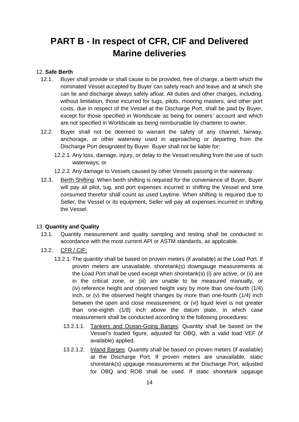# <span id="page-13-0"></span>**PART B - In respect of CFR, CIF and Delivered Marine deliveries**

## <span id="page-13-1"></span>12. **Safe Berth**

- 12.1. Buyer shall provide or shall cause to be provided, free of charge, a berth which the nominated Vessel accepted by Buyer can safely reach and leave and at which she can lie and discharge always safely afloat. All duties and other charges, including, without limitation, those incurred for tugs, pilots, mooring masters, and other port costs, due in respect of the Vessel at the Discharge Port, shall be paid by Buyer, except for those specified in Worldscale as being for owners' account and which are not specified in Worldscale as being reimbursable by charterer to owner.
- 12.2. Buyer shall not be deemed to warrant the safety of any channel, fairway, anchorage, or other waterway used in approaching or departing from the Discharge Port designated by Buyer. Buyer shall not be liable for:
	- 12.2.1. Any loss, damage, injury, or delay to the Vessel resulting from the use of such waterways; or
	- 12.2.2. Any damage to Vessels caused by other Vessels passing in the waterway.
- 12.3. Berth Shifting: When berth shifting is required for the convenience of Buyer, Buyer will pay all pilot, tug, and port expenses incurred in shifting the Vessel and time consumed therefor shall count as used Laytime. When shifting is required due to Seller, the Vessel or its equipment, Seller will pay all expenses incurred in shifting the Vessel.

### <span id="page-13-2"></span>13. **Quantity and Quality**

- 13.1. Quantity measurement and quality sampling and testing shall be conducted in accordance with the most current API or ASTM standards, as applicable.
- 13.2. CFR / CIF:
	- 13.2.1. The quantity shall be based on proven meters (if available) at the Load Port. If proven meters are unavailable, shoretank(s) downgauge measurements at the Load Port shall be used except when shoretank(s) (i) are active, or (ii) are in the critical zone, or (iii) are unable to be measured manually, or (iv) reference height and observed height vary by more than one-fourth (1/4) inch, or (v) the observed height changes by more than one-fourth (1/4) inch between the open and close measurement, or (vi) liquid level is not greater than one-eighth (1/8) inch above the datum plate, in which case measurement shall be conducted according to the following procedures:
		- 13.2.1.1. Tankers and Ocean-Going Barges: Quantity shall be based on the Vessel's loaded figure, adjusted for OBQ, with a valid load VEF (if available) applied.
		- 13.2.1.2. Inland Barges: Quantity shall be based on proven meters (if available) at the Discharge Port. If proven meters are unavailable, static shoretank(s) upgauge measurements at the Discharge Port, adjusted for OBQ and ROB shall be used. If static shoretank upgauge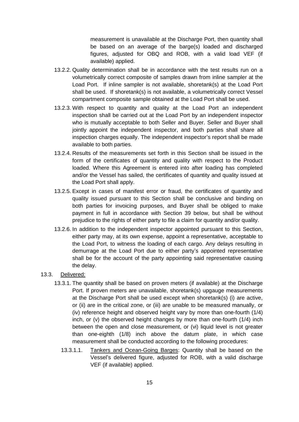measurement is unavailable at the Discharge Port, then quantity shall be based on an average of the barge(s) loaded and discharged figures, adjusted for OBQ and ROB, with a valid load VEF (if available) applied.

- 13.2.2. Quality determination shall be in accordance with the test results run on a volumetrically correct composite of samples drawn from inline sampler at the Load Port. If inline sampler is not available, shoretank(s) at the Load Port shall be used. If shoretank(s) is not available, a volumetrically correct Vessel compartment composite sample obtained at the Load Port shall be used.
- 13.2.3. With respect to quantity and quality at the Load Port an independent inspection shall be carried out at the Load Port by an independent inspector who is mutually acceptable to both Seller and Buyer. Seller and Buyer shall jointly appoint the independent inspector, and both parties shall share all inspection charges equally. The independent inspector's report shall be made available to both parties.
- 13.2.4. Results of the measurements set forth in this Section shall be issued in the form of the certificates of quantity and quality with respect to the Product loaded. Where this Agreement is entered into after loading has completed and/or the Vessel has sailed, the certificates of quantity and quality issued at the Load Port shall apply.
- 13.2.5. Except in cases of manifest error or fraud, the certificates of quantity and quality issued pursuant to this Section shall be conclusive and binding on both parties for invoicing purposes, and Buyer shall be obliged to make payment in full in accordance with Section 39 below, but shall be without prejudice to the rights of either party to file a claim for quantity and/or quality.
- 13.2.6. In addition to the independent inspector appointed pursuant to this Section, either party may, at its own expense, appoint a representative, acceptable to the Load Port, to witness the loading of each cargo. Any delays resulting in demurrage at the Load Port due to either party's appointed representative shall be for the account of the party appointing said representative causing the delay.
- 13.3. Delivered:
	- 13.3.1. The quantity shall be based on proven meters (if available) at the Discharge Port. If proven meters are unavailable, shoretank(s) upgauge measurements at the Discharge Port shall be used except when shoretank(s) (i) are active, or (ii) are in the critical zone, or (iii) are unable to be measured manually, or (iv) reference height and observed height vary by more than one-fourth (1/4) inch, or (v) the observed height changes by more than one-fourth (1/4) inch between the open and close measurement, or (vi) liquid level is not greater than one-eighth (1/8) inch above the datum plate, in which case measurement shall be conducted according to the following procedures:
		- 13.3.1.1. Tankers and Ocean-Going Barges: Quantity shall be based on the Vessel's delivered figure, adjusted for ROB, with a valid discharge VEF (if available) applied.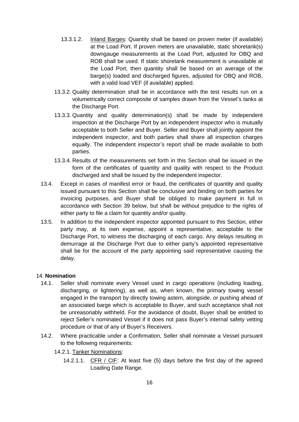- 13.3.1.2. Inland Barges: Quantity shall be based on proven meter (if available) at the Load Port. If proven meters are unavailable, static shoretank(s) downgauge measurements at the Load Port, adjusted for OBQ and ROB shall be used. If static shoretank measurement is unavailable at the Load Port, then quantity shall be based on an average of the barge(s) loaded and discharged figures, adjusted for OBQ and ROB, with a valid load VEF (if available) applied.
- 13.3.2. Quality determination shall be in accordance with the test results run on a volumetrically correct composite of samples drawn from the Vessel's tanks at the Discharge Port.
- 13.3.3. Quantity and quality determination(s) shall be made by independent inspection at the Discharge Port by an independent inspector who is mutually acceptable to both Seller and Buyer. Seller and Buyer shall jointly appoint the independent inspector, and both parties shall share all inspection charges equally. The independent inspector's report shall be made available to both parties.
- 13.3.4. Results of the measurements set forth in this Section shall be issued in the form of the certificates of quantity and quality with respect to the Product discharged and shall be issued by the independent inspector.
- 13.4. Except in cases of manifest error or fraud, the certificates of quantity and quality issued pursuant to this Section shall be conclusive and binding on both parties for invoicing purposes, and Buyer shall be obliged to make payment in full in accordance with Section 39 below, but shall be without prejudice to the rights of either party to file a claim for quantity and/or quality.
- 13.5. In addition to the independent inspector appointed pursuant to this Section, either party may, at its own expense, appoint a representative, acceptable to the Discharge Port, to witness the discharging of each cargo. Any delays resulting in demurrage at the Discharge Port due to either party's appointed representative shall be for the account of the party appointing said representative causing the delay.

### <span id="page-15-0"></span>14. **Nomination**

- 14.1. Seller shall nominate every Vessel used in cargo operations (including loading, discharging, or lightering), as well as, when known, the primary towing vessel engaged in the transport by directly towing astern, alongside, or pushing ahead of an associated barge which is acceptable to Buyer, and such acceptance shall not be unreasonably withheld. For the avoidance of doubt, Buyer shall be entitled to reject Seller's nominated Vessel if it does not pass Buyer's internal safety vetting procedure or that of any of Buyer's Receivers.
- 14.2. Where practicable under a Confirmation, Seller shall nominate a Vessel pursuant to the following requirements:
	- 14.2.1. Tanker Nominations:
		- 14.2.1.1. CFR / CIF: At least five (5) days before the first day of the agreed Loading Date Range.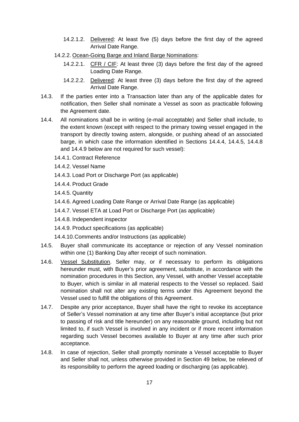- 14.2.1.2. Delivered: At least five (5) days before the first day of the agreed Arrival Date Range.
- 14.2.2. Ocean-Going Barge and Inland Barge Nominations:
	- 14.2.2.1. CFR / CIF: At least three (3) days before the first day of the agreed Loading Date Range.
	- 14.2.2.2. Delivered: At least three (3) days before the first day of the agreed Arrival Date Range.
- 14.3. If the parties enter into a Transaction later than any of the applicable dates for notification, then Seller shall nominate a Vessel as soon as practicable following the Agreement date.
- 14.4. All nominations shall be in writing (e-mail acceptable) and Seller shall include, to the extent known (except with respect to the primary towing vessel engaged in the transport by directly towing astern, alongside, or pushing ahead of an associated barge, in which case the information identified in Sections 14.4.4, 14.4.5, 14.4.8 and 14.4.9 below are not required for such vessel):
	- 14.4.1. Contract Reference
	- 14.4.2. Vessel Name
	- 14.4.3. Load Port or Discharge Port (as applicable)
	- 14.4.4. Product Grade
	- 14.4.5. Quantity
	- 14.4.6. Agreed Loading Date Range or Arrival Date Range (as applicable)
	- 14.4.7. Vessel ETA at Load Port or Discharge Port (as applicable)
	- 14.4.8. Independent inspector
	- 14.4.9. Product specifications (as applicable)
	- 14.4.10.Comments and/or Instructions (as applicable)
- 14.5. Buyer shall communicate its acceptance or rejection of any Vessel nomination within one (1) Banking Day after receipt of such nomination.
- 14.6. Vessel Substitution. Seller may, or if necessary to perform its obligations hereunder must, with Buyer's prior agreement, substitute, in accordance with the nomination procedures in this Section, any Vessel, with another Vessel acceptable to Buyer, which is similar in all material respects to the Vessel so replaced. Said nomination shall not alter any existing terms under this Agreement beyond the Vessel used to fulfill the obligations of this Agreement.
- 14.7. Despite any prior acceptance, Buyer shall have the right to revoke its acceptance of Seller's Vessel nomination at any time after Buyer's initial acceptance (but prior to passing of risk and title hereunder) on any reasonable ground, including but not limited to, if such Vessel is involved in any incident or if more recent information regarding such Vessel becomes available to Buyer at any time after such prior acceptance.
- 14.8. In case of rejection, Seller shall promptly nominate a Vessel acceptable to Buyer and Seller shall not, unless otherwise provided in Section 49 below, be relieved of its responsibility to perform the agreed loading or discharging (as applicable).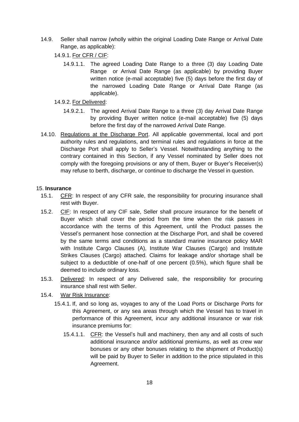- 14.9. Seller shall narrow (wholly within the original Loading Date Range or Arrival Date Range, as applicable):
	- 14.9.1. For CFR / CIF:
		- 14.9.1.1. The agreed Loading Date Range to a three (3) day Loading Date Range or Arrival Date Range (as applicable) by providing Buyer written notice (e-mail acceptable) five (5) days before the first day of the narrowed Loading Date Range or Arrival Date Range (as applicable).
	- 14.9.2. For Delivered:
		- 14.9.2.1. The agreed Arrival Date Range to a three (3) day Arrival Date Range by providing Buyer written notice (e-mail acceptable) five (5) days before the first day of the narrowed Arrival Date Range.
- 14.10. Regulations at the Discharge Port. All applicable governmental, local and port authority rules and regulations, and terminal rules and regulations in force at the Discharge Port shall apply to Seller's Vessel. Notwithstanding anything to the contrary contained in this Section, if any Vessel nominated by Seller does not comply with the foregoing provisions or any of them, Buyer or Buyer's Receiver(s) may refuse to berth, discharge, or continue to discharge the Vessel in question.

## <span id="page-17-0"></span>15. **Insurance**

- 15.1. CFR: In respect of any CFR sale, the responsibility for procuring insurance shall rest with Buyer.
- 15.2. CIF: In respect of any CIF sale, Seller shall procure insurance for the benefit of Buyer which shall cover the period from the time when the risk passes in accordance with the terms of this Agreement, until the Product passes the Vessel's permanent hose connection at the Discharge Port, and shall be covered by the same terms and conditions as a standard marine insurance policy MAR with Institute Cargo Clauses (A), Institute War Clauses (Cargo) and Institute Strikes Clauses (Cargo) attached. Claims for leakage and/or shortage shall be subject to a deductible of one-half of one percent (0.5%), which figure shall be deemed to include ordinary loss.
- 15.3. Delivered: In respect of any Delivered sale, the responsibility for procuring insurance shall rest with Seller.
- 15.4. War Risk Insurance:
	- 15.4.1. If, and so long as, voyages to any of the Load Ports or Discharge Ports for this Agreement, or any sea areas through which the Vessel has to travel in performance of this Agreement, incur any additional insurance or war risk insurance premiums for:
		- 15.4.1.1. CFR: the Vessel's hull and machinery, then any and all costs of such additional insurance and/or additional premiums, as well as crew war bonuses or any other bonuses relating to the shipment of Product(s) will be paid by Buyer to Seller in addition to the price stipulated in this Agreement.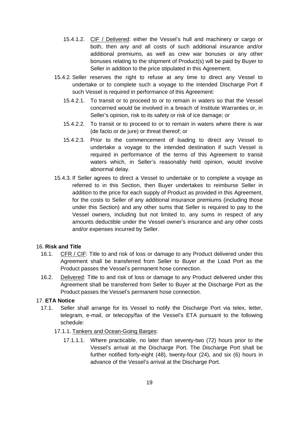- 15.4.1.2. CIF / Delivered: either the Vessel's hull and machinery or cargo or both, then any and all costs of such additional insurance and/or additional premiums, as well as crew war bonuses or any other bonuses relating to the shipment of Product(s) will be paid by Buyer to Seller in addition to the price stipulated in this Agreement.
- 15.4.2. Seller reserves the right to refuse at any time to direct any Vessel to undertake or to complete such a voyage to the intended Discharge Port if such Vessel is required in performance of this Agreement:
	- 15.4.2.1. To transit or to proceed to or to remain in waters so that the Vessel concerned would be involved in a breach of Institute Warranties or, in Seller's opinion, risk to its safety or risk of ice damage; or
	- 15.4.2.2. To transit or to proceed to or to remain in waters where there is war (de facto or de jure) or threat thereof; or
	- 15.4.2.3. Prior to the commencement of loading to direct any Vessel to undertake a voyage to the intended destination if such Vessel is required in performance of the terms of this Agreement to transit waters which, in Seller's reasonably held opinion, would involve abnormal delay.
- 15.4.3. If Seller agrees to direct a Vessel to undertake or to complete a voyage as referred to in this Section, then Buyer undertakes to reimburse Seller in addition to the price for each supply of Product as provided in this Agreement, for the costs to Seller of any additional insurance premiums (including those under this Section) and any other sums that Seller is required to pay to the Vessel owners, including but not limited to, any sums in respect of any amounts deductible under the Vessel owner's insurance and any other costs and/or expenses incurred by Seller.

## <span id="page-18-0"></span>16. **Risk and Title**

- 16.1. CFR / CIF: Title to and risk of loss or damage to any Product delivered under this Agreement shall be transferred from Seller to Buyer at the Load Port as the Product passes the Vessel's permanent hose connection.
- 16.2. Delivered: Title to and risk of loss or damage to any Product delivered under this Agreement shall be transferred from Seller to Buyer at the Discharge Port as the Product passes the Vessel's permanent hose connection.

## <span id="page-18-1"></span>17. **ETA Notice**

17.1. Seller shall arrange for its Vessel to notify the Discharge Port via telex, letter, telegram, e-mail, or telecopy/fax of the Vessel's ETA pursuant to the following schedule:

## 17.1.1. Tankers and Ocean-Going Barges:

17.1.1.1. Where practicable, no later than seventy-two (72) hours prior to the Vessel's arrival at the Discharge Port. The Discharge Port shall be further notified forty-eight (48), twenty-four (24), and six (6) hours in advance of the Vessel's arrival at the Discharge Port.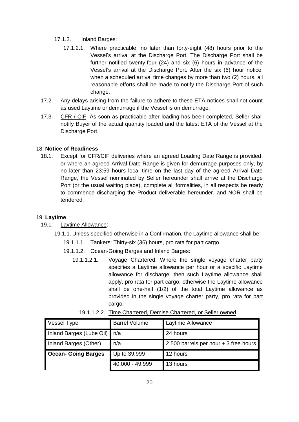# 17.1.2. Inland Barges:

- 17.1.2.1. Where practicable, no later than forty-eight (48) hours prior to the Vessel's arrival at the Discharge Port. The Discharge Port shall be further notified twenty-four (24) and six (6) hours in advance of the Vessel's arrival at the Discharge Port. After the six (6) hour notice, when a scheduled arrival time changes by more than two (2) hours, all reasonable efforts shall be made to notify the Discharge Port of such change.
- 17.2. Any delays arising from the failure to adhere to these ETA notices shall not count as used Laytime or demurrage if the Vessel is on demurrage.
- 17.3. CFR / CIF: As soon as practicable after loading has been completed, Seller shall notify Buyer of the actual quantity loaded and the latest ETA of the Vessel at the Discharge Port.

# <span id="page-19-0"></span>18. **Notice of Readiness**

18.1. Except for CFR/CIF deliveries where an agreed Loading Date Range is provided, or where an agreed Arrival Date Range is given for demurrage purposes only, by no later than 23:59 hours local time on the last day of the agreed Arrival Date Range, the Vessel nominated by Seller hereunder shall arrive at the Discharge Port (or the usual waiting place), complete all formalities, in all respects be ready to commence discharging the Product deliverable hereunder, and NOR shall be tendered.

## <span id="page-19-1"></span>19. **Laytime**

- 19.1. Laytime Allowance:
	- 19.1.1. Unless specified otherwise in a Confirmation, the Laytime allowance shall be:
		- 19.1.1.1. Tankers: Thirty-six (36) hours, pro rata for part cargo.
		- 19.1.1.2. Ocean-Going Barges and Inland Barges:
			- 19.1.1.2.1. Voyage Chartered: Where the single voyage charter party specifies a Laytime allowance per hour or a specific Laytime allowance for discharge, then such Laytime allowance shall apply, pro rata for part cargo, otherwise the Laytime allowance shall be one-half (1/2) of the total Laytime allowance as provided in the single voyage charter party, pro rata for part cargo.

| <b>Vessel Type</b>           | <b>Barrel Volume</b> | Laytime Allowance                     |
|------------------------------|----------------------|---------------------------------------|
| Inland Barges (Lube Oil) n/a |                      | 24 hours                              |
| Inland Barges (Other)        | n/a                  | 2,500 barrels per hour + 3 free hours |
| <b>Ocean- Going Barges</b>   | Up to 39,999         | 12 hours                              |
|                              | 40,000 - 49,999      | 13 hours                              |

19.1.1.2.2. Time Chartered, Demise Chartered, or Seller owned: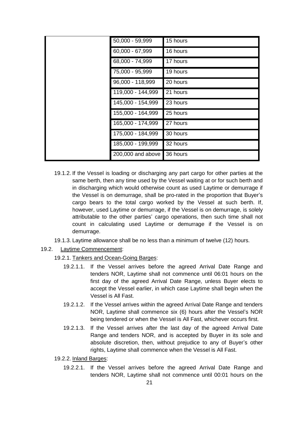| 50,000 - 59,999   | 15 hours |
|-------------------|----------|
| 60,000 - 67,999   | 16 hours |
| 68,000 - 74,999   | 17 hours |
| 75,000 - 95,999   | 19 hours |
| 96,000 - 118,999  | 20 hours |
| 119,000 - 144,999 | 21 hours |
| 145,000 - 154,999 | 23 hours |
| 155,000 - 164,999 | 25 hours |
| 165,000 - 174,999 | 27 hours |
| 175,000 - 184,999 | 30 hours |
| 185,000 - 199,999 | 32 hours |
| 200,000 and above | 36 hours |

- 19.1.2. If the Vessel is loading or discharging any part cargo for other parties at the same berth, then any time used by the Vessel waiting at or for such berth and in discharging which would otherwise count as used Laytime or demurrage if the Vessel is on demurrage, shall be pro-rated in the proportion that Buyer's cargo bears to the total cargo worked by the Vessel at such berth. If, however, used Laytime or demurrage, if the Vessel is on demurrage, is solely attributable to the other parties' cargo operations, then such time shall not count in calculating used Laytime or demurrage if the Vessel is on demurrage.
- 19.1.3. Laytime allowance shall be no less than a minimum of twelve (12) hours.
- 19.2. Laytime Commencement:
	- 19.2.1. Tankers and Ocean-Going Barges:
		- 19.2.1.1. If the Vessel arrives before the agreed Arrival Date Range and tenders NOR, Laytime shall not commence until 06:01 hours on the first day of the agreed Arrival Date Range, unless Buyer elects to accept the Vessel earlier, in which case Laytime shall begin when the Vessel is All Fast.
		- 19.2.1.2. If the Vessel arrives within the agreed Arrival Date Range and tenders NOR, Laytime shall commence six (6) hours after the Vessel's NOR being tendered or when the Vessel is All Fast, whichever occurs first.
		- 19.2.1.3. If the Vessel arrives after the last day of the agreed Arrival Date Range and tenders NOR, and is accepted by Buyer in its sole and absolute discretion, then, without prejudice to any of Buyer's other rights, Laytime shall commence when the Vessel is All Fast.
	- 19.2.2. Inland Barges:
		- 19.2.2.1. If the Vessel arrives before the agreed Arrival Date Range and tenders NOR, Laytime shall not commence until 00:01 hours on the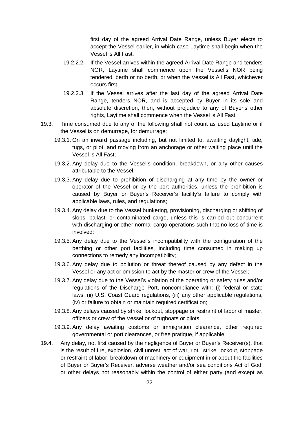first day of the agreed Arrival Date Range, unless Buyer elects to accept the Vessel earlier, in which case Laytime shall begin when the Vessel is All Fast.

- 19.2.2.2. If the Vessel arrives within the agreed Arrival Date Range and tenders NOR, Laytime shall commence upon the Vessel's NOR being tendered, berth or no berth, or when the Vessel is All Fast, whichever occurs first.
- 19.2.2.3. If the Vessel arrives after the last day of the agreed Arrival Date Range, tenders NOR, and is accepted by Buyer in its sole and absolute discretion, then, without prejudice to any of Buyer's other rights, Laytime shall commence when the Vessel is All Fast.
- 19.3. Time consumed due to any of the following shall not count as used Laytime or if the Vessel is on demurrage, for demurrage:
	- 19.3.1. On an inward passage including, but not limited to, awaiting daylight, tide, tugs, or pilot, and moving from an anchorage or other waiting place until the Vessel is All Fast;
	- 19.3.2. Any delay due to the Vessel's condition, breakdown, or any other causes attributable to the Vessel;
	- 19.3.3. Any delay due to prohibition of discharging at any time by the owner or operator of the Vessel or by the port authorities, unless the prohibition is caused by Buyer or Buyer's Receiver's facility's failure to comply with applicable laws, rules, and regulations;
	- 19.3.4. Any delay due to the Vessel bunkering, provisioning, discharging or shifting of slops, ballast, or contaminated cargo, unless this is carried out concurrent with discharging or other normal cargo operations such that no loss of time is involved;
	- 19.3.5. Any delay due to the Vessel's incompatibility with the configuration of the berthing or other port facilities, including time consumed in making up connections to remedy any incompatibility;
	- 19.3.6. Any delay due to pollution or threat thereof caused by any defect in the Vessel or any act or omission to act by the master or crew of the Vessel;
	- 19.3.7. Any delay due to the Vessel's violation of the operating or safety rules and/or regulations of the Discharge Port, noncompliance with: (i) federal or state laws, (ii) U.S. Coast Guard regulations, (iii) any other applicable regulations, (iv) or failure to obtain or maintain required certification;
	- 19.3.8. Any delays caused by strike, lockout, stoppage or restraint of labor of master, officers or crew of the Vessel or of tugboats or pilots;
	- 19.3.9. Any delay awaiting customs or immigration clearance, other required governmental or port clearances, or free pratique, if applicable.
- 19.4. Any delay, not first caused by the negligence of Buyer or Buyer's Receiver(s), that is the result of fire, explosion, civil unrest, act of war, riot, strike, lockout, stoppage or restraint of labor, breakdown of machinery or equipment in or about the facilities of Buyer or Buyer's Receiver, adverse weather and/or sea conditions Act of God, or other delays not reasonably within the control of either party (and except as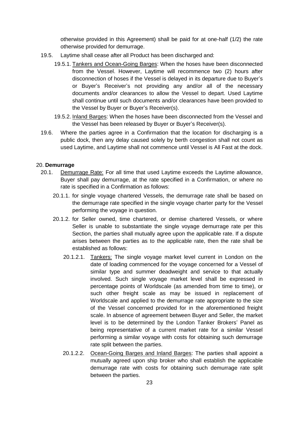otherwise provided in this Agreement) shall be paid for at one-half (1/2) the rate otherwise provided for demurrage.

- 19.5. Laytime shall cease after all Product has been discharged and:
	- 19.5.1. Tankers and Ocean-Going Barges: When the hoses have been disconnected from the Vessel. However, Laytime will recommence two (2) hours after disconnection of hoses if the Vessel is delayed in its departure due to Buyer's or Buyer's Receiver's not providing any and/or all of the necessary documents and/or clearances to allow the Vessel to depart. Used Laytime shall continue until such documents and/or clearances have been provided to the Vessel by Buyer or Buyer's Receiver(s).
	- 19.5.2. Inland Barges: When the hoses have been disconnected from the Vessel and the Vessel has been released by Buyer or Buyer's Receiver(s).
- 19.6. Where the parties agree in a Confirmation that the location for discharging is a public dock, then any delay caused solely by berth congestion shall not count as used Laytime, and Laytime shall not commence until Vessel is All Fast at the dock.

### <span id="page-22-0"></span>20. **Demurrage**

- 20.1. Demurrage Rate: For all time that used Laytime exceeds the Laytime allowance, Buyer shall pay demurrage, at the rate specified in a Confirmation, or where no rate is specified in a Confirmation as follows:
	- 20.1.1. for single voyage chartered Vessels, the demurrage rate shall be based on the demurrage rate specified in the single voyage charter party for the Vessel performing the voyage in question.
	- 20.1.2. for Seller owned, time chartered, or demise chartered Vessels, or where Seller is unable to substantiate the single voyage demurrage rate per this Section, the parties shall mutually agree upon the applicable rate. If a dispute arises between the parties as to the applicable rate, then the rate shall be established as follows:
		- 20.1.2.1. Tankers: The single voyage market level current in London on the date of loading commenced for the voyage concerned for a Vessel of similar type and summer deadweight and service to that actually involved. Such single voyage market level shall be expressed in percentage points of Worldscale (as amended from time to time), or such other freight scale as may be issued in replacement of Worldscale and applied to the demurrage rate appropriate to the size of the Vessel concerned provided for in the aforementioned freight scale. In absence of agreement between Buyer and Seller, the market level is to be determined by the London Tanker Brokers' Panel as being representative of a current market rate for a similar Vessel performing a similar voyage with costs for obtaining such demurrage rate split between the parties.
		- 20.1.2.2. Ocean-Going Barges and Inland Barges: The parties shall appoint a mutually agreed upon ship broker who shall establish the applicable demurrage rate with costs for obtaining such demurrage rate split between the parties.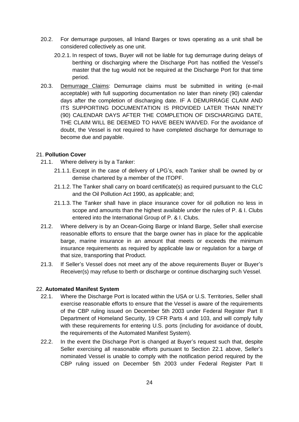- 20.2. For demurrage purposes, all Inland Barges or tows operating as a unit shall be considered collectively as one unit.
	- 20.2.1. In respect of tows, Buyer will not be liable for tug demurrage during delays of berthing or discharging where the Discharge Port has notified the Vessel's master that the tug would not be required at the Discharge Port for that time period.
- 20.3. Demurrage Claims: Demurrage claims must be submitted in writing (e-mail acceptable) with full supporting documentation no later than ninety (90) calendar days after the completion of discharging date. IF A DEMURRAGE CLAIM AND ITS SUPPORTING DOCUMENTATION IS PROVIDED LATER THAN NINETY (90) CALENDAR DAYS AFTER THE COMPLETION OF DISCHARGING DATE, THE CLAIM WILL BE DEEMED TO HAVE BEEN WAIVED. For the avoidance of doubt, the Vessel is not required to have completed discharge for demurrage to become due and payable.

## <span id="page-23-0"></span>21. **Pollution Cover**

- 21.1. Where delivery is by a Tanker:
	- 21.1.1. Except in the case of delivery of LPG's, each Tanker shall be owned by or demise chartered by a member of the ITOPF.
	- 21.1.2. The Tanker shall carry on board certificate(s) as required pursuant to the CLC and the Oil Pollution Act 1990, as applicable; and;
	- 21.1.3. The Tanker shall have in place insurance cover for oil pollution no less in scope and amounts than the highest available under the rules of P. & I. Clubs entered into the International Group of P. & I. Clubs.
- 21.2. Where delivery is by an Ocean-Going Barge or Inland Barge, Seller shall exercise reasonable efforts to ensure that the barge owner has in place for the applicable barge, marine insurance in an amount that meets or exceeds the minimum insurance requirements as required by applicable law or regulation for a barge of that size, transporting that Product.
- 21.3. If Seller's Vessel does not meet any of the above requirements Buyer or Buyer's Receiver(s) may refuse to berth or discharge or continue discharging such Vessel.

### <span id="page-23-1"></span>22. **Automated Manifest System**

- 22.1. Where the Discharge Port is located within the USA or U.S. Territories, Seller shall exercise reasonable efforts to ensure that the Vessel is aware of the requirements of the CBP ruling issued on December 5th 2003 under Federal Register Part II Department of Homeland Security, 19 CFR Parts 4 and 103, and will comply fully with these requirements for entering U.S. ports (including for avoidance of doubt, the requirements of the Automated Manifest System).
- 22.2. In the event the Discharge Port is changed at Buyer's request such that, despite Seller exercising all reasonable efforts pursuant to Section 22.1 above, Seller's nominated Vessel is unable to comply with the notification period required by the CBP ruling issued on December 5th 2003 under Federal Register Part II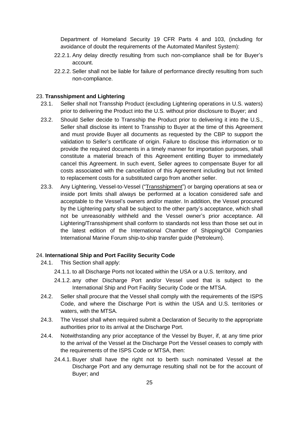Department of Homeland Security 19 CFR Parts 4 and 103, (including for avoidance of doubt the requirements of the Automated Manifest System):

- 22.2.1. Any delay directly resulting from such non-compliance shall be for Buyer's account.
- 22.2.2. Seller shall not be liable for failure of performance directly resulting from such non-compliance.

### <span id="page-24-0"></span>23. **Transshipment and Lightering**

- 23.1. Seller shall not Transship Product (excluding Lightering operations in U.S. waters) prior to delivering the Product into the U.S. without prior disclosure to Buyer; and
- 23.2. Should Seller decide to Transship the Product prior to delivering it into the U.S., Seller shall disclose its intent to Transship to Buyer at the time of this Agreement and must provide Buyer all documents as requested by the CBP to support the validation to Seller's certificate of origin. Failure to disclose this information or to provide the required documents in a timely manner for importation purposes, shall constitute a material breach of this Agreement entitling Buyer to immediately cancel this Agreement. In such event, Seller agrees to compensate Buyer for all costs associated with the cancellation of this Agreement including but not limited to replacement costs for a substituted cargo from another seller.
- 23.3. Any Lightering, Vessel-to-Vessel ("Transshipment") or barging operations at sea or inside port limits shall always be performed at a location considered safe and acceptable to the Vessel's owners and/or master. In addition, the Vessel procured by the Lightering party shall be subject to the other party's acceptance, which shall not be unreasonably withheld and the Vessel owner's prior acceptance. All Lightering/Transshipment shall conform to standards not less than those set out in the latest edition of the International Chamber of Shipping/Oil Companies International Marine Forum ship-to-ship transfer guide (Petroleum).

# <span id="page-24-1"></span>24. **International Ship and Port Facility Security Code**

- 24.1. This Section shall apply:
	- 24.1.1. to all Discharge Ports not located within the USA or a U.S. territory, and
	- 24.1.2. any other Discharge Port and/or Vessel used that is subject to the International Ship and Port Facility Security Code or the MTSA.
- 24.2. Seller shall procure that the Vessel shall comply with the requirements of the ISPS Code, and where the Discharge Port is within the USA and U.S. territories or waters, with the MTSA.
- 24.3. The Vessel shall when required submit a Declaration of Security to the appropriate authorities prior to its arrival at the Discharge Port.
- 24.4. Notwithstanding any prior acceptance of the Vessel by Buyer, if, at any time prior to the arrival of the Vessel at the Discharge Port the Vessel ceases to comply with the requirements of the ISPS Code or MTSA, then:
	- 24.4.1. Buyer shall have the right not to berth such nominated Vessel at the Discharge Port and any demurrage resulting shall not be for the account of Buyer; and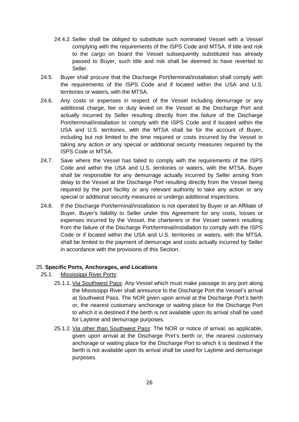- 24.4.2. Seller shall be obliged to substitute such nominated Vessel with a Vessel complying with the requirements of the ISPS Code and MTSA. If title and risk to the cargo on board the Vessel subsequently substituted has already passed to Buyer, such title and risk shall be deemed to have reverted to Seller.
- 24.5. Buyer shall procure that the Discharge Port/terminal/installation shall comply with the requirements of the ISPS Code and if located within the USA and U.S. territories or waters, with the MTSA.
- 24.6. Any costs or expenses in respect of the Vessel including demurrage or any additional charge, fee or duty levied on the Vessel at the Discharge Port and actually incurred by Seller resulting directly from the failure of the Discharge Port/terminal/installation to comply with the ISPS Code and if located within the USA and U.S. territories, with the MTSA shall be for the account of Buyer, including but not limited to the time required or costs incurred by the Vessel in taking any action or any special or additional security measures required by the ISPS Code or MTSA.
- 24.7. Save where the Vessel has failed to comply with the requirements of the ISPS Code and within the USA and U.S. territories or waters, with the MTSA, Buyer shall be responsible for any demurrage actually incurred by Seller arising from delay to the Vessel at the Discharge Port resulting directly from the Vessel being required by the port facility or any relevant authority to take any action or any special or additional security measures or undergo additional inspections.
- 24.8. If the Discharge Port/terminal/installation is not operated by Buyer or an Affiliate of Buyer, Buyer's liability to Seller under this Agreement for any costs, losses or expenses incurred by the Vessel, the charterers or the Vessel owners resulting from the failure of the Discharge Port/terminal/installation to comply with the ISPS Code or if located within the USA and U.S. territories or waters, with the MTSA, shall be limited to the payment of demurrage and costs actually incurred by Seller in accordance with the provisions of this Section.

### <span id="page-25-0"></span>25. **Specific Ports, Anchorages, and Locations**

- 25.1. Mississippi River Ports:
	- 25.1.1. Via Southwest Pass: Any Vessel which must make passage to any port along the Mississippi River shall announce to the Discharge Port the Vessel's arrival at Southwest Pass. The NOR given upon arrival at the Discharge Port's berth or, the nearest customary anchorage or waiting place for the Discharge Port to which it is destined if the berth is not available upon its arrival shall be used for Laytime and demurrage purposes.
	- 25.1.2. Via other than Southwest Pass: The NOR or notice of arrival, as applicable, given upon arrival at the Discharge Port's berth or, the nearest customary anchorage or waiting place for the Discharge Port to which it is destined if the berth is not available upon its arrival shall be used for Laytime and demurrage purposes.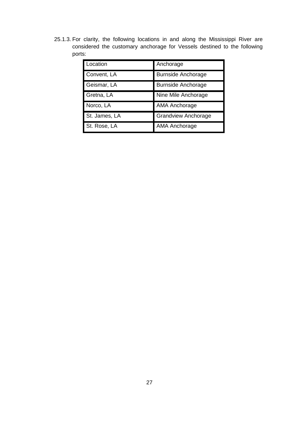25.1.3. For clarity, the following locations in and along the Mississippi River are considered the customary anchorage for Vessels destined to the following ports:

| Location      | Anchorage                  |
|---------------|----------------------------|
| Convent, LA   | <b>Burnside Anchorage</b>  |
| Geismar, LA   | <b>Burnside Anchorage</b>  |
| Gretna, LA    | Nine Mile Anchorage        |
| Norco, LA     | AMA Anchorage              |
| St. James, LA | <b>Grandview Anchorage</b> |
| St. Rose, LA  | <b>AMA Anchorage</b>       |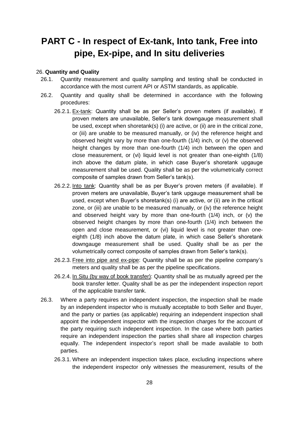# <span id="page-27-0"></span>**PART C - In respect of Ex-tank, Into tank, Free into pipe, Ex-pipe, and In situ deliveries**

#### <span id="page-27-1"></span>26. **Quantity and Quality**

- 26.1. Quantity measurement and quality sampling and testing shall be conducted in accordance with the most current API or ASTM standards, as applicable.
- 26.2. Quantity and quality shall be determined in accordance with the following procedures:
	- 26.2.1. Ex-tank: Quantity shall be as per Seller's proven meters (if available). If proven meters are unavailable, Seller's tank downgauge measurement shall be used, except when shoretank(s) (i) are active, or (ii) are in the critical zone, or (iii) are unable to be measured manually, or (iv) the reference height and observed height vary by more than one-fourth (1/4) inch, or (v) the observed height changes by more than one-fourth (1/4) inch between the open and close measurement, or (vi) liquid level is not greater than one-eighth (1/8) inch above the datum plate, in which case Buyer's shoretank upgauge measurement shall be used. Quality shall be as per the volumetrically correct composite of samples drawn from Seller's tank(s).
	- 26.2.2. Into tank: Quantity shall be as per Buyer's proven meters (if available). If proven meters are unavailable, Buyer's tank upgauge measurement shall be used, except when Buyer's shoretank(s) (i) are active, or (ii) are in the critical zone, or (iii) are unable to be measured manually, or (iv) the reference height and observed height vary by more than one-fourth (1/4) inch, or (v) the observed height changes by more than one-fourth (1/4) inch between the open and close measurement, or (vi) liquid level is not greater than oneeighth (1/8) inch above the datum plate, in which case Seller's shoretank downgauge measurement shall be used. Quality shall be as per the volumetrically correct composite of samples drawn from Seller's tank(s).
	- 26.2.3. Free into pipe and ex-pipe: Quantity shall be as per the pipeline company's meters and quality shall be as per the pipeline specifications.
	- 26.2.4. In Situ (by way of book transfer): Quantity shall be as mutually agreed per the book transfer letter. Quality shall be as per the independent inspection report of the applicable transfer tank.
- 26.3. Where a party requires an independent inspection, the inspection shall be made by an independent inspector who is mutually acceptable to both Seller and Buyer, and the party or parties (as applicable) requiring an independent inspection shall appoint the independent inspector with the inspection charges for the account of the party requiring such independent inspection. In the case where both parties require an independent inspection the parties shall share all inspection charges equally. The independent inspector's report shall be made available to both parties.
	- 26.3.1. Where an independent inspection takes place, excluding inspections where the independent inspector only witnesses the measurement, results of the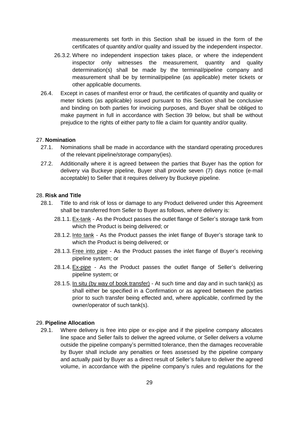measurements set forth in this Section shall be issued in the form of the certificates of quantity and/or quality and issued by the independent inspector.

- 26.3.2. Where no independent inspection takes place, or where the independent inspector only witnesses the measurement, quantity and quality determination(s) shall be made by the terminal/pipeline company and measurement shall be by terminal/pipeline (as applicable) meter tickets or other applicable documents.
- 26.4. Except in cases of manifest error or fraud, the certificates of quantity and quality or meter tickets (as applicable) issued pursuant to this Section shall be conclusive and binding on both parties for invoicing purposes, and Buyer shall be obliged to make payment in full in accordance with Section 39 below, but shall be without prejudice to the rights of either party to file a claim for quantity and/or quality.

# <span id="page-28-0"></span>27. **Nomination**

- 27.1. Nominations shall be made in accordance with the standard operating procedures of the relevant pipeline/storage company(ies).
- 27.2. Additionally where it is agreed between the parties that Buyer has the option for delivery via Buckeye pipeline, Buyer shall provide seven (7) days notice (e-mail acceptable) to Seller that it requires delivery by Buckeye pipeline.

#### <span id="page-28-1"></span>28. **Risk and Title**

- 28.1. Title to and risk of loss or damage to any Product delivered under this Agreement shall be transferred from Seller to Buyer as follows, where delivery is:
	- 28.1.1. Ex-tank As the Product passes the outlet flange of Seller's storage tank from which the Product is being delivered; or
	- 28.1.2. Into tank As the Product passes the inlet flange of Buyer's storage tank to which the Product is being delivered; or
	- 28.1.3. Free into pipe As the Product passes the inlet flange of Buyer's receiving pipeline system; or
	- 28.1.4. Ex-pipe As the Product passes the outlet flange of Seller's delivering pipeline system; or
	- 28.1.5. In situ (by way of book transfer) At such time and day and in such tank(s) as shall either be specified in a Confirmation or as agreed between the parties prior to such transfer being effected and, where applicable, confirmed by the owner/operator of such tank(s).

### <span id="page-28-2"></span>29. **Pipeline Allocation**

29.1. Where delivery is free into pipe or ex-pipe and if the pipeline company allocates line space and Seller fails to deliver the agreed volume, or Seller delivers a volume outside the pipeline company's permitted tolerance, then the damages recoverable by Buyer shall include any penalties or fees assessed by the pipeline company and actually paid by Buyer as a direct result of Seller's failure to deliver the agreed volume, in accordance with the pipeline company's rules and regulations for the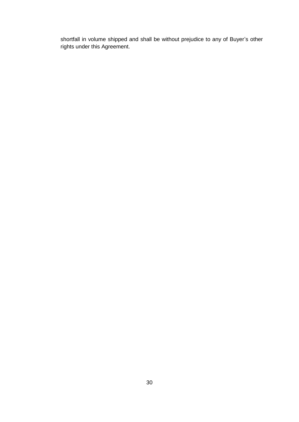shortfall in volume shipped and shall be without prejudice to any of Buyer's other rights under this Agreement.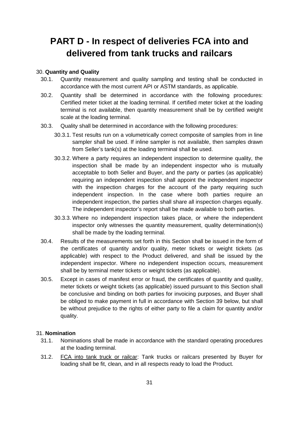# <span id="page-30-0"></span>**PART D - In respect of deliveries FCA into and delivered from tank trucks and railcars**

### <span id="page-30-1"></span>30. **Quantity and Quality**

- 30.1. Quantity measurement and quality sampling and testing shall be conducted in accordance with the most current API or ASTM standards, as applicable.
- 30.2. Quantity shall be determined in accordance with the following procedures: Certified meter ticket at the loading terminal. If certified meter ticket at the loading terminal is not available, then quantity measurement shall be by certified weight scale at the loading terminal.
- 30.3. Quality shall be determined in accordance with the following procedures:
	- 30.3.1. Test results run on a volumetrically correct composite of samples from in line sampler shall be used. If inline sampler is not available, then samples drawn from Seller's tank(s) at the loading terminal shall be used.
	- 30.3.2. Where a party requires an independent inspection to determine quality, the inspection shall be made by an independent inspector who is mutually acceptable to both Seller and Buyer, and the party or parties (as applicable) requiring an independent inspection shall appoint the independent inspector with the inspection charges for the account of the party requiring such independent inspection. In the case where both parties require an independent inspection, the parties shall share all inspection charges equally. The independent inspector's report shall be made available to both parties.
	- 30.3.3. Where no independent inspection takes place, or where the independent inspector only witnesses the quantity measurement, quality determination(s) shall be made by the loading terminal.
- 30.4. Results of the measurements set forth in this Section shall be issued in the form of the certificates of quantity and/or quality, meter tickets or weight tickets (as applicable) with respect to the Product delivered, and shall be issued by the independent inspector. Where no independent inspection occurs, measurement shall be by terminal meter tickets or weight tickets (as applicable).
- 30.5. Except in cases of manifest error or fraud, the certificates of quantity and quality, meter tickets or weight tickets (as applicable) issued pursuant to this Section shall be conclusive and binding on both parties for invoicing purposes, and Buyer shall be obliged to make payment in full in accordance with Section 39 below, but shall be without prejudice to the rights of either party to file a claim for quantity and/or quality.

## <span id="page-30-2"></span>31. **Nomination**

- 31.1. Nominations shall be made in accordance with the standard operating procedures at the loading terminal.
- 31.2. FCA into tank truck or railcar: Tank trucks or railcars presented by Buyer for loading shall be fit, clean, and in all respects ready to load the Product.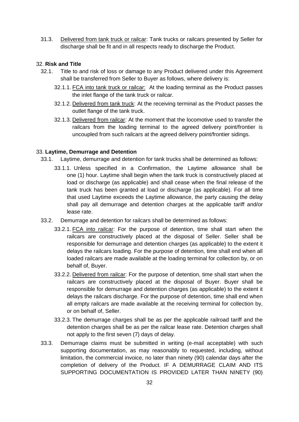31.3. Delivered from tank truck or railcar: Tank trucks or railcars presented by Seller for discharge shall be fit and in all respects ready to discharge the Product.

## <span id="page-31-0"></span>32. **Risk and Title**

- 32.1. Title to and risk of loss or damage to any Product delivered under this Agreement shall be transferred from Seller to Buyer as follows, where delivery is:
	- 32.1.1. FCA into tank truck or railcar: At the loading terminal as the Product passes the inlet flange of the tank truck or railcar.
	- 32.1.2. Delivered from tank truck: At the receiving terminal as the Product passes the outlet flange of the tank truck.
	- 32.1.3. Delivered from railcar: At the moment that the locomotive used to transfer the railcars from the loading terminal to the agreed delivery point/frontier is uncoupled from such railcars at the agreed delivery point/frontier sidings.

### <span id="page-31-1"></span>33. **Laytime, Demurrage and Detention**

- 33.1. Laytime, demurrage and detention for tank trucks shall be determined as follows:
	- 33.1.1. Unless specified in a Confirmation, the Laytime allowance shall be one (1) hour. Laytime shall begin when the tank truck is constructively placed at load or discharge (as applicable) and shall cease when the final release of the tank truck has been granted at load or discharge (as applicable). For all time that used Laytime exceeds the Laytime allowance, the party causing the delay shall pay all demurrage and detention charges at the applicable tariff and/or lease rate.
- 33.2. Demurrage and detention for railcars shall be determined as follows:
	- 33.2.1. FCA into railcar: For the purpose of detention, time shall start when the railcars are constructively placed at the disposal of Seller. Seller shall be responsible for demurrage and detention charges (as applicable) to the extent it delays the railcars loading. For the purpose of detention, time shall end when all loaded railcars are made available at the loading terminal for collection by, or on behalf of, Buyer.
	- 33.2.2. Delivered from railcar: For the purpose of detention, time shall start when the railcars are constructively placed at the disposal of Buyer. Buyer shall be responsible for demurrage and detention charges (as applicable) to the extent it delays the railcars discharge. For the purpose of detention, time shall end when all empty railcars are made available at the receiving terminal for collection by, or on behalf of, Seller.
	- 33.2.3. The demurrage charges shall be as per the applicable railroad tariff and the detention charges shall be as per the railcar lease rate. Detention charges shall not apply to the first seven (7) days of delay.
- 33.3. Demurrage claims must be submitted in writing (e-mail acceptable) with such supporting documentation, as may reasonably to requested, including, without limitation, the commercial invoice, no later than ninety (90) calendar days after the completion of delivery of the Product. IF A DEMURRAGE CLAIM AND ITS SUPPORTING DOCUMENTATION IS PROVIDED LATER THAN NINETY (90)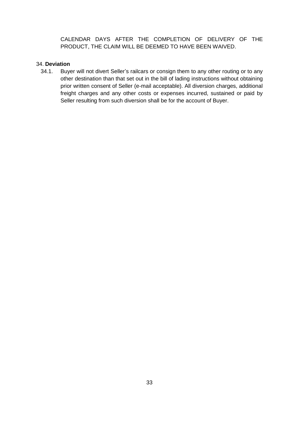CALENDAR DAYS AFTER THE COMPLETION OF DELIVERY OF THE PRODUCT, THE CLAIM WILL BE DEEMED TO HAVE BEEN WAIVED.

# <span id="page-32-0"></span>34. **Deviation**

34.1. Buyer will not divert Seller's railcars or consign them to any other routing or to any other destination than that set out in the bill of lading instructions without obtaining prior written consent of Seller (e-mail acceptable). All diversion charges, additional freight charges and any other costs or expenses incurred, sustained or paid by Seller resulting from such diversion shall be for the account of Buyer.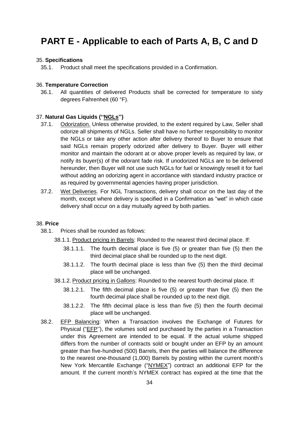# <span id="page-33-0"></span>**PART E - Applicable to each of Parts A, B, C and D**

### <span id="page-33-1"></span>35. **Specifications**

35.1. Product shall meet the specifications provided in a Confirmation.

## <span id="page-33-2"></span>36. **Temperature Correction**

36.1. All quantities of delivered Products shall be corrected for temperature to sixty degrees Fahrenheit (60 °F).

#### <span id="page-33-3"></span>37. **Natural Gas Liquids (''NGLs'')**

- 37.1. Odorization. Unless otherwise provided, to the extent required by Law, Seller shall odorize all shipments of NGLs. Seller shall have no further responsibility to monitor the NGLs or take any other action after delivery thereof to Buyer to ensure that said NGLs remain properly odorized after delivery to Buyer. Buyer will either monitor and maintain the odorant at or above proper levels as required by law, or notify its buyer(s) of the odorant fade risk. If unodorized NGLs are to be delivered hereunder, then Buyer will not use such NGLs for fuel or knowingly resell it for fuel without adding an odorizing agent in accordance with standard industry practice or as required by governmental agencies having proper jurisdiction.
- 37.2. Wet Deliveries. For NGL Transactions, delivery shall occur on the last day of the month, except where delivery is specified in a Confirmation as "wet" in which case delivery shall occur on a day mutually agreed by both parties.

#### <span id="page-33-4"></span>38. **Price**

- 38.1. Prices shall be rounded as follows:
	- 38.1.1. Product pricing in Barrels: Rounded to the nearest third decimal place. If:
		- 38.1.1.1. The fourth decimal place is five (5) or greater than five (5) then the third decimal place shall be rounded up to the next digit.
		- 38.1.1.2. The fourth decimal place is less than five (5) then the third decimal place will be unchanged.
	- 38.1.2. Product pricing in Gallons: Rounded to the nearest fourth decimal place. If:
		- 38.1.2.1. The fifth decimal place is five (5) or greater than five (5) then the fourth decimal place shall be rounded up to the next digit.
		- 38.1.2.2. The fifth decimal place is less than five (5) then the fourth decimal place will be unchanged.
- 38.2. EFP Balancing: When a Transaction involves the Exchange of Futures for Physical ("EFP"), the volumes sold and purchased by the parties in a Transaction under this Agreement are intended to be equal. If the actual volume shipped differs from the number of contracts sold or bought under an EFP by an amount greater than five-hundred (500) Barrels, then the parties will balance the difference to the nearest one-thousand (1,000) Barrels by posting within the current month's New York Mercantile Exchange ("NYMEX") contract an additional EFP for the amount. If the current month's NYMEX contract has expired at the time that the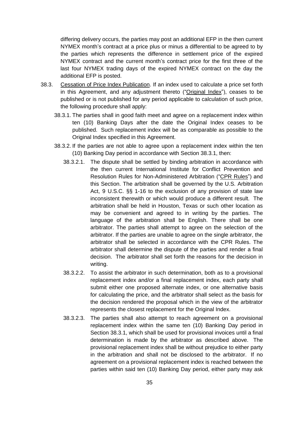differing delivery occurs, the parties may post an additional EFP in the then current NYMEX month's contract at a price plus or minus a differential to be agreed to by the parties which represents the difference in settlement price of the expired NYMEX contract and the current month's contract price for the first three of the last four NYMEX trading days of the expired NYMEX contract on the day the additional EFP is posted.

- 38.3. Cessation of Price Index Publication. If an index used to calculate a price set forth in this Agreement, and any adjustment thereto ("Original Index"), ceases to be published or is not published for any period applicable to calculation of such price, the following procedure shall apply:
	- 38.3.1. The parties shall in good faith meet and agree on a replacement index within ten (10) Banking Days after the date the Original Index ceases to be published. Such replacement index will be as comparable as possible to the Original Index specified in this Agreement.
	- 38.3.2. If the parties are not able to agree upon a replacement index within the ten (10) Banking Day period in accordance with Section 38.3.1, then:
		- 38.3.2.1. The dispute shall be settled by binding arbitration in accordance with the then current International Institute for Conflict Prevention and Resolution Rules for Non-Administered Arbitration ("CPR Rules") and this Section. The arbitration shall be governed by the U.S. Arbitration Act, 9 U.S.C. §§ 1-16 to the exclusion of any provision of state law inconsistent therewith or which would produce a different result. The arbitration shall be held in Houston, Texas or such other location as may be convenient and agreed to in writing by the parties. The language of the arbitration shall be English. There shall be one arbitrator. The parties shall attempt to agree on the selection of the arbitrator. If the parties are unable to agree on the single arbitrator, the arbitrator shall be selected in accordance with the CPR Rules. The arbitrator shall determine the dispute of the parties and render a final decision. The arbitrator shall set forth the reasons for the decision in writing.
		- 38.3.2.2. To assist the arbitrator in such determination, both as to a provisional replacement index and/or a final replacement index, each party shall submit either one proposed alternate index, or one alternative basis for calculating the price, and the arbitrator shall select as the basis for the decision rendered the proposal which in the view of the arbitrator represents the closest replacement for the Original Index.
		- 38.3.2.3. The parties shall also attempt to reach agreement on a provisional replacement index within the same ten (10) Banking Day period in Section 38.3.1, which shall be used for provisional invoices until a final determination is made by the arbitrator as described above. The provisional replacement index shall be without prejudice to either party in the arbitration and shall not be disclosed to the arbitrator. If no agreement on a provisional replacement index is reached between the parties within said ten (10) Banking Day period, either party may ask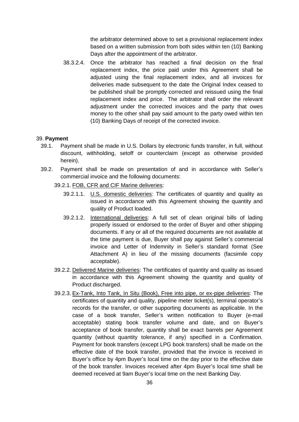the arbitrator determined above to set a provisional replacement index based on a written submission from both sides within ten (10) Banking Days after the appointment of the arbitrator.

38.3.2.4. Once the arbitrator has reached a final decision on the final replacement index, the price paid under this Agreement shall be adjusted using the final replacement index, and all invoices for deliveries made subsequent to the date the Original Index ceased to be published shall be promptly corrected and reissued using the final replacement index and price. The arbitrator shall order the relevant adjustment under the corrected invoices and the party that owes money to the other shall pay said amount to the party owed within ten (10) Banking Days of receipt of the corrected invoice.

#### <span id="page-35-0"></span>39. **Payment**

- 39.1. Payment shall be made in U.S. Dollars by electronic funds transfer, in full, without discount, withholding, setoff or counterclaim (except as otherwise provided herein).
- 39.2. Payment shall be made on presentation of and in accordance with Seller's commercial invoice and the following documents:
	- 39.2.1. FOB, CFR and CIF Marine deliveries:
		- 39.2.1.1. U.S. domestic deliveries: The certificates of quantity and quality as issued in accordance with this Agreement showing the quantity and quality of Product loaded.
		- 39.2.1.2. International deliveries: A full set of clean original bills of lading properly issued or endorsed to the order of Buyer and other shipping documents. If any or all of the required documents are not available at the time payment is due, Buyer shall pay against Seller's commercial invoice and Letter of Indemnity in Seller's standard format (See Attachment A) in lieu of the missing documents (facsimile copy acceptable).
	- 39.2.2. Delivered Marine deliveries: The certificates of quantity and quality as issued in accordance with this Agreement showing the quantity and quality of Product discharged.
	- 39.2.3. Ex-Tank, Into Tank, In Situ (Book), Free into pipe, or ex-pipe deliveries: The certificates of quantity and quality, pipeline meter ticket(s), terminal operator's records for the transfer, or other supporting documents as applicable. In the case of a book transfer, Seller's written notification to Buyer (e-mail acceptable) stating book transfer volume and date, and on Buyer's acceptance of book transfer, quantity shall be exact barrels per Agreement quantity (without quantity tolerance, if any) specified in a Confirmation. Payment for book transfers (except LPG book transfers) shall be made on the effective date of the book transfer, provided that the invoice is received in Buyer's office by 4pm Buyer's local time on the day prior to the effective date of the book transfer. Invoices received after 4pm Buyer's local time shall be deemed received at 9am Buyer's local time on the next Banking Day.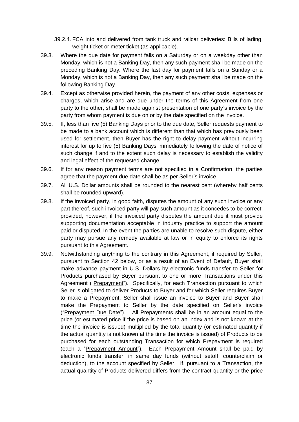- 39.2.4. FCA into and delivered from tank truck and railcar deliveries: Bills of lading, weight ticket or meter ticket (as applicable).
- 39.3. Where the due date for payment falls on a Saturday or on a weekday other than Monday, which is not a Banking Day, then any such payment shall be made on the preceding Banking Day. Where the last day for payment falls on a Sunday or a Monday, which is not a Banking Day, then any such payment shall be made on the following Banking Day.
- 39.4. Except as otherwise provided herein, the payment of any other costs, expenses or charges, which arise and are due under the terms of this Agreement from one party to the other, shall be made against presentation of one party's invoice by the party from whom payment is due on or by the date specified on the invoice.
- 39.5. If, less than five (5) Banking Days prior to the due date, Seller requests payment to be made to a bank account which is different than that which has previously been used for settlement, then Buyer has the right to delay payment without incurring interest for up to five (5) Banking Days immediately following the date of notice of such change if and to the extent such delay is necessary to establish the validity and legal effect of the requested change.
- 39.6. If for any reason payment terms are not specified in a Confirmation, the parties agree that the payment due date shall be as per Seller's invoice.
- 39.7. All U.S. Dollar amounts shall be rounded to the nearest cent (whereby half cents shall be rounded upward).
- 39.8. If the invoiced party, in good faith, disputes the amount of any such invoice or any part thereof, such invoiced party will pay such amount as it concedes to be correct; provided, however, if the invoiced party disputes the amount due it must provide supporting documentation acceptable in industry practice to support the amount paid or disputed. In the event the parties are unable to resolve such dispute, either party may pursue any remedy available at law or in equity to enforce its rights pursuant to this Agreement.
- 39.9. Notwithstanding anything to the contrary in this Agreement, if required by Seller, pursuant to Section 42 below, or as a result of an Event of Default, Buyer shall make advance payment in U.S. Dollars by electronic funds transfer to Seller for Products purchased by Buyer pursuant to one or more Transactions under this Agreement ("Prepayment"). Specifically, for each Transaction pursuant to which Seller is obligated to deliver Products to Buyer and for which Seller requires Buyer to make a Prepayment, Seller shall issue an invoice to Buyer and Buyer shall make the Prepayment to Seller by the date specified on Seller's invoice ("Prepayment Due Date"). All Prepayments shall be in an amount equal to the price (or estimated price if the price is based on an index and is not known at the time the invoice is issued) multiplied by the total quantity (or estimated quantity if the actual quantity is not known at the time the invoice is issued) of Products to be purchased for each outstanding Transaction for which Prepayment is required (each a "Prepayment Amount"). Each Prepayment Amount shall be paid by electronic funds transfer, in same day funds (without setoff, counterclaim or deduction), to the account specified by Seller. If, pursuant to a Transaction, the actual quantity of Products delivered differs from the contract quantity or the price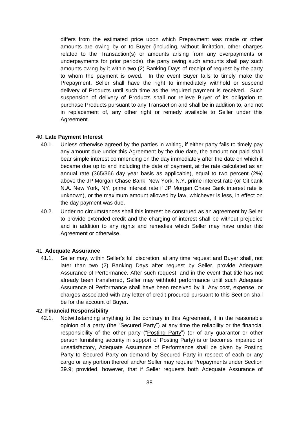differs from the estimated price upon which Prepayment was made or other amounts are owing by or to Buyer (including, without limitation, other charges related to the Transaction(s) or amounts arising from any overpayments or underpayments for prior periods), the party owing such amounts shall pay such amounts owing by it within two (2) Banking Days of receipt of request by the party to whom the payment is owed. In the event Buyer fails to timely make the Prepayment, Seller shall have the right to immediately withhold or suspend delivery of Products until such time as the required payment is received. Such suspension of delivery of Products shall not relieve Buyer of its obligation to purchase Products pursuant to any Transaction and shall be in addition to, and not in replacement of, any other right or remedy available to Seller under this Agreement.

## 40. **Late Payment Interest**

- 40.1. Unless otherwise agreed by the parties in writing, if either party fails to timely pay any amount due under this Agreement by the due date, the amount not paid shall bear simple interest commencing on the day immediately after the date on which it became due up to and including the date of payment, at the rate calculated as an annual rate (365/366 day year basis as applicable), equal to two percent (2%) above the JP Morgan Chase Bank, New York, N.Y. prime interest rate (or Citibank N.A. New York, NY, prime interest rate if JP Morgan Chase Bank interest rate is unknown), or the maximum amount allowed by law, whichever is less, in effect on the day payment was due.
- 40.2. Under no circumstances shall this interest be construed as an agreement by Seller to provide extended credit and the charging of interest shall be without prejudice and in addition to any rights and remedies which Seller may have under this Agreement or otherwise.

# 41. **Adequate Assurance**

41.1. Seller may, within Seller's full discretion, at any time request and Buyer shall, not later than two (2) Banking Days after request by Seller, provide Adequate Assurance of Performance. After such request, and in the event that title has not already been transferred, Seller may withhold performance until such Adequate Assurance of Performance shall have been received by it. Any cost, expense, or charges associated with any letter of credit procured pursuant to this Section shall be for the account of Buyer.

# 42. **Financial Responsibility**

42.1. Notwithstanding anything to the contrary in this Agreement, if in the reasonable opinion of a party (the "Secured Party") at any time the reliability or the financial responsibility of the other party ("Posting Party") (or of any guarantor or other person furnishing security in support of Posting Party) is or becomes impaired or unsatisfactory, Adequate Assurance of Performance shall be given by Posting Party to Secured Party on demand by Secured Party in respect of each or any cargo or any portion thereof and/or Seller may require Prepayments under Section 39.9; provided, however, that if Seller requests both Adequate Assurance of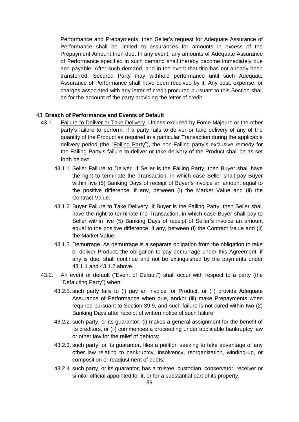Performance and Prepayments, then Seller's request for Adequate Assurance of Performance shall be limited to assurances for amounts in excess of the Prepayment Amount then due. In any event, any amounts of Adequate Assurance of Performance specified in such demand shall thereby become immediately due and payable. After such demand, and in the event that title has not already been transferred, Secured Party may withhold performance until such Adequate Assurance of Performance shall have been received by it. Any cost, expense, or charges associated with any letter of credit procured pursuant to this Section shall be for the account of the party providing the letter of credit.

## 43. **Breach of Performance and Events of Default**

- 43.1. Failure to Deliver or Take Delivery. Unless excused by Force Majeure or the other party's failure to perform, if a party fails to deliver or take delivery of any of the quantity of the Product as required in a particular Transaction during the applicable delivery period (the "Failing Party"), the non-Failing party's exclusive remedy for the Failing Party's failure to deliver or take delivery of the Product shall be as set forth below:
	- 43.1.1. Seller Failure to Deliver. If Seller is the Failing Party, then Buyer shall have the right to terminate the Transaction, in which case Seller shall pay Buyer within five (5) Banking Days of receipt of Buyer's invoice an amount equal to the positive difference, if any, between (i) the Market Value and (ii) the Contract Value.
	- 43.1.2. Buyer Failure to Take Delivery. If Buyer is the Failing Party, then Seller shall have the right to terminate the Transaction, in which case Buyer shall pay to Seller within five (5) Banking Days of receipt of Seller's invoice an amount equal to the positive difference, if any, between (i) the Contract Value and (ii) the Market Value.
	- 43.1.3. Demurrage. As demurrage is a separate obligation from the obligation to take or deliver Product, the obligation to pay demurrage under this Agreement, if any is due, shall continue and not be extinguished by the payments under 43.1.1 and 43.1.2 above.
- 43.2. An event of default ("Event of Default") shall occur with respect to a party (the "Defaulting Party") when:
	- 43.2.1. such party fails to (i) pay an invoice for Product, or (ii) provide Adequate Assurance of Performance when due, and/or (iii) make Prepayments when required pursuant to Section 39.9, and such failure is not cured within two (2) Banking Days after receipt of written notice of such failure;
	- 43.2.2. such party, or its guarantor, (i) makes a general assignment for the benefit of its creditors, or (ii) commences a proceeding under applicable bankruptcy law or other law for the relief of debtors;
	- 43.2.3. such party, or its guarantor, files a petition seeking to take advantage of any other law relating to bankruptcy, insolvency, reorganization, winding-up, or composition or readjustment of debts;
	- 43.2.4. such party, or its guarantor, has a trustee, custodian, conservator, receiver or similar official appointed for it, or for a substantial part of its property;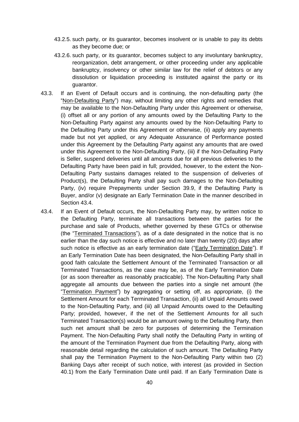- 43.2.5. such party, or its guarantor, becomes insolvent or is unable to pay its debts as they become due; or
- 43.2.6. such party, or its guarantor, becomes subject to any involuntary bankruptcy, reorganization, debt arrangement, or other proceeding under any applicable bankruptcy, insolvency or other similar law for the relief of debtors or any dissolution or liquidation proceeding is instituted against the party or its guarantor.
- 43.3. If an Event of Default occurs and is continuing, the non-defaulting party (the "Non-Defaulting Party") may, without limiting any other rights and remedies that may be available to the Non-Defaulting Party under this Agreement or otherwise, (i) offset all or any portion of any amounts owed by the Defaulting Party to the Non-Defaulting Party against any amounts owed by the Non-Defaulting Party to the Defaulting Party under this Agreement or otherwise, (ii) apply any payments made but not yet applied, or any Adequate Assurance of Performance posted under this Agreement by the Defaulting Party against any amounts that are owed under this Agreement to the Non-Defaulting Party, (iii) if the Non-Defaulting Party is Seller, suspend deliveries until all amounts due for all previous deliveries to the Defaulting Party have been paid in full; provided, however, to the extent the Non-Defaulting Party sustains damages related to the suspension of deliveries of Product(s), the Defaulting Party shall pay such damages to the Non-Defaulting Party, (iv) require Prepayments under Section 39.9, if the Defaulting Party is Buyer, and/or (v) designate an Early Termination Date in the manner described in Section 43.4.
- 43.4. If an Event of Default occurs, the Non-Defaulting Party may, by written notice to the Defaulting Party, terminate all transactions between the parties for the purchase and sale of Products, whether governed by these GTCs or otherwise (the "Terminated Transactions"), as of a date designated in the notice that is no earlier than the day such notice is effective and no later than twenty (20) days after such notice is effective as an early termination date ("Early Termination Date"). If an Early Termination Date has been designated, the Non-Defaulting Party shall in good faith calculate the Settlement Amount of the Terminated Transaction or all Terminated Transactions, as the case may be, as of the Early Termination Date (or as soon thereafter as reasonably practicable). The Non-Defaulting Party shall aggregate all amounts due between the parties into a single net amount (the "Termination Payment") by aggregating or setting off, as appropriate, (i) the Settlement Amount for each Terminated Transaction, (ii) all Unpaid Amounts owed to the Non-Defaulting Party, and (iii) all Unpaid Amounts owed to the Defaulting Party; provided, however, if the net of the Settlement Amounts for all such Terminated Transaction(s) would be an amount owing to the Defaulting Party, then such net amount shall be zero for purposes of determining the Termination Payment. The Non-Defaulting Party shall notify the Defaulting Party in writing of the amount of the Termination Payment due from the Defaulting Party, along with reasonable detail regarding the calculation of such amount. The Defaulting Party shall pay the Termination Payment to the Non-Defaulting Party within two (2) Banking Days after receipt of such notice, with interest (as provided in Section 40.1) from the Early Termination Date until paid. If an Early Termination Date is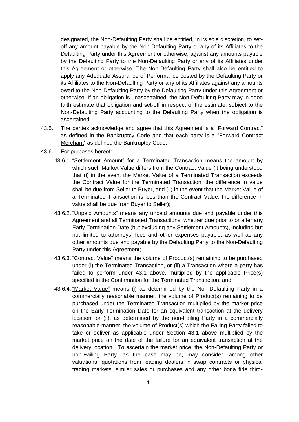designated, the Non-Defaulting Party shall be entitled, in its sole discretion, to setoff any amount payable by the Non-Defaulting Party or any of its Affiliates to the Defaulting Party under this Agreement or otherwise, against any amounts payable by the Defaulting Party to the Non-Defaulting Party or any of its Affiliates under this Agreement or otherwise. The Non-Defaulting Party shall also be entitled to apply any Adequate Assurance of Performance posted by the Defaulting Party or its Affiliates to the Non-Defaulting Party or any of its Affiliates against any amounts owed to the Non-Defaulting Party by the Defaulting Party under this Agreement or otherwise. If an obligation is unascertained, the Non-Defaulting Party may in good faith estimate that obligation and set-off in respect of the estimate, subject to the Non-Defaulting Party accounting to the Defaulting Party when the obligation is ascertained.

- 43.5. The parties acknowledge and agree that this Agreement is a "Forward Contract" as defined in the Bankruptcy Code and that each party is a "Forward Contract Merchant" as defined the Bankruptcy Code.
- 43.6. For purposes hereof:
	- 43.6.1. "Settlement Amount" for a Terminated Transaction means the amount by which such Market Value differs from the Contract Value (it being understood that (i) in the event the Market Value of a Terminated Transaction exceeds the Contract Value for the Terminated Transaction, the difference in value shall be due from Seller to Buyer, and (ii) in the event that the Market Value of a Terminated Transaction is less than the Contract Value, the difference in value shall be due from Buyer to Seller);
	- 43.6.2. "Unpaid Amounts" means any unpaid amounts due and payable under this Agreement and all Terminated Transactions, whether due prior to or after any Early Termination Date (but excluding any Settlement Amounts), including but not limited to attorneys' fees and other expenses payable, as well as any other amounts due and payable by the Defaulting Party to the Non-Defaulting Party under this Agreement;
	- 43.6.3. "Contract Value" means the volume of Product(s) remaining to be purchased under (i) the Terminated Transaction, or (ii) a Transaction where a party has failed to perform under 43.1 above, multiplied by the applicable Price(s) specified in the Confirmation for the Terminated Transaction; and
	- 43.6.4. "Market Value" means (i) as determined by the Non-Defaulting Party in a commercially reasonable manner, the volume of Product(s) remaining to be purchased under the Terminated Transaction multiplied by the market price on the Early Termination Date for an equivalent transaction at the delivery location, or (ii), as determined by the non-Failing Party in a commercially reasonable manner, the volume of Product(s) which the Failing Party failed to take or deliver as applicable under Section 43.1 above multiplied by the market price on the date of the failure for an equivalent transaction at the delivery location. To ascertain the market price, the Non-Defaulting Party or non-Failing Party, as the case may be, may consider, among other valuations, quotations from leading dealers in swap contracts or physical trading markets, similar sales or purchases and any other bona fide third-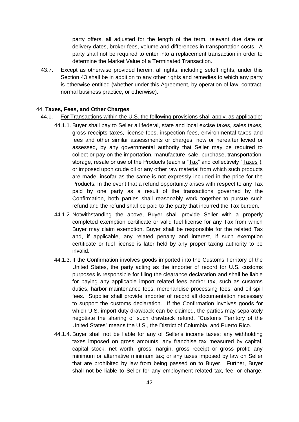party offers, all adjusted for the length of the term, relevant due date or delivery dates, broker fees, volume and differences in transportation costs. A party shall not be required to enter into a replacement transaction in order to determine the Market Value of a Terminated Transaction.

43.7. Except as otherwise provided herein, all rights, including setoff rights, under this Section 43 shall be in addition to any other rights and remedies to which any party is otherwise entitled (whether under this Agreement, by operation of law, contract, normal business practice, or otherwise).

## 44. **Taxes, Fees, and Other Charges**

- 44.1. For Transactions within the U.S. the following provisions shall apply, as applicable:
	- 44.1.1. Buyer shall pay to Seller all federal, state and local excise taxes, sales taxes, gross receipts taxes, license fees, inspection fees, environmental taxes and fees and other similar assessments or charges, now or hereafter levied or assessed, by any governmental authority that Seller may be required to collect or pay on the importation, manufacture, sale, purchase, transportation, storage, resale or use of the Products (each a "Tax" and collectively "Taxes"), or imposed upon crude oil or any other raw material from which such products are made, insofar as the same is not expressly included in the price for the Products. In the event that a refund opportunity arises with respect to any Tax paid by one party as a result of the transactions governed by the Confirmation, both parties shall reasonably work together to pursue such refund and the refund shall be paid to the party that incurred the Tax burden.
	- 44.1.2. Notwithstanding the above, Buyer shall provide Seller with a properly completed exemption certificate or valid fuel license for any Tax from which Buyer may claim exemption. Buyer shall be responsible for the related Tax and, if applicable, any related penalty and interest, if such exemption certificate or fuel license is later held by any proper taxing authority to be invalid.
	- 44.1.3. If the Confirmation involves goods imported into the Customs Territory of the United States, the party acting as the importer of record for U.S. customs purposes is responsible for filing the clearance declaration and shall be liable for paying any applicable import related fees and/or tax, such as customs duties, harbor maintenance fees, merchandise processing fees, and oil spill fees. Supplier shall provide importer of record all documentation necessary to support the customs declaration. If the Confirmation involves goods for which U.S. import duty drawback can be claimed, the parties may separately negotiate the sharing of such drawback refund. "Customs Territory of the United States" means the U.S., the District of Columbia, and Puerto Rico.
	- 44.1.4. Buyer shall not be liable for any of Seller's income taxes; any withholding taxes imposed on gross amounts; any franchise tax measured by capital, capital stock, net worth, gross margin, gross receipt or gross profit; any minimum or alternative minimum tax; or any taxes imposed by law on Seller that are prohibited by law from being passed on to Buyer. Further, Buyer shall not be liable to Seller for any employment related tax, fee, or charge.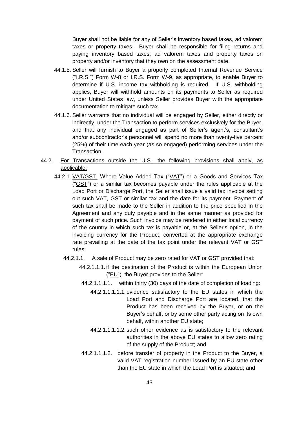Buyer shall not be liable for any of Seller's inventory based taxes, ad valorem taxes or property taxes. Buyer shall be responsible for filing returns and paying inventory based taxes, ad valorem taxes and property taxes on property and/or inventory that they own on the assessment date.

- 44.1.5. Seller will furnish to Buyer a properly completed Internal Revenue Service ("I.R.S.") Form W-8 or I.R.S. Form W-9, as appropriate, to enable Buyer to determine if U.S. income tax withholding is required. If U.S. withholding applies, Buyer will withhold amounts on its payments to Seller as required under United States law, unless Seller provides Buyer with the appropriate documentation to mitigate such tax.
- 44.1.6. Seller warrants that no individual will be engaged by Seller, either directly or indirectly, under the Transaction to perform services exclusively for the Buyer, and that any individual engaged as part of Seller's agent's, consultant's and/or subcontractor's personnel will spend no more than twenty-five percent (25%) of their time each year (as so engaged) performing services under the Transaction.
- 44.2. For Transactions outside the U.S., the following provisions shall apply, as applicable:
	- 44.2.1. VAT/GST. Where Value Added Tax ("VAT") or a Goods and Services Tax ("GST") or a similar tax becomes payable under the rules applicable at the Load Port or Discharge Port, the Seller shall issue a valid tax invoice setting out such VAT, GST or similar tax and the date for its payment. Payment of such tax shall be made to the Seller in addition to the price specified in the Agreement and any duty payable and in the same manner as provided for payment of such price. Such invoice may be rendered in either local currency of the country in which such tax is payable or, at the Seller's option, in the invoicing currency for the Product, converted at the appropriate exchange rate prevailing at the date of the tax point under the relevant VAT or GST rules.
		- 44.2.1.1. A sale of Product may be zero rated for VAT or GST provided that:
			- 44.2.1.1.1. if the destination of the Product is within the European Union ("EU"), the Buyer provides to the Seller:
			- 44.2.1.1.1.1. within thirty (30) days of the date of completion of loading:
				- 44.2.1.1.1.1.1. evidence satisfactory to the EU states in which the Load Port and Discharge Port are located, that the Product has been received by the Buyer, or on the Buyer's behalf, or by some other party acting on its own behalf, within another EU state;
				- 44.2.1.1.1.1.2. such other evidence as is satisfactory to the relevant authorities in the above EU states to allow zero rating of the supply of the Product; and
			- 44.2.1.1.1.2. before transfer of property in the Product to the Buyer, a valid VAT registration number issued by an EU state other than the EU state in which the Load Port is situated; and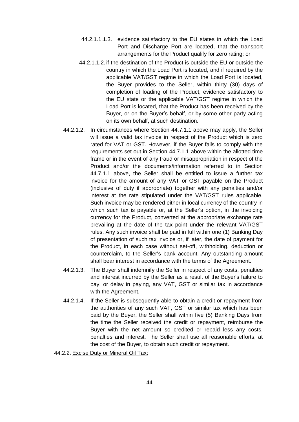- 44.2.1.1.1.3. evidence satisfactory to the EU states in which the Load Port and Discharge Port are located, that the transport arrangements for the Product qualify for zero rating; or
- 44.2.1.1.2. if the destination of the Product is outside the EU or outside the country in which the Load Port is located, and if required by the applicable VAT/GST regime in which the Load Port is located, the Buyer provides to the Seller, within thirty (30) days of completion of loading of the Product, evidence satisfactory to the EU state or the applicable VAT/GST regime in which the Load Port is located, that the Product has been received by the Buyer, or on the Buyer's behalf, or by some other party acting on its own behalf, at such destination.
- 44.2.1.2. In circumstances where Section 44.7.1.1 above may apply, the Seller will issue a valid tax invoice in respect of the Product which is zero rated for VAT or GST. However, if the Buyer fails to comply with the requirements set out in Section 44.7.1.1 above within the allotted time frame or in the event of any fraud or misappropriation in respect of the Product and/or the documents/information referred to in Section 44.7.1.1 above, the Seller shall be entitled to issue a further tax invoice for the amount of any VAT or GST payable on the Product (inclusive of duty if appropriate) together with any penalties and/or interest at the rate stipulated under the VAT/GST rules applicable. Such invoice may be rendered either in local currency of the country in which such tax is payable or, at the Seller's option, in the invoicing currency for the Product, converted at the appropriate exchange rate prevailing at the date of the tax point under the relevant VAT/GST rules. Any such invoice shall be paid in full within one (1) Banking Day of presentation of such tax invoice or, if later, the date of payment for the Product, in each case without set-off, withholding, deduction or counterclaim, to the Seller's bank account. Any outstanding amount shall bear interest in accordance with the terms of the Agreement.
- 44.2.1.3. The Buyer shall indemnify the Seller in respect of any costs, penalties and interest incurred by the Seller as a result of the Buyer's failure to pay, or delay in paying, any VAT, GST or similar tax in accordance with the Agreement.
- 44.2.1.4. If the Seller is subsequently able to obtain a credit or repayment from the authorities of any such VAT, GST or similar tax which has been paid by the Buyer, the Seller shall within five (5) Banking Days from the time the Seller received the credit or repayment, reimburse the Buyer with the net amount so credited or repaid less any costs, penalties and interest. The Seller shall use all reasonable efforts, at the cost of the Buyer, to obtain such credit or repayment.
- 44.2.2. Excise Duty or Mineral Oil Tax: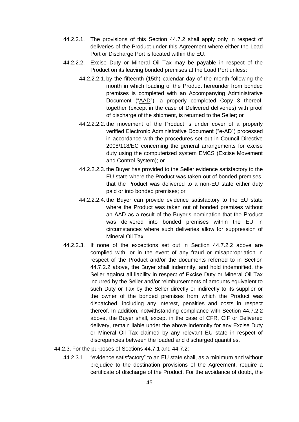- 44.2.2.1. The provisions of this Section 44.7.2 shall apply only in respect of deliveries of the Product under this Agreement where either the Load Port or Discharge Port is located within the EU.
- 44.2.2.2. Excise Duty or Mineral Oil Tax may be payable in respect of the Product on its leaving bonded premises at the Load Port unless:
	- 44.2.2.2.1. by the fifteenth (15th) calendar day of the month following the month in which loading of the Product hereunder from bonded premises is completed with an Accompanying Administrative Document ("AAD"), a properly completed Copy 3 thereof, together (except in the case of Delivered deliveries) with proof of discharge of the shipment, is returned to the Seller; or
	- 44.2.2.2.2. the movement of the Product is under cover of a properly verified Electronic Administrative Document ("e-AD") processed in accordance with the procedures set out in Council Directive 2008/118/EC concerning the general arrangements for excise duty using the computerized system EMCS (Excise Movement and Control System); or
	- 44.2.2.2.3. the Buyer has provided to the Seller evidence satisfactory to the EU state where the Product was taken out of bonded premises, that the Product was delivered to a non-EU state either duty paid or into bonded premises; or
	- 44.2.2.2.4. the Buyer can provide evidence satisfactory to the EU state where the Product was taken out of bonded premises without an AAD as a result of the Buyer's nomination that the Product was delivered into bonded premises within the EU in circumstances where such deliveries allow for suppression of Mineral Oil Tax.
- 44.2.2.3. If none of the exceptions set out in Section 44.7.2.2 above are complied with, or in the event of any fraud or misappropriation in respect of the Product and/or the documents referred to in Section 44.7.2.2 above, the Buyer shall indemnify, and hold indemnified, the Seller against all liability in respect of Excise Duty or Mineral Oil Tax incurred by the Seller and/or reimbursements of amounts equivalent to such Duty or Tax by the Seller directly or indirectly to its supplier or the owner of the bonded premises from which the Product was dispatched, including any interest, penalties and costs in respect thereof. In addition, notwithstanding compliance with Section 44.7.2.2 above, the Buyer shall, except in the case of CFR, CIF or Delivered delivery, remain liable under the above indemnity for any Excise Duty or Mineral Oil Tax claimed by any relevant EU state in respect of discrepancies between the loaded and discharged quantities.
- 44.2.3. For the purposes of Sections 44.7.1 and 44.7.2:
	- 44.2.3.1. "evidence satisfactory" to an EU state shall, as a minimum and without prejudice to the destination provisions of the Agreement, require a certificate of discharge of the Product. For the avoidance of doubt, the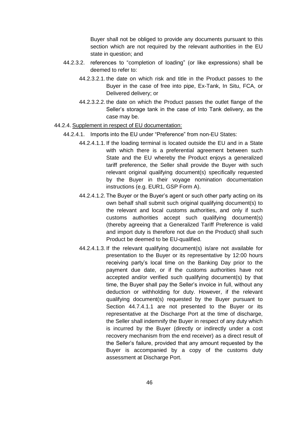Buyer shall not be obliged to provide any documents pursuant to this section which are not required by the relevant authorities in the EU state in question; and

- 44.2.3.2. references to "completion of loading" (or like expressions) shall be deemed to refer to:
	- 44.2.3.2.1. the date on which risk and title in the Product passes to the Buyer in the case of free into pipe, Ex-Tank, In Situ, FCA, or Delivered delivery; or
	- 44.2.3.2.2. the date on which the Product passes the outlet flange of the Seller's storage tank in the case of Into Tank delivery, as the case may be.

#### 44.2.4. Supplement in respect of EU documentation:

- 44.2.4.1. Imports into the EU under "Preference" from non-EU States:
	- 44.2.4.1.1. If the loading terminal is located outside the EU and in a State with which there is a preferential agreement between such State and the EU whereby the Product enjoys a generalized tariff preference, the Seller shall provide the Buyer with such relevant original qualifying document(s) specifically requested by the Buyer in their voyage nomination documentation instructions (e.g. EUR1, GSP Form A).
	- 44.2.4.1.2. The Buyer or the Buyer's agent or such other party acting on its own behalf shall submit such original qualifying document(s) to the relevant and local customs authorities, and only if such customs authorities accept such qualifying document(s) (thereby agreeing that a Generalized Tariff Preference is valid and import duty is therefore not due on the Product) shall such Product be deemed to be EU-qualified.
	- 44.2.4.1.3. If the relevant qualifying document(s) is/are not available for presentation to the Buyer or its representative by 12:00 hours receiving party's local time on the Banking Day prior to the payment due date, or if the customs authorities have not accepted and/or verified such qualifying document(s) by that time, the Buyer shall pay the Seller's invoice in full, without any deduction or withholding for duty. However, if the relevant qualifying document(s) requested by the Buyer pursuant to Section 44.7.4.1.1 are not presented to the Buyer or its representative at the Discharge Port at the time of discharge, the Seller shall indemnify the Buyer in respect of any duty which is incurred by the Buyer (directly or indirectly under a cost recovery mechanism from the end receiver) as a direct result of the Seller's failure, provided that any amount requested by the Buyer is accompanied by a copy of the customs duty assessment at Discharge Port.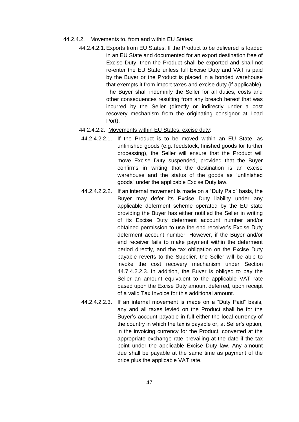- 44.2.4.2. Movements to, from and within EU States:
	- 44.2.4.2.1. Exports from EU States. If the Product to be delivered is loaded in an EU State and documented for an export destination free of Excise Duty, then the Product shall be exported and shall not re-enter the EU State unless full Excise Duty and VAT is paid by the Buyer or the Product is placed in a bonded warehouse that exempts it from import taxes and excise duty (if applicable). The Buyer shall indemnify the Seller for all duties, costs and other consequences resulting from any breach hereof that was incurred by the Seller (directly or indirectly under a cost recovery mechanism from the originating consignor at Load Port).
	- 44.2.4.2.2. Movements within EU States, excise duty:
	- 44.2.4.2.2.1. If the Product is to be moved within an EU State, as unfinished goods (e.g. feedstock, finished goods for further processing), the Seller will ensure that the Product will move Excise Duty suspended, provided that the Buyer confirms in writing that the destination is an excise warehouse and the status of the goods as "unfinished goods" under the applicable Excise Duty law.
	- 44.2.4.2.2.2. If an internal movement is made on a "Duty Paid" basis, the Buyer may defer its Excise Duty liability under any applicable deferment scheme operated by the EU state providing the Buyer has either notified the Seller in writing of its Excise Duty deferment account number and/or obtained permission to use the end receiver's Excise Duty deferment account number. However, if the Buyer and/or end receiver fails to make payment within the deferment period directly, and the tax obligation on the Excise Duty payable reverts to the Supplier, the Seller will be able to invoke the cost recovery mechanism under Section 44.7.4.2.2.3. In addition, the Buyer is obliged to pay the Seller an amount equivalent to the applicable VAT rate based upon the Excise Duty amount deferred, upon receipt of a valid Tax Invoice for this additional amount.
	- 44.2.4.2.2.3. If an internal movement is made on a "Duty Paid" basis, any and all taxes levied on the Product shall be for the Buyer's account payable in full either the local currency of the country in which the tax is payable or, at Seller's option, in the invoicing currency for the Product, converted at the appropriate exchange rate prevailing at the date if the tax point under the applicable Excise Duty law. Any amount due shall be payable at the same time as payment of the price plus the applicable VAT rate.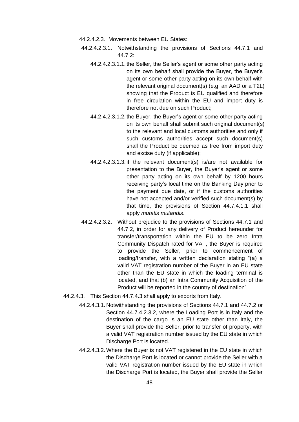- 44.2.4.2.3. Movements between EU States:
- 44.2.4.2.3.1. Notwithstanding the provisions of Sections 44.7.1 and 44.7.2:
	- 44.2.4.2.3.1.1. the Seller, the Seller's agent or some other party acting on its own behalf shall provide the Buyer, the Buyer's agent or some other party acting on its own behalf with the relevant original document(s) (e.g. an AAD or a T2L) showing that the Product is EU qualified and therefore in free circulation within the EU and import duty is therefore not due on such Product;
	- 44.2.4.2.3.1.2. the Buyer, the Buyer's agent or some other party acting on its own behalf shall submit such original document(s) to the relevant and local customs authorities and only if such customs authorities accept such document(s) shall the Product be deemed as free from import duty and excise duty (if applicable);
	- 44.2.4.2.3.1.3. if the relevant document(s) is/are not available for presentation to the Buyer, the Buyer's agent or some other party acting on its own behalf by 1200 hours receiving party's local time on the Banking Day prior to the payment due date, or if the customs authorities have not accepted and/or verified such document(s) by that time, the provisions of Section 44.7.4.1.1 shall apply *mutatis mutandis*.
- 44.2.4.2.3.2. Without prejudice to the provisions of Sections 44.7.1 and 44.7.2, in order for any delivery of Product hereunder for transfer/transportation within the EU to be zero Intra Community Dispatch rated for VAT, the Buyer is required to provide the Seller, prior to commencement of loading/transfer, with a written declaration stating "(a) a valid VAT registration number of the Buyer in an EU state other than the EU state in which the loading terminal is located, and that (b) an Intra Community Acquisition of the Product will be reported in the country of destination".
- 44.2.4.3. This Section 44.7.4.3 shall apply to exports from Italy.
	- 44.2.4.3.1. Notwithstanding the provisions of Sections 44.7.1 and 44.7.2 or Section 44.7.4.2.3.2, where the Loading Port is in Italy and the destination of the cargo is an EU state other than Italy, the Buyer shall provide the Seller, prior to transfer of property, with a valid VAT registration number issued by the EU state in which Discharge Port is located.
	- 44.2.4.3.2. Where the Buyer is not VAT registered in the EU state in which the Discharge Port is located or cannot provide the Seller with a valid VAT registration number issued by the EU state in which the Discharge Port is located, the Buyer shall provide the Seller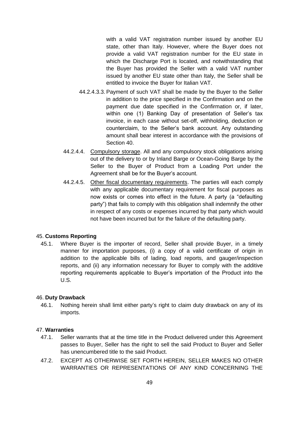with a valid VAT registration number issued by another EU state, other than Italy. However, where the Buyer does not provide a valid VAT registration number for the EU state in which the Discharge Port is located, and notwithstanding that the Buyer has provided the Seller with a valid VAT number issued by another EU state other than Italy, the Seller shall be entitled to invoice the Buyer for Italian VAT.

- 44.2.4.3.3. Payment of such VAT shall be made by the Buyer to the Seller in addition to the price specified in the Confirmation and on the payment due date specified in the Confirmation or, if later, within one (1) Banking Day of presentation of Seller's tax invoice, in each case without set-off, withholding, deduction or counterclaim, to the Seller's bank account. Any outstanding amount shall bear interest in accordance with the provisions of Section 40.
- 44.2.4.4. Compulsory storage. All and any compulsory stock obligations arising out of the delivery to or by Inland Barge or Ocean-Going Barge by the Seller to the Buyer of Product from a Loading Port under the Agreement shall be for the Buyer's account.
- 44.2.4.5. Other fiscal documentary requirements. The parties will each comply with any applicable documentary requirement for fiscal purposes as now exists or comes into effect in the future. A party (a "defaulting party") that fails to comply with this obligation shall indemnify the other in respect of any costs or expenses incurred by that party which would not have been incurred but for the failure of the defaulting party.

# 45. **Customs Reporting**

45.1. Where Buyer is the importer of record, Seller shall provide Buyer, in a timely manner for importation purposes, (i) a copy of a valid certificate of origin in addition to the applicable bills of lading, load reports, and gauger/inspection reports, and (ii) any information necessary for Buyer to comply with the additive reporting requirements applicable to Buyer's importation of the Product into the U.S.

# 46. **Duty Drawback**

46.1. Nothing herein shall limit either party's right to claim duty drawback on any of its imports.

## 47. **Warranties**

- 47.1. Seller warrants that at the time title in the Product delivered under this Agreement passes to Buyer, Seller has the right to sell the said Product to Buyer and Seller has unencumbered title to the said Product.
- 47.2. EXCEPT AS OTHERWISE SET FORTH HEREIN, SELLER MAKES NO OTHER WARRANTIES OR REPRESENTATIONS OF ANY KIND CONCERNING THE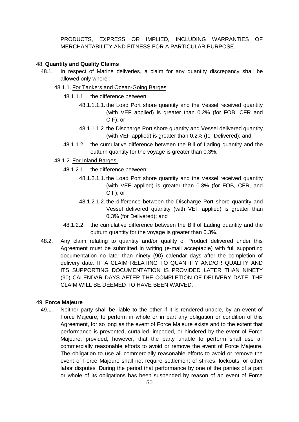PRODUCTS, EXPRESS OR IMPLIED, INCLUDING WARRANTIES OF MERCHANTABILITY AND FITNESS FOR A PARTICULAR PURPOSE.

#### 48. **Quantity and Quality Claims**

- 48.1. In respect of Marine deliveries, a claim for any quantity discrepancy shall be allowed only where :
	- 48.1.1. For Tankers and Ocean-Going Barges:
		- 48.1.1.1. the difference between:
			- 48.1.1.1.1. the Load Port shore quantity and the Vessel received quantity (with VEF applied) is greater than 0.2% (for FOB, CFR and CIF); or
			- 48.1.1.1.2. the Discharge Port shore quantity and Vessel delivered quantity (with VEF applied) is greater than 0.2% (for Delivered); and
		- 48.1.1.2. the cumulative difference between the Bill of Lading quantity and the outturn quantity for the voyage is greater than 0.3%.
	- 48.1.2. For Inland Barges:
		- 48.1.2.1. the difference between:
			- 48.1.2.1.1. the Load Port shore quantity and the Vessel received quantity (with VEF applied) is greater than 0.3% (for FOB, CFR, and CIF); or
			- 48.1.2.1.2. the difference between the Discharge Port shore quantity and Vessel delivered quantity (with VEF applied) is greater than 0.3% (for Delivered); and
		- 48.1.2.2. the cumulative difference between the Bill of Lading quantity and the outturn quantity for the voyage is greater than 0.3%.
- 48.2. Any claim relating to quantity and/or quality of Product delivered under this Agreement must be submitted in writing (e-mail acceptable) with full supporting documentation no later than ninety (90) calendar days after the completion of delivery date. IF A CLAIM RELATING TO QUANTITY AND/OR QUALITY AND ITS SUPPORTING DOCUMENTATION IS PROVIDED LATER THAN NINETY (90) CALENDAR DAYS AFTER THE COMPLETION OF DELIVERY DATE, THE CLAIM WILL BE DEEMED TO HAVE BEEN WAIVED.

#### 49. **Force Majeure**

49.1. Neither party shall be liable to the other if it is rendered unable, by an event of Force Majeure, to perform in whole or in part any obligation or condition of this Agreement, for so long as the event of Force Majeure exists and to the extent that performance is prevented, curtailed, impeded, or hindered by the event of Force Majeure; provided, however, that the party unable to perform shall use all commercially reasonable efforts to avoid or remove the event of Force Majeure. The obligation to use all commercially reasonable efforts to avoid or remove the event of Force Majeure shall not require settlement of strikes, lockouts, or other labor disputes. During the period that performance by one of the parties of a part or whole of its obligations has been suspended by reason of an event of Force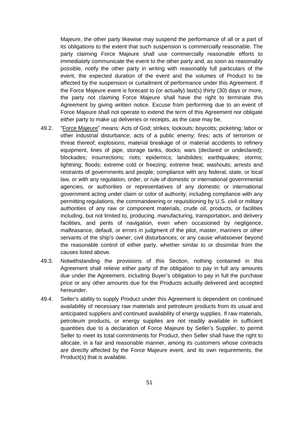Majeure, the other party likewise may suspend the performance of all or a part of its obligations to the extent that such suspension is commercially reasonable. The party claiming Force Majeure shall use commercially reasonable efforts to immediately communicate the event to the other party and, as soon as reasonably possible, notify the other party in writing with reasonably full particulars of the event, the expected duration of the event and the volumes of Product to be affected by the suspension or curtailment of performance under this Agreement. If the Force Majeure event is forecast to (or actually) last(s) thirty (30) days or more, the party not claiming Force Majeure shall have the right to terminate this Agreement by giving written notice. Excuse from performing due to an event of Force Majeure shall not operate to extend the term of this Agreement nor obligate either party to make up deliveries or receipts, as the case may be.

- 49.2. "Force Majeure" means: Acts of God; strikes; lockouts; boycotts; picketing; labor or other industrial disturbance; acts of a public enemy; fires; acts of terrorism or threat thereof; explosions; material breakage of or material accidents to refinery equipment, lines of pipe, storage tanks, docks; wars (declared or undeclared); blockades; insurrections; riots; epidemics; landslides; earthquakes; storms; lightning; floods; extreme cold or freezing; extreme heat; washouts; arrests and restraints of governments and people; compliance with any federal, state, or local law, or with any regulation, order, or rule of domestic or international governmental agencies, or authorities or representatives of any domestic or international government acting under claim or color of authority; including compliance with any permitting regulations, the commandeering or requisitioning by U.S. civil or military authorities of any raw or component materials, crude oil, products, or facilities including, but not limited to, producing, manufacturing, transportation, and delivery facilities, and perils of navigation, even when occasioned by negligence, malfeasance, default, or errors in judgment of the pilot, master, mariners or other servants of the ship's owner; civil disturbances; or any cause whatsoever beyond the reasonable control of either party, whether similar to or dissimilar from the causes listed above.
- 49.3. Notwithstanding the provisions of this Section, nothing contained in this Agreement shall relieve either party of the obligation to pay in full any amounts due under the Agreement, including Buyer's obligation to pay in full the purchase price or any other amounts due for the Products actually delivered and accepted hereunder.
- 49.4. Seller's ability to supply Product under this Agreement is dependent on continued availability of necessary raw materials and petroleum products from its usual and anticipated suppliers and continued availability of energy supplies. If raw materials, petroleum products, or energy supplies are not readily available in sufficient quantities due to a declaration of Force Majeure by Seller's Supplier, to permit Seller to meet its total commitments for Product, then Seller shall have the right to allocate, in a fair and reasonable manner, among its customers whose contracts are directly affected by the Force Majeure event, and its own requirements, the Product(s) that is available.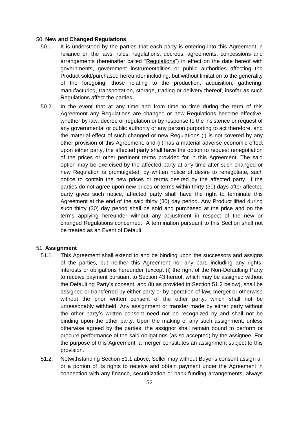#### 50. **New and Changed Regulations**

- 50.1. It is understood by the parties that each party is entering into this Agreement in reliance on the laws, rules, regulations, decrees, agreements, concessions and arrangements (hereinafter called "Regulations") in effect on the date hereof with governments, government instrumentalities or public authorities affecting the Product sold/purchased hereunder including, but without limitation to the generality of the foregoing, those relating to the production, acquisition, gathering, manufacturing, transportation, storage, trading or delivery thereof, insofar as such Regulations affect the parties.
- 50.2. In the event that at any time and from time to time during the term of this Agreement any Regulations are changed or new Regulations become effective, whether by law, decree or regulation or by response to the insistence or request of any governmental or public authority or any person purporting to act therefore, and the material effect of such changed or new Regulations (i) is not covered by any other provision of this Agreement, and (ii) has a material adverse economic effect upon either party, the affected party shall have the option to request renegotiation of the prices or other pertinent terms provided for in this Agreement. The said option may be exercised by the affected party at any time after such changed or new Regulation is promulgated, by written notice of desire to renegotiate, such notice to contain the new prices or terms desired by the affected party. If the parties do not agree upon new prices or terms within thirty (30) days after affected party gives such notice, affected party shall have the right to terminate this Agreement at the end of the said thirty (30) day period. Any Product lifted during such thirty (30) day period shall be sold and purchased at the price and on the terms applying hereunder without any adjustment in respect of the new or changed Regulations concerned. A termination pursuant to this Section shall not be treated as an Event of Default.

## 51. **Assignment**

- 51.1. This Agreement shall extend to and be binding upon the successors and assigns of the parties, but neither this Agreement nor any part, including any rights, interests or obligations hereunder (except (i) the right of the Non-Defaulting Party to receive payment pursuant to Section 43 hereof, which may be assigned without the Defaulting Party's consent, and (ii) as provided in Section 51.2 below), shall be assigned or transferred by either party or by operation of law, merger or otherwise without the prior written consent of the other party, which shall not be unreasonably withheld. Any assignment or transfer made by either party without the other party's written consent need not be recognized by and shall not be binding upon the other party. Upon the making of any such assignment, unless otherwise agreed by the parties, the assignor shall remain bound to perform or procure performance of the said obligations (as so accepted) by the assignee. For the purpose of this Agreement, a merger constitutes an assignment subject to this provision.
- 51.2. Notwithstanding Section 51.1 above, Seller may without Buyer's consent assign all or a portion of its rights to receive and obtain payment under the Agreement in connection with any finance, securitization or bank funding arrangements, always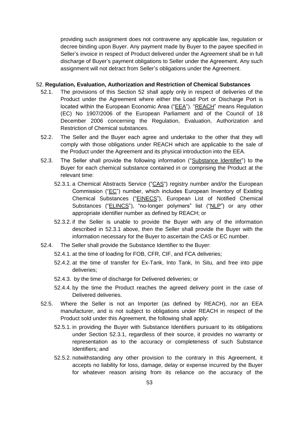providing such assignment does not contravene any applicable law, regulation or decree binding upon Buyer. Any payment made by Buyer to the payee specified in Seller's invoice in respect of Product delivered under the Agreement shall be in full discharge of Buyer's payment obligations to Seller under the Agreement. Any such assignment will not detract from Seller's obligations under the Agreement.

## 52. **Regulation, Evaluation, Authorization and Restriction of Chemical Substances**

- 52.1. The provisions of this Section 52 shall apply only in respect of deliveries of the Product under the Agreement where either the Load Port or Discharge Port is located within the European Economic Area ("EEA"). "REACH" means Regulation (EC) No 1907/2006 of the European Parliament and of the Council of 18 December 2006 concerning the Regulation, Evaluation, Authorization and Restriction of Chemical substances.
- 52.2. The Seller and the Buyer each agree and undertake to the other that they will comply with those obligations under REACH which are applicable to the sale of the Product under the Agreement and its physical introduction into the EEA.
- 52.3. The Seller shall provide the following information ("Substance Identifier") to the Buyer for each chemical substance contained in or comprising the Product at the relevant time:
	- 52.3.1. a Chemical Abstracts Service ("CAS") registry number and/or the European Commission ("EC") number, which includes European Inventory of Existing Chemical Substances ("EINECS"), European List of Notified Chemical Substances ("ELINCS"), "no-longer polymers" list ("NLP") or any other appropriate identifier number as defined by REACH; or
	- 52.3.2. if the Seller is unable to provide the Buyer with any of the information described in 52.3.1 above, then the Seller shall provide the Buyer with the information necessary for the Buyer to ascertain the CAS or EC number.
- 52.4. The Seller shall provide the Substance Identifier to the Buyer:
	- 52.4.1. at the time of loading for FOB, CFR, CIF, and FCA deliveries;
	- 52.4.2. at the time of transfer for Ex-Tank, Into Tank, In Situ, and free into pipe deliveries;
	- 52.4.3. by the time of discharge for Delivered deliveries; or
	- 52.4.4. by the time the Product reaches the agreed delivery point in the case of Delivered deliveries.
- 52.5. Where the Seller is not an Importer (as defined by REACH), nor an EEA manufacturer, and is not subject to obligations under REACH in respect of the Product sold under this Agreement, the following shall apply:
	- 52.5.1. in providing the Buyer with Substance Identifiers pursuant to its obligations under Section 52.3.1, regardless of their source, it provides no warranty or representation as to the accuracy or completeness of such Substance Identifiers; and
	- 52.5.2. notwithstanding any other provision to the contrary in this Agreement, it accepts no liability for loss, damage, delay or expense incurred by the Buyer for whatever reason arising from its reliance on the accuracy of the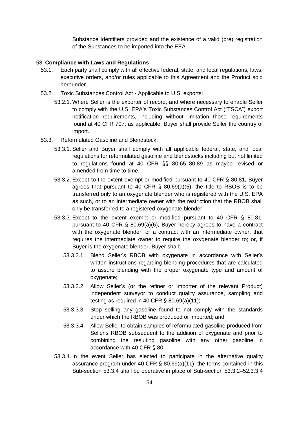Substance Identifiers provided and the existence of a valid (pre) registration of the Substances to be imported into the EEA.

## 53. **Compliance with Laws and Regulations**

- 53.1. Each party shall comply with all effective federal, state, and local regulations, laws, executive orders, and/or rules applicable to this Agreement and the Product sold hereunder.
- 53.2. Toxic Substances Control Act Applicable to U.S. exports:
	- 53.2.1. Where Seller is the exporter of record, and where necessary to enable Seller to comply with the U.S. EPA's Toxic Substances Control Act ("TSCA") export notification requirements, including without limitation those requirements found at 40 CFR 707, as applicable, Buyer shall provide Seller the country of import.
- 53.3. Reformulated Gasoline and Blendstock:
	- 53.3.1. Seller and Buyer shall comply with all applicable federal, state, and local regulations for reformulated gasoline and blendstocks including but not limited to regulations found at 40 CFR §§ 80.65–80.89 as maybe revised or amended from time to time.
	- 53.3.2. Except to the extent exempt or modified pursuant to 40 CFR § 80.81, Buyer agrees that pursuant to 40 CFR  $\S$  80.69(a)(5), the title to RBOB is to be transferred only to an oxygenate blender who is registered with the U.S. EPA as such, or to an intermediate owner with the restriction that the RBOB shall only be transferred to a registered oxygenate blender.
	- 53.3.3. Except to the extent exempt or modified pursuant to 40 CFR § 80.81, pursuant to 40 CFR § 80.69(a)(6), Buyer hereby agrees to have a contract with the oxygenate blender, or a contract with an intermediate owner, that requires the intermediate owner to require the oxygenate blender to; or, if Buyer is the oxygenate blender, Buyer shall:
		- 53.3.3.1. Blend Seller's RBOB with oxygenate in accordance with Seller's written instructions regarding blending procedures that are calculated to assure blending with the proper oxygenate type and amount of oxygenate;
		- 53.3.3.2. Allow Seller's (or the refiner or importer of the relevant Product) independent surveyor to conduct quality assurance, sampling and testing as required in 40 CFR § 80.69(a)(11);
		- 53.3.3.3. Stop selling any gasoline found to not comply with the standards under which the RBOB was produced or imported; and
		- 53.3.3.4. Allow Seller to obtain samples of reformulated gasoline produced from Seller's RBOB subsequent to the addition of oxygenate and prior to combining the resulting gasoline with any other gasoline in accordance with 40 CFR § 80.
	- 53.3.4. In the event Seller has elected to participate in the alternative quality assurance program under 40 CFR § 80.69(a)(11), the terms contained in this Sub-section 53.3.4 shall be operative in place of Sub-section 53.3.2–52.3.3.4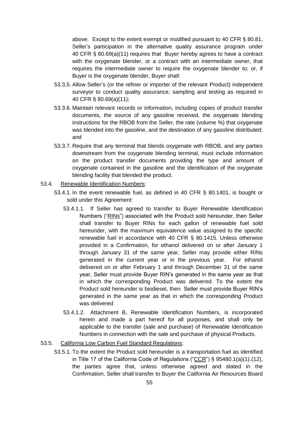above. Except to the extent exempt or modified pursuant to 40 CFR § 80.81, Seller's participation in the alternative quality assurance program under 40 CFR § 80.69(a)(11) requires that Buyer hereby agrees to have a contract with the oxygenate blender, or a contract with an intermediate owner, that requires the intermediate owner to require the oxygenate blender to; or, if Buyer is the oxygenate blender, Buyer shall:

- 53.3.5. Allow Seller's (or the refiner or importer of the relevant Product) independent surveyor to conduct quality assurance, sampling and testing as required in 40 CFR § 80.69(a)(11);
- 53.3.6. Maintain relevant records or information, including copies of product transfer documents, the source of any gasoline received, the oxygenate blending instructions for the RBOB from the Seller, the rate (volume %) that oxygenate was blended into the gasoline, and the destination of any gasoline distributed; and
- 53.3.7. Require that any terminal that blends oxygenate with RBOB, and any parties downstream from the oxygenate blending terminal, must include information on the product transfer documents providing the type and amount of oxygenate contained in the gasoline and the identification of the oxygenate blending facility that blended the product.
- 53.4. Renewable Identification Numbers:
	- 53.4.1. In the event renewable fuel, as defined in 40 CFR § 80.1401, is bought or sold under this Agreement:
		- 53.4.1.1. If Seller has agreed to transfer to Buyer Renewable Identification Numbers ("RINs") associated with the Product sold hereunder, then Seller shall transfer to Buyer RINs for each gallon of renewable fuel sold hereunder, with the maximum equivalence value assigned to the specific renewable fuel in accordance with 40 CFR § 80.1415. Unless otherwise provided in a Confirmation, for ethanol delivered on or after January 1 through January 31 of the same year, Seller may provide either RINs generated in the current year or in the previous year. For ethanol delivered on or after February 1 and through December 31 of the same year, Seller must provide Buyer RIN's generated in the same year as that in which the corresponding Product was delivered. To the extent the Product sold hereunder is biodiesel, then Seller must provide Buyer RIN's generated in the same year as that in which the corresponding Product was delivered
		- 53.4.1.2. Attachment B, Renewable Identification Numbers, is incorporated herein and made a part hereof for all purposes, and shall only be applicable to the transfer (sale and purchase) of Renewable Identification Numbers in connection with the sale and purchase of physical Products.

## 53.5. California Low Carbon Fuel Standard Regulations:

53.5.1. To the extent the Product sold hereunder is a transportation fuel as identified in Title 17 of the California Code of Regulations ("CCR") §  $95480.1(a)(1)$ <sub>-</sub> $(12)$ , the parties agree that, unless otherwise agreed and stated in the Confirmation, Seller shall transfer to Buyer the California Air Resources Board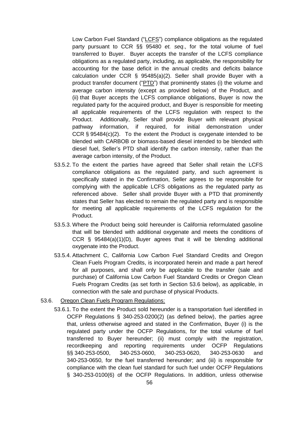Low Carbon Fuel Standard ("LCFS") compliance obligations as the regulated party pursuant to CCR §§ 95480 *et. seq*., for the total volume of fuel transferred to Buyer. Buyer accepts the transfer of the LCFS compliance obligations as a regulated party, including, as applicable, the responsibility for accounting for the base deficit in the annual credits and deficits balance calculation under CCR § 95485(a)(2). Seller shall provide Buyer with a product transfer document ("PTD") that prominently states (i) the volume and average carbon intensity (except as provided below) of the Product, and (ii) that Buyer accepts the LCFS compliance obligations, Buyer is now the regulated party for the acquired product, and Buyer is responsible for meeting all applicable requirements of the LCFS regulation with respect to the Product. Additionally, Seller shall provide Buyer with relevant physical pathway information, if required, for initial demonstration under CCR § 95484(c)(2). To the extent the Product is oxygenate intended to be blended with CARBOB or biomass-based diesel intended to be blended with diesel fuel, Seller's PTD shall identify the carbon intensity, rather than the average carbon intensity, of the Product.

- 53.5.2. To the extent the parties have agreed that Seller shall retain the LCFS compliance obligations as the regulated party, and such agreement is specifically stated in the Confirmation, Seller agrees to be responsible for complying with the applicable LCFS obligations as the regulated party as referenced above. Seller shall provide Buyer with a PTD that prominently states that Seller has elected to remain the regulated party and is responsible for meeting all applicable requirements of the LCFS regulation for the Product.
- 53.5.3. Where the Product being sold hereunder is California reformulated gasoline that will be blended with additional oxygenate and meets the conditions of CCR § 95484(a)(1)(D), Buyer agrees that it will be blending additional oxygenate into the Product.
- 53.5.4. Attachment C, California Low Carbon Fuel Standard Credits and Oregon Clean Fuels Program Credits, is incorporated herein and made a part hereof for all purposes, and shall only be applicable to the transfer (sale and purchase) of California Low Carbon Fuel Standard Credits or Oregon Clean Fuels Program Credits (as set forth in Section 53.6 below), as applicable, in connection with the sale and purchase of physical Products.
- 53.6. Oregon Clean Fuels Program Regulations:
	- 53.6.1. To the extent the Product sold hereunder is a transportation fuel identified in OCFP Regulations § 340-253-0200(2) (as defined below), the parties agree that, unless otherwise agreed and stated in the Confirmation, Buyer (i) is the regulated party under the OCFP Regulations, for the total volume of fuel transferred to Buyer hereunder; (ii) must comply with the registration, recordkeeping and reporting requirements under OCFP Regulations §§ 340-253-0500, 340-253-0600, 340-253-0620, 340-253-0630 and 340-253-0650, for the fuel transferred hereunder; and (iii) is responsible for compliance with the clean fuel standard for such fuel under OCFP Regulations § 340-253-0100(6) of the OCFP Regulations. In addition, unless otherwise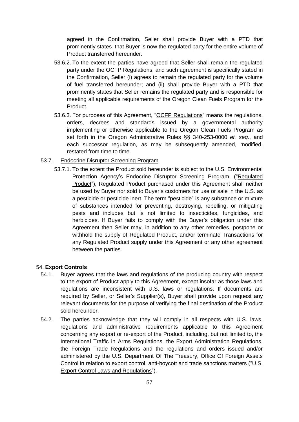agreed in the Confirmation, Seller shall provide Buyer with a PTD that prominently states that Buyer is now the regulated party for the entire volume of Product transferred hereunder.

- 53.6.2. To the extent the parties have agreed that Seller shall remain the regulated party under the OCFP Regulations, and such agreement is specifically stated in the Confirmation, Seller (i) agrees to remain the regulated party for the volume of fuel transferred hereunder; and (ii) shall provide Buyer with a PTD that prominently states that Seller remains the regulated party and is responsible for meeting all applicable requirements of the Oregon Clean Fuels Program for the Product.
- 53.6.3. For purposes of this Agreement, "OCFP Regulations" means the regulations, orders, decrees and standards issued by a governmental authority implementing or otherwise applicable to the Oregon Clean Fuels Program as set forth in the Oregon Administrative Rules §§ 340-253-0000 *et. seq.*, and each successor regulation, as may be subsequently amended, modified, restated from time to time.

## 53.7. Endocrine Disruptor Screening Program

53.7.1. To the extent the Product sold hereunder is subject to the U.S. Environmental Protection Agency's Endocrine Disruptor Screening Program, ("Regulated Product"), Regulated Product purchased under this Agreement shall neither be used by Buyer nor sold to Buyer's customers for use or sale in the U.S. as a pesticide or pesticide inert. The term "pesticide" is any substance or mixture of substances intended for preventing, destroying, repelling, or mitigating pests and includes but is not limited to insecticides, fungicides, and herbicides. If Buyer fails to comply with the Buyer's obligation under this Agreement then Seller may, in addition to any other remedies, postpone or withhold the supply of Regulated Product, and/or terminate Transactions for any Regulated Product supply under this Agreement or any other agreement between the parties.

## 54. **Export Controls**

- 54.1. Buyer agrees that the laws and regulations of the producing country with respect to the export of Product apply to this Agreement, except insofar as those laws and regulations are inconsistent with U.S. laws or regulations. If documents are required by Seller, or Seller's Supplier(s), Buyer shall provide upon request any relevant documents for the purpose of verifying the final destination of the Product sold hereunder.
- 54.2. The parties acknowledge that they will comply in all respects with U.S. laws, regulations and administrative requirements applicable to this Agreement concerning any export or re-export of the Product, including, but not limited to, the International Traffic in Arms Regulations, the Export Administration Regulations, the Foreign Trade Regulations and the regulations and orders issued and/or administered by the U.S. Department Of The Treasury, Office Of Foreign Assets Control in relation to export control, anti-boycott and trade sanctions matters ("U.S. Export Control Laws and Regulations").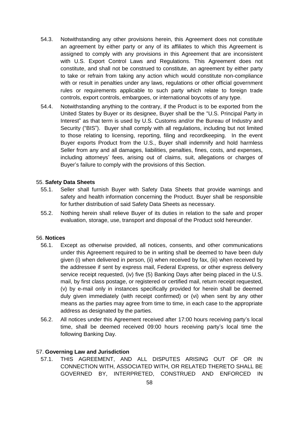- 54.3. Notwithstanding any other provisions herein, this Agreement does not constitute an agreement by either party or any of its affiliates to which this Agreement is assigned to comply with any provisions in this Agreement that are inconsistent with U.S. Export Control Laws and Regulations. This Agreement does not constitute, and shall not be construed to constitute, an agreement by either party to take or refrain from taking any action which would constitute non-compliance with or result in penalties under any laws, regulations or other official government rules or requirements applicable to such party which relate to foreign trade controls, export controls, embargoes, or international boycotts of any type.
- 54.4. Notwithstanding anything to the contrary, if the Product is to be exported from the United States by Buyer or its designee, Buyer shall be the "U.S. Principal Party in Interest" as that term is used by U.S. Customs and/or the Bureau of Industry and Security ("BIS"). Buyer shall comply with all regulations, including but not limited to those relating to licensing, reporting, filing and recordkeeping. In the event Buyer exports Product from the U.S., Buyer shall indemnify and hold harmless Seller from any and all damages, liabilities, penalties, fines, costs, and expenses, including attorneys' fees, arising out of claims, suit, allegations or charges of Buyer's failure to comply with the provisions of this Section.

## 55. **Safety Data Sheets**

- 55.1. Seller shall furnish Buyer with Safety Data Sheets that provide warnings and safety and health information concerning the Product. Buyer shall be responsible for further distribution of said Safety Data Sheets as necessary.
- 55.2. Nothing herein shall relieve Buyer of its duties in relation to the safe and proper evaluation, storage, use, transport and disposal of the Product sold hereunder.

## 56. **Notices**

- 56.1. Except as otherwise provided, all notices, consents, and other communications under this Agreement required to be in writing shall be deemed to have been duly given (i) when delivered in person, (ii) when received by fax, (iii) when received by the addressee if sent by express mail, Federal Express, or other express delivery service receipt requested, (iv) five (5) Banking Days after being placed in the U.S. mail, by first class postage, or registered or certified mail, return receipt requested, (v) by e-mail only in instances specifically provided for herein shall be deemed duly given immediately (with receipt confirmed) or (vi) when sent by any other means as the parties may agree from time to time, in each case to the appropriate address as designated by the parties.
- 56.2. All notices under this Agreement received after 17:00 hours receiving party's local time, shall be deemed received 09:00 hours receiving party's local time the following Banking Day.

## 57. **Governing Law and Jurisdiction**

57.1. THIS AGREEMENT, AND ALL DISPUTES ARISING OUT OF OR IN CONNECTION WITH, ASSOCIATED WITH, OR RELATED THERETO SHALL BE GOVERNED BY, INTERPRETED, CONSTRUED AND ENFORCED IN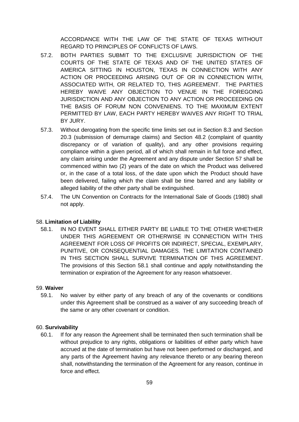ACCORDANCE WITH THE LAW OF THE STATE OF TEXAS WITHOUT REGARD TO PRINCIPLES OF CONFLICTS OF LAWS.

- 57.2. BOTH PARTIES SUBMIT TO THE EXCLUSIVE JURISDICTION OF THE COURTS OF THE STATE OF TEXAS AND OF THE UNITED STATES OF AMERICA SITTING IN HOUSTON, TEXAS IN CONNECTION WITH ANY ACTION OR PROCEEDING ARISING OUT OF OR IN CONNECTION WITH, ASSOCIATED WITH, OR RELATED TO, THIS AGREEMENT. THE PARTIES HEREBY WAIVE ANY OBJECTION TO VENUE IN THE FOREGOING JURISDICTION AND ANY OBJECTION TO ANY ACTION OR PROCEEDING ON THE BASIS OF FORUM NON CONVENIENS. TO THE MAXIMUM EXTENT PERMITTED BY LAW, EACH PARTY HEREBY WAIVES ANY RIGHT TO TRIAL BY JURY.
- 57.3. Without derogating from the specific time limits set out in Section 8.3 and Section 20.3 (submission of demurrage claims) and Section 48.2 (complaint of quantity discrepancy or of variation of quality), and any other provisions requiring compliance within a given period, all of which shall remain in full force and effect, any claim arising under the Agreement and any dispute under Section 57 shall be commenced within two (2) years of the date on which the Product was delivered or, in the case of a total loss, of the date upon which the Product should have been delivered, failing which the claim shall be time barred and any liability or alleged liability of the other party shall be extinguished.
- 57.4. The UN Convention on Contracts for the International Sale of Goods (1980) shall not apply.

# 58. **Limitation of Liability**

58.1. IN NO EVENT SHALL EITHER PARTY BE LIABLE TO THE OTHER WHETHER UNDER THIS AGREEMENT OR OTHERWISE IN CONNECTION WITH THIS AGREEMENT FOR LOSS OF PROFITS OR INDIRECT, SPECIAL, EXEMPLARY, PUNITIVE, OR CONSEQUENTIAL DAMAGES. THE LIMITATION CONTAINED IN THIS SECTION SHALL SURVIVE TERMINATION OF THIS AGREEMENT. The provisions of this Section 58.1 shall continue and apply notwithstanding the termination or expiration of the Agreement for any reason whatsoever.

# 59. **Waiver**

59.1. No waiver by either party of any breach of any of the covenants or conditions under this Agreement shall be construed as a waiver of any succeeding breach of the same or any other covenant or condition.

# 60. **Survivability**

60.1. If for any reason the Agreement shall be terminated then such termination shall be without prejudice to any rights, obligations or liabilities of either party which have accrued at the date of termination but have not been performed or discharged, and any parts of the Agreement having any relevance thereto or any bearing thereon shall, notwithstanding the termination of the Agreement for any reason, continue in force and effect.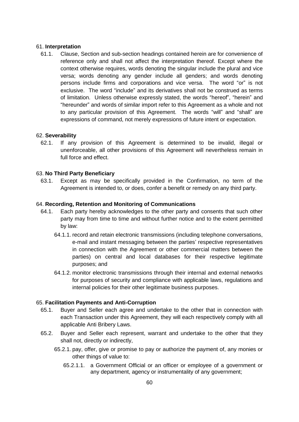## 61. **Interpretation**

61.1. Clause, Section and sub-section headings contained herein are for convenience of reference only and shall not affect the interpretation thereof. Except where the context otherwise requires, words denoting the singular include the plural and vice versa; words denoting any gender include all genders; and words denoting persons include firms and corporations and vice versa. The word "or" is not exclusive. The word "include" and its derivatives shall not be construed as terms of limitation. Unless otherwise expressly stated, the words "hereof", "herein" and "hereunder" and words of similar import refer to this Agreement as a whole and not to any particular provision of this Agreement. The words "will" and "shall" are expressions of command, not merely expressions of future intent or expectation.

## 62. **Severability**

62.1. If any provision of this Agreement is determined to be invalid, illegal or unenforceable, all other provisions of this Agreement will nevertheless remain in full force and effect.

## 63. **No Third Party Beneficiary**

63.1. Except as may be specifically provided in the Confirmation, no term of the Agreement is intended to, or does, confer a benefit or remedy on any third party.

## 64. **Recording, Retention and Monitoring of Communications**

- 64.1. Each party hereby acknowledges to the other party and consents that such other party may from time to time and without further notice and to the extent permitted by law:
	- 64.1.1. record and retain electronic transmissions (including telephone conversations, e-mail and instant messaging between the parties' respective representatives in connection with the Agreement or other commercial matters between the parties) on central and local databases for their respective legitimate purposes; and
	- 64.1.2. monitor electronic transmissions through their internal and external networks for purposes of security and compliance with applicable laws, regulations and internal policies for their other legitimate business purposes.

## 65. **Facilitation Payments and Anti-Corruption**

- 65.1. Buyer and Seller each agree and undertake to the other that in connection with each Transaction under this Agreement, they will each respectively comply with all applicable Anti Bribery Laws.
- 65.2. Buyer and Seller each represent, warrant and undertake to the other that they shall not, directly or indirectly,
	- 65.2.1. pay, offer, give or promise to pay or authorize the payment of, any monies or other things of value to:
		- 65.2.1.1. a Government Official or an officer or employee of a government or any department, agency or instrumentality of any government;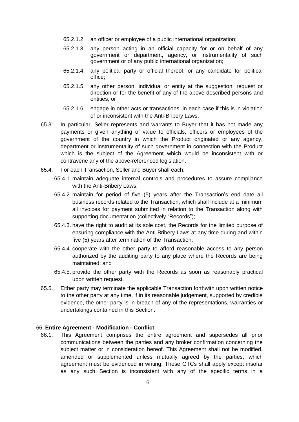- 65.2.1.2. an officer or employee of a public international organization;
- 65.2.1.3. any person acting in an official capacity for or on behalf of any government or department, agency, or instrumentality of such government or of any public international organization;
- 65.2.1.4. any political party or official thereof, or any candidate for political office;
- 65.2.1.5. any other person, individual or entity at the suggestion, request or direction or for the benefit of any of the above-described persons and entities, or
- 65.2.1.6. engage in other acts or transactions, in each case if this is in violation of or inconsistent with the Anti-Bribery Laws.
- 65.3. In particular, Seller represents and warrants to Buyer that it has not made any payments or given anything of value to officials, officers or employees of the government of the country in which the Product originated or any agency, department or instrumentality of such government in connection with the Product which is the subject of the Agreement which would be inconsistent with or contravene any of the above-referenced legislation.
- 65.4. For each Transaction, Seller and Buyer shall each:
	- 65.4.1. maintain adequate internal controls and procedures to assure compliance with the Anti-Bribery Laws;
	- 65.4.2. maintain for period of five (5) years after the Transaction's end date all business records related to the Transaction, which shall include at a minimum all invoices for payment submitted in relation to the Transaction along with supporting documentation (collectively "Records");
	- 65.4.3. have the right to audit at its sole cost, the Records for the limited purpose of ensuring compliance with the Anti-Bribery Laws at any time during and within five (5) years after termination of the Transaction;
	- 65.4.4. cooperate with the other party to afford reasonable access to any person authorized by the auditing party to any place where the Records are being maintained; and
	- 65.4.5. provide the other party with the Records as soon as reasonably practical upon written request.
- 65.5. Either party may terminate the applicable Transaction forthwith upon written notice to the other party at any time, if in its reasonable judgement, supported by credible evidence, the other party is in breach of any of the representations, warranties or undertakings contained in this Section.

## 66. **Entire Agreement - Modification - Conflict**

66.1. This Agreement comprises the entire agreement and supersedes all prior communications between the parties and any broker confirmation concerning the subject matter or in consideration hereof. This Agreement shall not be modified, amended or supplemented unless mutually agreed by the parties, which agreement must be evidenced in writing. These GTCs shall apply except insofar as any such Section is inconsistent with any of the specific terms in a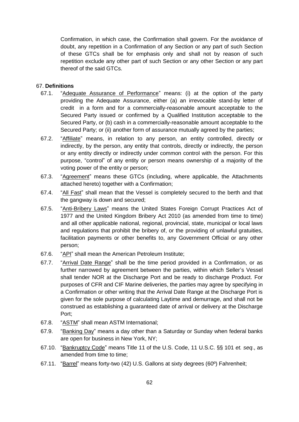Confirmation, in which case, the Confirmation shall govern. For the avoidance of doubt, any repetition in a Confirmation of any Section or any part of such Section of these GTCs shall be for emphasis only and shall not by reason of such repetition exclude any other part of such Section or any other Section or any part thereof of the said GTCs.

# 67. **Definitions**

- 67.1. "Adequate Assurance of Performance" means: (i) at the option of the party providing the Adequate Assurance, either (a) an irrevocable stand-by letter of credit in a form and for a commercially-reasonable amount acceptable to the Secured Party issued or confirmed by a Qualified Institution acceptable to the Secured Party, or (b) cash in a commercially-reasonable amount acceptable to the Secured Party; or (ii) another form of assurance mutually agreed by the parties;
- 67.2. "Affiliate" means, in relation to any person, an entity controlled, directly or indirectly, by the person, any entity that controls, directly or indirectly, the person or any entity directly or indirectly under common control with the person. For this purpose, "control" of any entity or person means ownership of a majority of the voting power of the entity or person;
- 67.3. "Agreement" means these GTCs (including, where applicable, the Attachments attached hereto) together with a Confirmation;
- 67.4. "All Fast" shall mean that the Vessel is completely secured to the berth and that the gangway is down and secured;
- 67.5. "Anti-Bribery Laws" means the United States Foreign Corrupt Practices Act of 1977 and the United Kingdom Bribery Act 2010 (as amended from time to time) and all other applicable national, regional, provincial, state, municipal or local laws and regulations that prohibit the bribery of, or the providing of unlawful gratuities, facilitation payments or other benefits to, any Government Official or any other person;
- 67.6. "API" shall mean the American Petroleum Institute;
- 67.7. "Arrival Date Range" shall be the time period provided in a Confirmation, or as further narrowed by agreement between the parties, within which Seller's Vessel shall tender NOR at the Discharge Port and be ready to discharge Product. For purposes of CFR and CIF Marine deliveries, the parties may agree by specifying in a Confirmation or other writing that the Arrival Date Range at the Discharge Port is given for the sole purpose of calculating Laytime and demurrage, and shall not be construed as establishing a guaranteed date of arrival or delivery at the Discharge Port;
- 67.8. "ASTM" shall mean ASTM International;
- 67.9. "Banking Day" means a day other than a Saturday or Sunday when federal banks are open for business in New York, NY;
- 67.10. "Bankruptcy Code" means Title 11 of the U.S. Code, 11 U.S.C. §§ 101 *et. seq*., as amended from time to time;
- 67.11. "Barrel" means forty-two (42) U.S. Gallons at sixty degrees (60º) Fahrenheit;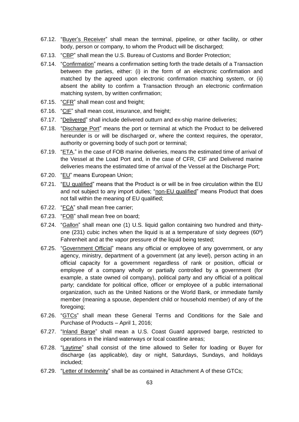- 67.12. "Buyer's Receiver" shall mean the terminal, pipeline, or other facility, or other body, person or company, to whom the Product will be discharged;
- 67.13. "CBP" shall mean the U.S. Bureau of Customs and Border Protection;
- 67.14. "Confirmation" means a confirmation setting forth the trade details of a Transaction between the parties, either: (i) in the form of an electronic confirmation and matched by the agreed upon electronic confirmation matching system, or (ii) absent the ability to confirm a Transaction through an electronic confirmation matching system, by written confirmation;
- 67.15. "CFR" shall mean cost and freight;
- 67.16. "CIF" shall mean cost, insurance, and freight;
- 67.17. "Delivered" shall include delivered outturn and ex-ship marine deliveries;
- 67.18. "Discharge Port" means the port or terminal at which the Product to be delivered hereunder is or will be discharged or, where the context requires, the operator, authority or governing body of such port or terminal;
- 67.19. "ETA," in the case of FOB marine deliveries, means the estimated time of arrival of the Vessel at the Load Port and, in the case of CFR, CIF and Delivered marine deliveries means the estimated time of arrival of the Vessel at the Discharge Port;
- 67.20. "EU" means European Union;
- 67.21. "EU qualified" means that the Product is or will be in free circulation within the EU and not subject to any import duties; "non-EU qualified" means Product that does not fall within the meaning of EU qualified;
- 67.22. "FCA" shall mean free carrier;
- 67.23. "FOB" shall mean free on board;
- 67.24. "Gallon" shall mean one (1) U.S. liquid gallon containing two hundred and thirtyone (231) cubic inches when the liquid is at a temperature of sixty degrees (60º) Fahrenheit and at the vapor pressure of the liquid being tested;
- 67.25. "Government Official" means any official or employee of any government, or any agency, ministry, department of a government (at any level), person acting in an official capacity for a government regardless of rank or position, official or employee of a company wholly or partially controlled by a government (for example, a state owned oil company), political party and any official of a political party; candidate for political office, officer or employee of a public international organization, such as the United Nations or the World Bank, or immediate family member (meaning a spouse, dependent child or household member) of any of the foregoing;
- 67.26. "GTCs" shall mean these General Terms and Conditions for the Sale and Purchase of Products – April 1, 2016;
- 67.27. "Inland Barge" shall mean a U.S. Coast Guard approved barge, restricted to operations in the inland waterways or local coastline areas;
- 67.28. "Laytime" shall consist of the time allowed to Seller for loading or Buyer for discharge (as applicable), day or night, Saturdays, Sundays, and holidays included;
- 67.29. "Letter of Indemnity" shall be as contained in Attachment A of these GTCs;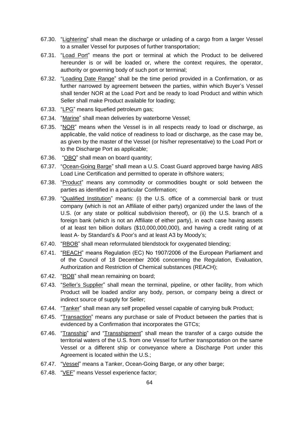- 67.30. "Lightering" shall mean the discharge or unlading of a cargo from a larger Vessel to a smaller Vessel for purposes of further transportation;
- 67.31. "Load Port" means the port or terminal at which the Product to be delivered hereunder is or will be loaded or, where the context requires, the operator, authority or governing body of such port or terminal;
- 67.32. "Loading Date Range" shall be the time period provided in a Confirmation, or as further narrowed by agreement between the parties, within which Buyer's Vessel shall tender NOR at the Load Port and be ready to load Product and within which Seller shall make Product available for loading;
- 67.33. "LPG" means liquefied petroleum gas;
- 67.34. "Marine" shall mean deliveries by waterborne Vessel;
- 67.35. "NOR" means when the Vessel is in all respects ready to load or discharge, as applicable, the valid notice of readiness to load or discharge, as the case may be, as given by the master of the Vessel (or his/her representative) to the Load Port or to the Discharge Port as applicable;
- 67.36. "OBQ" shall mean on board quantity;
- 67.37. "Ocean-Going Barge" shall mean a U.S. Coast Guard approved barge having ABS Load Line Certification and permitted to operate in offshore waters;
- 67.38. "Product" means any commodity or commodities bought or sold between the parties as identified in a particular Confirmation;
- 67.39. "Qualified Institution" means: (i) the U.S. office of a commercial bank or trust company (which is not an Affiliate of either party) organized under the laws of the U.S. (or any state or political subdivision thereof), or (ii) the U.S. branch of a foreign bank (which is not an Affiliate of either party), in each case having assets of at least ten billion dollars (\$10,000,000,000), and having a credit rating of at least A- by Standard's & Poor's and at least A3 by Moody's;
- 67.40. "RBOB" shall mean reformulated blendstock for oxygenated blending;
- 67.41. "REACH" means Regulation (EC) No 1907/2006 of the European Parliament and of the Council of 18 December 2006 concerning the Regulation, Evaluation, Authorization and Restriction of Chemical substances (REACH);
- 67.42. "ROB" shall mean remaining on board;
- 67.43. "Seller's Supplier" shall mean the terminal, pipeline, or other facility, from which Product will be loaded and/or any body, person, or company being a direct or indirect source of supply for Seller;
- 67.44. "Tanker" shall mean any self propelled vessel capable of carrying bulk Product;
- 67.45. "Transaction" means any purchase or sale of Product between the parties that is evidenced by a Confirmation that incorporates the GTCs;
- 67.46. "Transship" and "Transshipment" shall mean the transfer of a cargo outside the territorial waters of the U.S. from one Vessel for further transportation on the same Vessel or a different ship or conveyance where a Discharge Port under this Agreement is located within the U.S.;
- 67.47. "Vessel" means a Tanker, Ocean-Going Barge, or any other barge;
- 67.48. "VEF" means Vessel experience factor;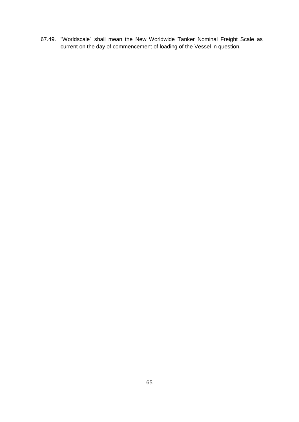67.49. "Worldscale" shall mean the New Worldwide Tanker Nominal Freight Scale as current on the day of commencement of loading of the Vessel in question.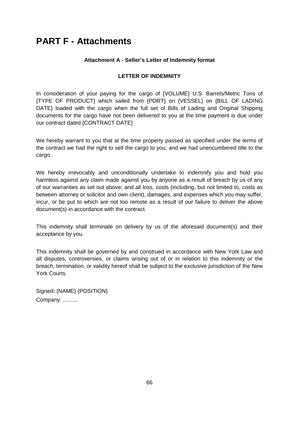# **PART F - Attachments**

# **Attachment A - Seller's Letter of Indemnity format**

# **LETTER OF INDEMNITY**

In consideration of your paying for the cargo of {VOLUME} U.S. Barrels/Metric Tons of {TYPE OF PRODUCT} which sailed from {PORT} on {VESSEL} on {BILL OF LADING DATE} loaded with the cargo when the full set of Bills of Lading and Original Shipping documents for the cargo have not been delivered to you at the time payment is due under our contract dated {CONTRACT DATE}

We hereby warrant to you that at the time property passed as specified under the terms of the contract we had the right to sell the cargo to you, and we had unencumbered title to the cargo.

We hereby irrevocably and unconditionally undertake to indemnify you and hold you harmless against any claim made against you by anyone as a result of breach by us of any of our warranties as set out above; and all loss, costs (including, but not limited to, costs as between attorney or solicitor and own client), damages, and expenses which you may suffer, incur, or be put to which are not too remote as a result of our failure to deliver the above document(s) in accordance with the contract.

This indemnity shall terminate on delivery by us of the aforesaid document(s) and their acceptance by you.

This indemnity shall be governed by and construed in accordance with New York Law and all disputes, controversies, or claims arising out of or in relation to this indemnity or the breach, termination, or validity hereof shall be subject to the exclusive jurisdiction of the New York Courts.

Signed: {NAME} {POSITION} Company: ..........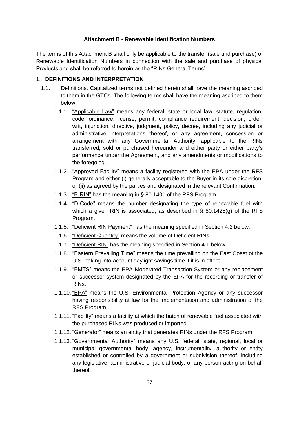## **Attachment B - Renewable Identification Numbers**

The terms of this Attachment B shall only be applicable to the transfer (sale and purchase) of Renewable Identification Numbers in connection with the sale and purchase of physical Products and shall be referred to herein as the "RINs General Terms".

## 1. **DEFINITIONS AND INTERPRETATION**

- 1.1. Definitions. Capitalized terms not defined herein shall have the meaning ascribed to them in the GTCs. The following terms shall have the meaning ascribed to them below.
	- 1.1.1. "Applicable Law" means any federal, state or local law, statute, regulation, code, ordinance, license, permit, compliance requirement, decision, order, writ, injunction, directive, judgment, policy, decree, including any judicial or administrative interpretations thereof, or any agreement, concession or arrangement with any Governmental Authority, applicable to the RINs transferred, sold or purchased hereunder and either party or either party's performance under the Agreement, and any amendments or modifications to the foregoing.
	- 1.1.2. "Approved Facility" means a facility registered with the EPA under the RFS Program and either (i) generally acceptable to the Buyer in its sole discretion, or (ii) as agreed by the parties and designated in the relevant Confirmation.
	- 1.1.3. "B-RIN" has the meaning in § 80.1401 of the RFS Program.
	- 1.1.4. "D-Code" means the number designating the type of renewable fuel with which a given RIN is associated, as described in § 80.1425(g) of the RFS Program.
	- 1.1.5. "Deficient RIN Payment" has the meaning specified in Section 4.2 below.
	- 1.1.6. "Deficient Quantity" means the volume of Deficient RINs.
	- 1.1.7. "Deficient RIN" has the meaning specified in Section 4.1 below.
	- 1.1.8. "Eastern Prevailing Time" means the time prevailing on the East Coast of the U.S., taking into account daylight savings time if it is in effect.
	- 1.1.9. "EMTS" means the EPA Moderated Transaction System or any replacement or successor system designated by the EPA for the recording or transfer of RINs.
	- 1.1.10. "EPA" means the U.S. Environmental Protection Agency or any successor having responsibility at law for the implementation and administration of the RFS Program.
	- 1.1.11. "Facility" means a facility at which the batch of renewable fuel associated with the purchased RINs was produced or imported.
	- 1.1.12. "Generator" means an entity that generates RINs under the RFS Program.
	- 1.1.13. "Governmental Authority" means any U.S. federal, state, regional, local or municipal governmental body, agency, instrumentality, authority or entity established or controlled by a government or subdivision thereof, including any legislative, administrative or judicial body, or any person acting on behalf thereof.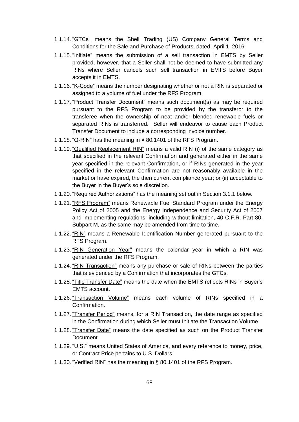- 1.1.14. "GTCs" means the Shell Trading (US) Company General Terms and Conditions for the Sale and Purchase of Products, dated, April 1, 2016.
- 1.1.15. "Initiate" means the submission of a sell transaction in EMTS by Seller provided, however, that a Seller shall not be deemed to have submitted any RINs where Seller cancels such sell transaction in EMTS before Buyer accepts it in EMTS.
- 1.1.16. "K-Code" means the number designating whether or not a RIN is separated or assigned to a volume of fuel under the RFS Program.
- 1.1.17. "Product Transfer Document" means such document(s) as may be required pursuant to the RFS Program to be provided by the transferor to the transferee when the ownership of neat and/or blended renewable fuels or separated RINs is transferred. Seller will endeavor to cause each Product Transfer Document to include a corresponding invoice number.
- 1.1.18. "Q-RIN" has the meaning in § 80.1401 of the RFS Program.
- 1.1.19. "Qualified Replacement RIN" means a valid RIN (i) of the same category as that specified in the relevant Confirmation and generated either in the same year specified in the relevant Confirmation, or if RINs generated in the year specified in the relevant Confirmation are not reasonably available in the market or have expired, the then current compliance year; or (ii) acceptable to the Buyer in the Buyer's sole discretion.
- 1.1.20. "Required Authorizations" has the meaning set out in Section 3.1.1 below.
- 1.1.21. "RFS Program" means Renewable Fuel Standard Program under the Energy Policy Act of 2005 and the Energy Independence and Security Act of 2007 and implementing regulations, including without limitation, 40 C.F.R. Part 80, Subpart M, as the same may be amended from time to time.
- 1.1.22. "RIN" means a Renewable Identification Number generated pursuant to the RFS Program.
- 1.1.23. "RIN Generation Year" means the calendar year in which a RIN was generated under the RFS Program.
- 1.1.24. "RIN Transaction" means any purchase or sale of RINs between the parties that is evidenced by a Confirmation that incorporates the GTCs.
- 1.1.25. "Title Transfer Date" means the date when the EMTS reflects RINs in Buyer's EMTS account.
- 1.1.26. "Transaction Volume" means each volume of RINs specified in a **Confirmation**
- 1.1.27. "Transfer Period" means, for a RIN Transaction, the date range as specified in the Confirmation during which Seller must Initiate the Transaction Volume.
- 1.1.28. "Transfer Date" means the date specified as such on the Product Transfer Document.
- 1.1.29. "U.S." means United States of America, and every reference to money, price, or Contract Price pertains to U.S. Dollars.
- 1.1.30. "Verified RIN" has the meaning in § 80.1401 of the RFS Program.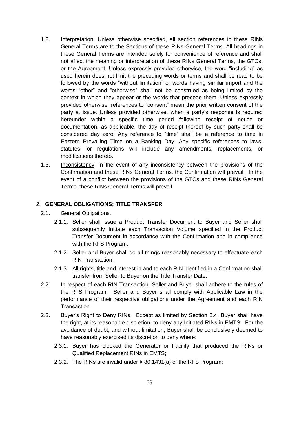- 1.2. Interpretation. Unless otherwise specified, all section references in these RINs General Terms are to the Sections of these RINs General Terms. All headings in these General Terms are intended solely for convenience of reference and shall not affect the meaning or interpretation of these RINs General Terms, the GTCs, or the Agreement. Unless expressly provided otherwise, the word "including" as used herein does not limit the preceding words or terms and shall be read to be followed by the words "without limitation" or words having similar import and the words "other" and "otherwise" shall not be construed as being limited by the context in which they appear or the words that precede them. Unless expressly provided otherwise, references to "consent" mean the prior written consent of the party at issue. Unless provided otherwise, when a party's response is required hereunder within a specific time period following receipt of notice or documentation, as applicable, the day of receipt thereof by such party shall be considered day zero. Any reference to "time" shall be a reference to time in Eastern Prevailing Time on a Banking Day. Any specific references to laws, statutes, or regulations will include any amendments, replacements, or modifications thereto.
- 1.3. Inconsistency. In the event of any inconsistency between the provisions of the Confirmation and these RINs General Terms, the Confirmation will prevail. In the event of a conflict between the provisions of the GTCs and these RINs General Terms, these RINs General Terms will prevail.

## 2. **GENERAL OBLIGATIONS; TITLE TRANSFER**

- 2.1. General Obligations.
	- 2.1.1. Seller shall issue a Product Transfer Document to Buyer and Seller shall subsequently Initiate each Transaction Volume specified in the Product Transfer Document in accordance with the Confirmation and in compliance with the RFS Program.
	- 2.1.2. Seller and Buyer shall do all things reasonably necessary to effectuate each RIN Transaction.
	- 2.1.3. All rights, title and interest in and to each RIN identified in a Confirmation shall transfer from Seller to Buyer on the Title Transfer Date.
- 2.2. In respect of each RIN Transaction, Seller and Buyer shall adhere to the rules of the RFS Program. Seller and Buyer shall comply with Applicable Law in the performance of their respective obligations under the Agreement and each RIN Transaction.
- 2.3. Buyer's Right to Deny RINs. Except as limited by Section 2.4, Buyer shall have the right, at its reasonable discretion, to deny any Initiated RINs in EMTS. For the avoidance of doubt, and without limitation, Buyer shall be conclusively deemed to have reasonably exercised its discretion to deny where:
	- 2.3.1. Buyer has blocked the Generator or Facility that produced the RINs or Qualified Replacement RINs in EMTS;
	- 2.3.2. The RINs are invalid under § 80.1431(a) of the RFS Program;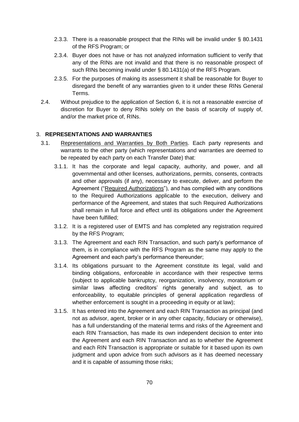- 2.3.3. There is a reasonable prospect that the RINs will be invalid under § 80.1431 of the RFS Program; or
- 2.3.4. Buyer does not have or has not analyzed information sufficient to verify that any of the RINs are not invalid and that there is no reasonable prospect of such RINs becoming invalid under § 80.1431(a) of the RFS Program.
- 2.3.5. For the purposes of making its assessment it shall be reasonable for Buyer to disregard the benefit of any warranties given to it under these RINs General Terms.
- 2.4. Without prejudice to the application of Section 6, it is not a reasonable exercise of discretion for Buyer to deny RINs solely on the basis of scarcity of supply of, and/or the market price of, RINs.

## 3. **REPRESENTATIONS AND WARRANTIES**

- 3.1. Representations and Warranties by Both Parties. Each party represents and warrants to the other party (which representations and warranties are deemed to be repeated by each party on each Transfer Date) that:
	- 3.1.1. It has the corporate and legal capacity, authority, and power, and all governmental and other licenses, authorizations, permits, consents, contracts and other approvals (if any), necessary to execute, deliver, and perform the Agreement ("Required Authorizations"), and has complied with any conditions to the Required Authorizations applicable to the execution, delivery and performance of the Agreement, and states that such Required Authorizations shall remain in full force and effect until its obligations under the Agreement have been fulfilled;
	- 3.1.2. It is a registered user of EMTS and has completed any registration required by the RFS Program;
	- 3.1.3. The Agreement and each RIN Transaction, and such party's performance of them, is in compliance with the RFS Program as the same may apply to the Agreement and each party's performance thereunder;
	- 3.1.4. Its obligations pursuant to the Agreement constitute its legal, valid and binding obligations, enforceable in accordance with their respective terms (subject to applicable bankruptcy, reorganization, insolvency, moratorium or similar laws affecting creditors' rights generally and subject, as to enforceability, to equitable principles of general application regardless of whether enforcement is sought in a proceeding in equity or at law);
	- 3.1.5. It has entered into the Agreement and each RIN Transaction as principal (and not as advisor, agent, broker or in any other capacity, fiduciary or otherwise), has a full understanding of the material terms and risks of the Agreement and each RIN Transaction, has made its own independent decision to enter into the Agreement and each RIN Transaction and as to whether the Agreement and each RIN Transaction is appropriate or suitable for it based upon its own judgment and upon advice from such advisors as it has deemed necessary and it is capable of assuming those risks;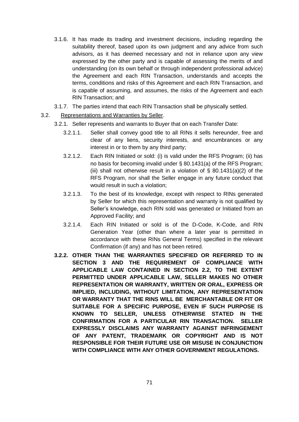- 3.1.6. It has made its trading and investment decisions, including regarding the suitability thereof, based upon its own judgment and any advice from such advisors, as it has deemed necessary and not in reliance upon any view expressed by the other party and is capable of assessing the merits of and understanding (on its own behalf or through independent professional advice) the Agreement and each RIN Transaction, understands and accepts the terms, conditions and risks of this Agreement and each RIN Transaction, and is capable of assuming, and assumes, the risks of the Agreement and each RIN Transaction; and
- 3.1.7. The parties intend that each RIN Transaction shall be physically settled.
- 3.2. Representations and Warranties by Seller.
	- 3.2.1. Seller represents and warrants to Buyer that on each Transfer Date:
		- 3.2.1.1. Seller shall convey good title to all RINs it sells hereunder, free and clear of any liens, security interests, and encumbrances or any interest in or to them by any third party;
		- 3.2.1.2. Each RIN Initiated or sold: (i) is valid under the RFS Program; (ii) has no basis for becoming invalid under § 80.1431(a) of the RFS Program; (iii) shall not otherwise result in a violation of  $\S$  80.1431(a)(2) of the RFS Program, nor shall the Seller engage in any future conduct that would result in such a violation;
		- 3.2.1.3. To the best of its knowledge, except with respect to RINs generated by Seller for which this representation and warranty is not qualified by Seller's knowledge, each RIN sold was generated or Initiated from an Approved Facility; and
		- 3.2.1.4. Each RIN Initiated or sold is of the D-Code, K-Code, and RIN Generation Year (other than where a later year is permitted in accordance with these RINs General Terms) specified in the relevant Confirmation (if any) and has not been retired.
	- **3.2.2. OTHER THAN THE WARRANTIES SPECIFIED OR REFERRED TO IN SECTION 3 AND THE REQUIREMENT OF COMPLIANCE WITH APPLICABLE LAW CONTAINED IN SECTION 2.2, TO THE EXTENT PERMITTED UNDER APPLICABLE LAW, SELLER MAKES NO OTHER REPRESENTATION OR WARRANTY, WRITTEN OR ORAL, EXPRESS OR IMPLIED, INCLUDING, WITHOUT LIMITATION, ANY REPRESENTATION OR WARRANTY THAT THE RINS WILL BE MERCHANTABLE OR FIT OR SUITABLE FOR A SPECIFIC PURPOSE, EVEN IF SUCH PURPOSE IS KNOWN TO SELLER, UNLESS OTHERWISE STATED IN THE CONFIRMATION FOR A PARTICULAR RIN TRANSACTION. SELLER EXPRESSLY DISCLAIMS ANY WARRANTY AGAINST INFRINGEMENT OF ANY PATENT, TRADEMARK OR COPYRIGHT AND IS NOT RESPONSIBLE FOR THEIR FUTURE USE OR MISUSE IN CONJUNCTION WITH COMPLIANCE WITH ANY OTHER GOVERNMENT REGULATIONS.**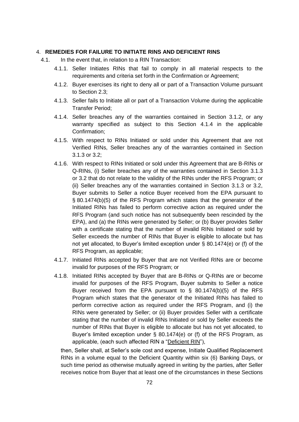#### 4. **REMEDIES FOR FAILURE TO INITIATE RINS AND DEFICIENT RINS**

- 4.1. In the event that, in relation to a RIN Transaction:
	- 4.1.1. Seller Initiates RINs that fail to comply in all material respects to the requirements and criteria set forth in the Confirmation or Agreement;
	- 4.1.2. Buyer exercises its right to deny all or part of a Transaction Volume pursuant to Section 2.3;
	- 4.1.3. Seller fails to Initiate all or part of a Transaction Volume during the applicable Transfer Period;
	- 4.1.4. Seller breaches any of the warranties contained in Section 3.1.2, or any warranty specified as subject to this Section 4.1.4 in the applicable Confirmation;
	- 4.1.5. With respect to RINs Initiated or sold under this Agreement that are not Verified RINs, Seller breaches any of the warranties contained in Section 3.1.3 or 3.2;
	- 4.1.6. With respect to RINs Initiated or sold under this Agreement that are B-RINs or Q-RINs, (i) Seller breaches any of the warranties contained in Section 3.1.3 or 3.2 that do not relate to the validity of the RINs under the RFS Program; or (ii) Seller breaches any of the warranties contained in Section 3.1.3 or 3.2, Buyer submits to Seller a notice Buyer received from the EPA pursuant to § 80.1474(b)(5) of the RFS Program which states that the generator of the Initiated RINs has failed to perform corrective action as required under the RFS Program (and such notice has not subsequently been rescinded by the EPA), and (a) the RINs were generated by Seller; or (b) Buyer provides Seller with a certificate stating that the number of invalid RINs Initiated or sold by Seller exceeds the number of RINs that Buyer is eligible to allocate but has not yet allocated, to Buyer's limited exception under § 80.1474(e) or (f) of the RFS Program, as applicable;
	- 4.1.7. Initiated RINs accepted by Buyer that are not Verified RINs are or become invalid for purposes of the RFS Program; or
	- 4.1.8. Initiated RINs accepted by Buyer that are B-RINs or Q-RINs are or become invalid for purposes of the RFS Program, Buyer submits to Seller a notice Buyer received from the EPA pursuant to  $\S$  80.1474(b)(5) of the RFS Program which states that the generator of the Initiated RINs has failed to perform corrective action as required under the RFS Program, and (i) the RINs were generated by Seller; or (ii) Buyer provides Seller with a certificate stating that the number of invalid RINs Initiated or sold by Seller exceeds the number of RINs that Buyer is eligible to allocate but has not yet allocated, to Buyer's limited exception under § 80.1474(e) or (f) of the RFS Program, as applicable, (each such affected RIN a "Deficient RIN"),

then, Seller shall, at Seller's sole cost and expense, Initiate Qualified Replacement RINs in a volume equal to the Deficient Quantity within six (6) Banking Days, or such time period as otherwise mutually agreed in writing by the parties, after Seller receives notice from Buyer that at least one of the circumstances in these Sections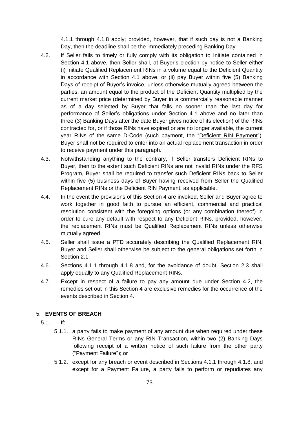4.1.1 through 4.1.8 apply; provided, however, that if such day is not a Banking Day, then the deadline shall be the immediately preceding Banking Day.

- 4.2. If Seller fails to timely or fully comply with its obligation to Initiate contained in Section 4.1 above, then Seller shall, at Buyer's election by notice to Seller either (i) Initiate Qualified Replacement RINs in a volume equal to the Deficient Quantity in accordance with Section 4.1 above, or (ii) pay Buyer within five (5) Banking Days of receipt of Buyer's invoice, unless otherwise mutually agreed between the parties, an amount equal to the product of the Deficient Quantity multiplied by the current market price (determined by Buyer in a commercially reasonable manner as of a day selected by Buyer that falls no sooner than the last day for performance of Seller's obligations under Section 4.1 above and no later than three (3) Banking Days after the date Buyer gives notice of its election) of the RINs contracted for, or if those RINs have expired or are no longer available, the current year RINs of the same D-Code (such payment, the "Deficient RIN Payment"). Buyer shall not be required to enter into an actual replacement transaction in order to receive payment under this paragraph.
- 4.3. Notwithstanding anything to the contrary, if Seller transfers Deficient RINs to Buyer, then to the extent such Deficient RINs are not invalid RINs under the RFS Program, Buyer shall be required to transfer such Deficient RINs back to Seller within five (5) business days of Buyer having received from Seller the Qualified Replacement RINs or the Deficient RIN Payment, as applicable.
- 4.4. In the event the provisions of this Section 4 are invoked, Seller and Buyer agree to work together in good faith to pursue an efficient, commercial and practical resolution consistent with the foregoing options (or any combination thereof) in order to cure any default with respect to any Deficient RINs, provided, however, the replacement RINs must be Qualified Replacement RINs unless otherwise mutually agreed.
- 4.5. Seller shall issue a PTD accurately describing the Qualified Replacement RIN. Buyer and Seller shall otherwise be subject to the general obligations set forth in Section 2.1.
- 4.6. Sections 4.1.1 through 4.1.8 and, for the avoidance of doubt, Section 2.3 shall apply equally to any Qualified Replacement RINs.
- 4.7. Except in respect of a failure to pay any amount due under Section 4.2, the remedies set out in this Section 4 are exclusive remedies for the occurrence of the events described in Section 4.

## 5. **EVENTS OF BREACH**

- 5.1. If:
	- 5.1.1. a party fails to make payment of any amount due when required under these RINs General Terms or any RIN Transaction, within two (2) Banking Days following receipt of a written notice of such failure from the other party ("Payment Failure"); or
	- 5.1.2. except for any breach or event described in Sections 4.1.1 through 4.1.8, and except for a Payment Failure, a party fails to perform or repudiates any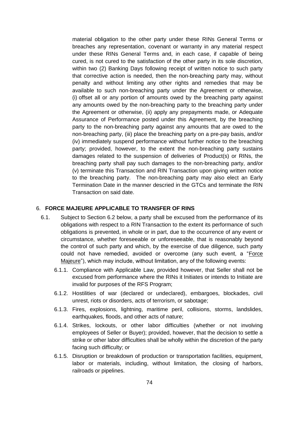material obligation to the other party under these RINs General Terms or breaches any representation, covenant or warranty in any material respect under these RINs General Terms and, in each case, if capable of being cured, is not cured to the satisfaction of the other party in its sole discretion, within two (2) Banking Days following receipt of written notice to such party that corrective action is needed, then the non-breaching party may, without penalty and without limiting any other rights and remedies that may be available to such non-breaching party under the Agreement or otherwise, (i) offset all or any portion of amounts owed by the breaching party against any amounts owed by the non-breaching party to the breaching party under the Agreement or otherwise, (ii) apply any prepayments made, or Adequate Assurance of Performance posted under this Agreement, by the breaching party to the non-breaching party against any amounts that are owed to the non-breaching party, (iii) place the breaching party on a pre-pay basis, and/or (iv) immediately suspend performance without further notice to the breaching party; provided, however, to the extent the non-breaching party sustains damages related to the suspension of deliveries of Product(s) or RINs, the breaching party shall pay such damages to the non-breaching party, and/or (v) terminate this Transaction and RIN Transaction upon giving written notice to the breaching party. The non-breaching party may also elect an Early Termination Date in the manner descried in the GTCs and terminate the RIN Transaction on said date.

#### 6. **FORCE MAJEURE APPLICABLE TO TRANSFER OF RINS**

- 6.1. Subject to Section 6.2 below, a party shall be excused from the performance of its obligations with respect to a RIN Transaction to the extent its performance of such obligations is prevented, in whole or in part, due to the occurrence of any event or circumstance, whether foreseeable or unforeseeable, that is reasonably beyond the control of such party and which, by the exercise of due diligence, such party could not have remedied, avoided or overcome (any such event, a "Force Majeure"), which may include, without limitation, any of the following events:
	- 6.1.1. Compliance with Applicable Law, provided however, that Seller shall not be excused from performance where the RINs it Initiates or intends to Initiate are invalid for purposes of the RFS Program;
	- 6.1.2. Hostilities of war (declared or undeclared), embargoes, blockades, civil unrest, riots or disorders, acts of terrorism, or sabotage;
	- 6.1.3. Fires, explosions, lightning, maritime peril, collisions, storms, landslides, earthquakes, floods, and other acts of nature;
	- 6.1.4. Strikes, lockouts, or other labor difficulties (whether or not involving employees of Seller or Buyer); provided, however, that the decision to settle a strike or other labor difficulties shall be wholly within the discretion of the party facing such difficulty; or
	- 6.1.5. Disruption or breakdown of production or transportation facilities, equipment, labor or materials, including, without limitation, the closing of harbors, railroads or pipelines.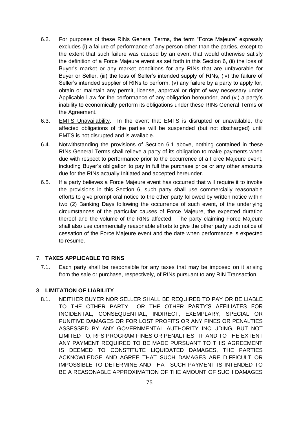- 6.2. For purposes of these RINs General Terms, the term "Force Majeure" expressly excludes (i) a failure of performance of any person other than the parties, except to the extent that such failure was caused by an event that would otherwise satisfy the definition of a Force Majeure event as set forth in this Section 6, (ii) the loss of Buyer's market or any market conditions for any RINs that are unfavorable for Buyer or Seller, (iii) the loss of Seller's intended supply of RINs, (iv) the failure of Seller's intended supplier of RINs to perform, (v) any failure by a party to apply for, obtain or maintain any permit, license, approval or right of way necessary under Applicable Law for the performance of any obligation hereunder, and (vi) a party's inability to economically perform its obligations under these RINs General Terms or the Agreement.
- 6.3. EMTS Unavailability. In the event that EMTS is disrupted or unavailable, the affected obligations of the parties will be suspended (but not discharged) until EMTS is not disrupted and is available.
- 6.4. Notwithstanding the provisions of Section 6.1 above, nothing contained in these RINs General Terms shall relieve a party of its obligation to make payments when due with respect to performance prior to the occurrence of a Force Majeure event, including Buyer's obligation to pay in full the purchase price or any other amounts due for the RINs actually Initiated and accepted hereunder.
- 6.5. If a party believes a Force Majeure event has occurred that will require it to invoke the provisions in this Section 6, such party shall use commercially reasonable efforts to give prompt oral notice to the other party followed by written notice within two (2) Banking Days following the occurrence of such event, of the underlying circumstances of the particular causes of Force Majeure, the expected duration thereof and the volume of the RINs affected. The party claiming Force Majeure shall also use commercially reasonable efforts to give the other party such notice of cessation of the Force Majeure event and the date when performance is expected to resume.

## 7. **TAXES APPLICABLE TO RINS**

7.1. Each party shall be responsible for any taxes that may be imposed on it arising from the sale or purchase, respectively, of RINs pursuant to any RIN Transaction.

#### 8. **LIMITATION OF LIABILITY**

8.1. NEITHER BUYER NOR SELLER SHALL BE REQUIRED TO PAY OR BE LIABLE TO THE OTHER PARTY OR THE OTHER PARTY'S AFFILIATES FOR INCIDENTAL, CONSEQUENTIAL, INDIRECT, EXEMPLARY, SPECIAL OR PUNITIVE DAMAGES OR FOR LOST PROFITS OR ANY FINES OR PENALTIES ASSESSED BY ANY GOVERNMENTAL AUTHORITY INCLUDING, BUT NOT LIMITED TO, RFS PROGRAM FINES OR PENALTIES. IF AND TO THE EXTENT ANY PAYMENT REQUIRED TO BE MADE PURSUANT TO THIS AGREEMENT IS DEEMED TO CONSTITUTE LIQUIDATED DAMAGES, THE PARTIES ACKNOWLEDGE AND AGREE THAT SUCH DAMAGES ARE DIFFICULT OR IMPOSSIBLE TO DETERMINE AND THAT SUCH PAYMENT IS INTENDED TO BE A REASONABLE APPROXIMATION OF THE AMOUNT OF SUCH DAMAGES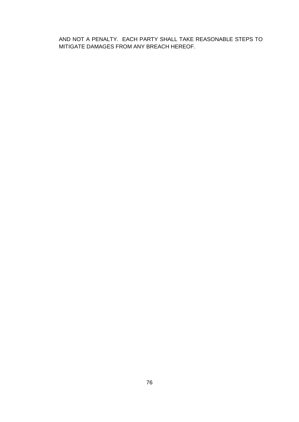AND NOT A PENALTY. EACH PARTY SHALL TAKE REASONABLE STEPS TO MITIGATE DAMAGES FROM ANY BREACH HEREOF.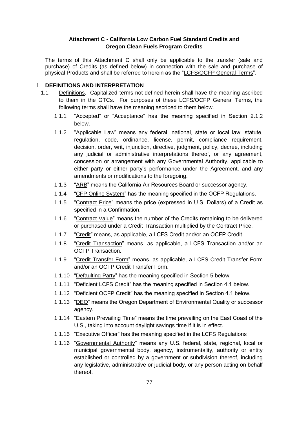## **Attachment C - California Low Carbon Fuel Standard Credits and Oregon Clean Fuels Program Credits**

The terms of this Attachment C shall only be applicable to the transfer (sale and purchase) of Credits (as defined below) in connection with the sale and purchase of physical Products and shall be referred to herein as the "LCFS/OCFP General Terms".

#### 1. **DEFINITIONS AND INTERPRETATION**

- 1.1 Definitions. Capitalized terms not defined herein shall have the meaning ascribed to them in the GTCs. For purposes of these LCFS/OCFP General Terms, the following terms shall have the meaning ascribed to them below.
	- 1.1.1 "Accepted" or "Acceptance" has the meaning specified in Section 2.1.2 below.
	- 1.1.2 "Applicable Law" means any federal, national, state or local law, statute, regulation, code, ordinance, license, permit, compliance requirement, decision, order, writ, injunction, directive, judgment, policy, decree, including any judicial or administrative interpretations thereof, or any agreement, concession or arrangement with any Governmental Authority, applicable to either party or either party's performance under the Agreement, and any amendments or modifications to the foregoing.
	- 1.1.3 "ARB" means the California Air Resources Board or successor agency.
	- 1.1.4 "CFP Online System" has the meaning specified in the OCFP Regulations.
	- 1.1.5 "Contract Price" means the price (expressed in U.S. Dollars) of a Credit as specified in a Confirmation.
	- 1.1.6 "Contract Value" means the number of the Credits remaining to be delivered or purchased under a Credit Transaction multiplied by the Contract Price.
	- 1.1.7 "Credit" means, as applicable, a LCFS Credit and/or an OCFP Credit.
	- 1.1.8 "Credit Transaction" means, as applicable, a LCFS Transaction and/or an OCFP Transaction.
	- 1.1.9 "Credit Transfer Form" means, as applicable, a LCFS Credit Transfer Form and/or an OCFP Credit Transfer Form.
	- 1.1.10 "Defaulting Party" has the meaning specified in Section 5 below.
	- 1.1.11 "Deficient LCFS Credit" has the meaning specified in Section 4.1 below.
	- 1.1.12 "Deficient OCFP Credit" has the meaning specified in Section 4.1 below.
	- 1.1.13 "DEQ" means the Oregon Department of Environmental Quality or successor agency.
	- 1.1.14 "Eastern Prevailing Time" means the time prevailing on the East Coast of the U.S., taking into account daylight savings time if it is in effect.
	- 1.1.15 "Executive Officer" has the meaning specified in the LCFS Regulations
	- 1.1.16 "Governmental Authority" means any U.S. federal, state, regional, local or municipal governmental body, agency, instrumentality, authority or entity established or controlled by a government or subdivision thereof, including any legislative, administrative or judicial body, or any person acting on behalf thereof.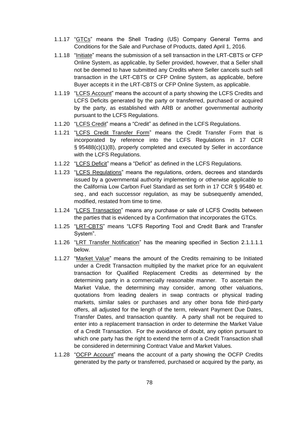- 1.1.17 "GTCs" means the Shell Trading (US) Company General Terms and Conditions for the Sale and Purchase of Products, dated April 1, 2016.
- 1.1.18 "Initiate" means the submission of a sell transaction in the LRT-CBTS or CFP Online System, as applicable, by Seller provided, however, that a Seller shall not be deemed to have submitted any Credits where Seller cancels such sell transaction in the LRT-CBTS or CFP Online System, as applicable, before Buyer accepts it in the LRT-CBTS or CFP Online System, as applicable.
- 1.1.19 "LCFS Account" means the account of a party showing the LCFS Credits and LCFS Deficits generated by the party or transferred, purchased or acquired by the party, as established with ARB or another governmental authority pursuant to the LCFS Regulations.
- 1.1.20 "LCFS Credit" means a "Credit" as defined in the LCFS Regulations.
- 1.1.21 "LCFS Credit Transfer Form" means the Credit Transfer Form that is incorporated by reference into the LCFS Regulations in 17 CCR § 95488(c)(1)(B), properly completed and executed by Seller in accordance with the LCFS Regulations.
- 1.1.22 "LCFS Deficit" means a "Deficit" as defined in the LCFS Regulations.
- 1.1.23 "LCFS Regulations" means the regulations, orders, decrees and standards issued by a governmental authority implementing or otherwise applicable to the California Low Carbon Fuel Standard as set forth in 17 CCR § 95480 *et. seq.*, and each successor regulation, as may be subsequently amended, modified, restated from time to time.
- 1.1.24 "LCFS Transaction" means any purchase or sale of LCFS Credits between the parties that is evidenced by a Confirmation that incorporates the GTCs.
- 1.1.25 "LRT-CBTS" means "LCFS Reporting Tool and Credit Bank and Transfer System".
- 1.1.26 "LRT Transfer Notification" has the meaning specified in Section 2.1.1.1.1 below.
- 1.1.27 "Market Value" means the amount of the Credits remaining to be Initiated under a Credit Transaction multiplied by the market price for an equivalent transaction for Qualified Replacement Credits as determined by the determining party in a commercially reasonable manner. To ascertain the Market Value, the determining may consider, among other valuations, quotations from leading dealers in swap contracts or physical trading markets, similar sales or purchases and any other bona fide third-party offers, all adjusted for the length of the term, relevant Payment Due Dates, Transfer Dates, and transaction quantity. A party shall not be required to enter into a replacement transaction in order to determine the Market Value of a Credit Transaction. For the avoidance of doubt, any option pursuant to which one party has the right to extend the term of a Credit Transaction shall be considered in determining Contract Value and Market Values.
- 1.1.28 "OCFP Account" means the account of a party showing the OCFP Credits generated by the party or transferred, purchased or acquired by the party, as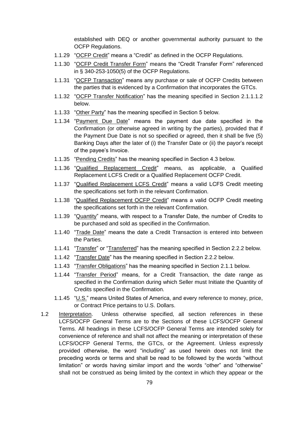established with DEQ or another governmental authority pursuant to the OCFP Regulations.

- 1.1.29 "OCFP Credit" means a "Credit" as defined in the OCFP Regulations.
- 1.1.30 "OCFP Credit Transfer Form" means the "Credit Transfer Form" referenced in § 340-253-1050(5) of the OCFP Regulations.
- 1.1.31 "OCFP Transaction" means any purchase or sale of OCFP Credits between the parties that is evidenced by a Confirmation that incorporates the GTCs.
- 1.1.32 "OCFP Transfer Notification" has the meaning specified in Section 2.1.1.1.2 below.
- 1.1.33 "Other Party" has the meaning specified in Section 5 below.
- 1.1.34 "Payment Due Date" means the payment due date specified in the Confirmation (or otherwise agreed in writing by the parties), provided that if the Payment Due Date is not so specified or agreed, then it shall be five (5) Banking Days after the later of (i) the Transfer Date or (ii) the payor's receipt of the payee's Invoice.
- 1.1.35 "Pending Credits" has the meaning specified in Section 4.3 below.
- 1.1.36 "Qualified Replacement Credit" means, as applicable, a Qualified Replacement LCFS Credit or a Qualified Replacement OCFP Credit.
- 1.1.37 "Qualified Replacement LCFS Credit" means a valid LCFS Credit meeting the specifications set forth in the relevant Confirmation.
- 1.1.38 "Qualified Replacement OCFP Credit" means a valid OCFP Credit meeting the specifications set forth in the relevant Confirmation.
- 1.1.39 "Quantity" means, with respect to a Transfer Date, the number of Credits to be purchased and sold as specified in the Confirmation.
- 1.1.40 "Trade Date" means the date a Credit Transaction is entered into between the Parties.
- 1.1.41 "Transfer" or "Transferred" has the meaning specified in Section 2.2.2 below.
- 1.1.42 "Transfer Date" has the meaning specified in Section 2.2.2 below.
- 1.1.43 "Transfer Obligations" has the meaning specified in Section 2.1.1 below.
- 1.1.44 "Transfer Period" means, for a Credit Transaction, the date range as specified in the Confirmation during which Seller must Initiate the Quantity of Credits specified in the Confirmation.
- 1.1.45 "U.S." means United States of America, and every reference to money, price, or Contract Price pertains to U.S. Dollars.
- 1.2 Interpretation. Unless otherwise specified, all section references in these LCFS/OCFP General Terms are to the Sections of these LCFS/OCFP General Terms. All headings in these LCFS/OCFP General Terms are intended solely for convenience of reference and shall not affect the meaning or interpretation of these LCFS/OCFP General Terms, the GTCs, or the Agreement. Unless expressly provided otherwise, the word "including" as used herein does not limit the preceding words or terms and shall be read to be followed by the words "without limitation" or words having similar import and the words "other" and "otherwise" shall not be construed as being limited by the context in which they appear or the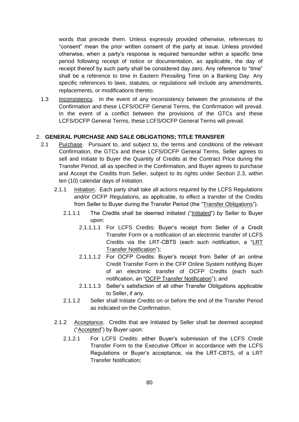words that precede them. Unless expressly provided otherwise, references to "consent" mean the prior written consent of the party at issue. Unless provided otherwise, when a party's response is required hereunder within a specific time period following receipt of notice or documentation, as applicable, the day of receipt thereof by such party shall be considered day zero. Any reference to "time" shall be a reference to time in Eastern Prevailing Time on a Banking Day. Any specific references to laws, statutes, or regulations will include any amendments, replacements, or modifications thereto.

1.3 Inconsistency. In the event of any inconsistency between the provisions of the Confirmation and these LCFS/OCFP General Terms, the Confirmation will prevail. In the event of a conflict between the provisions of the GTCs and these LCFS/OCFP General Terms, these LCFS/OCFP General Terms will prevail.

## 2. **GENERAL PURCHASE AND SALE OBLIGATIONS; TITLE TRANSFER**

- 2.1 Purchase. Pursuant to, and subject to, the terms and conditions of the relevant Confirmation, the GTCs and these LCFS/OCFP General Terms, Seller agrees to sell and Initiate to Buyer the Quantity of Credits at the Contract Price during the Transfer Period, all as specified in the Confirmation, and Buyer agrees to purchase and Accept the Credits from Seller, subject to its rights under Section 2.3, within ten (10) calendar days of Initiation.
	- 2.1.1 Initiation. Each party shall take all actions required by the LCFS Regulations and/or OCFP Regulations, as applicable, to effect a transfer of the Credits from Seller to Buyer during the Transfer Period (the "Transfer Obligations").
		- 2.1.1.1 The Credits shall be deemed initiated ("Initiated") by Seller to Buyer upon:
			- 2.1.1.1.1 For LCFS Credits: Buyer's receipt from Seller of a Credit Transfer Form or a notification of an electronic transfer of LCFS Credits via the LRT-CBTS (each such notification, a "LRT Transfer Notification");
			- 2.1.1.1.2 For OCFP Credits: Buyer's receipt from Seller of an online Credit Transfer Form in the CFP Online System notifying Buyer of an electronic transfer of OCFP Credits (each such notification, an "OCFP Transfer Notification"); and
			- 2.1.1.1.3 Seller's satisfaction of all other Transfer Obligations applicable to Seller, if any.
		- 2.1.1.2 Seller shall Initiate Credits on or before the end of the Transfer Period as indicated on the Confirmation.
	- 2.1.2 Acceptance. Credits that are Initiated by Seller shall be deemed accepted ("Accepted") by Buyer upon:
		- 2.1.2.1 For LCFS Credits: either Buyer's submission of the LCFS Credit Transfer Form to the Executive Officer in accordance with the LCFS Regulations or Buyer's acceptance, via the LRT-CBTS, of a LRT Transfer Notification;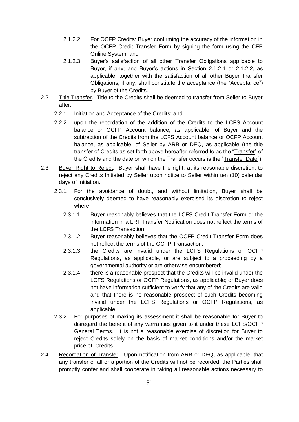- 2.1.2.2 For OCFP Credits: Buyer confirming the accuracy of the information in the OCFP Credit Transfer Form by signing the form using the CFP Online System; and
- 2.1.2.3 Buyer's satisfaction of all other Transfer Obligations applicable to Buyer, if any; and Buyer's actions in Section 2.1.2.1 or 2.1.2.2, as applicable, together with the satisfaction of all other Buyer Transfer Obligations, if any, shall constitute the acceptance (the "Acceptance") by Buyer of the Credits.
- 2.2 Title Transfer. Title to the Credits shall be deemed to transfer from Seller to Buyer after:
	- 2.2.1 Initiation and Acceptance of the Credits; and
	- 2.2.2 upon the recordation of the addition of the Credits to the LCFS Account balance or OCFP Account balance, as applicable, of Buyer and the subtraction of the Credits from the LCFS Account balance or OCFP Account balance, as applicable, of Seller by ARB or DEQ, as applicable (the title transfer of Credits as set forth above hereafter referred to as the "Transfer" of the Credits and the date on which the Transfer occurs is the "Transfer Date").
- 2.3 Buyer Right to Reject. Buyer shall have the right, at its reasonable discretion, to reject any Credits Initiated by Seller upon notice to Seller within ten (10) calendar days of Initiation.
	- 2.3.1 For the avoidance of doubt, and without limitation, Buyer shall be conclusively deemed to have reasonably exercised its discretion to reject where:
		- 2.3.1.1 Buyer reasonably believes that the LCFS Credit Transfer Form or the information in a LRT Transfer Notification does not reflect the terms of the LCFS Transaction;
		- 2.3.1.2 Buyer reasonably believes that the OCFP Credit Transfer Form does not reflect the terms of the OCFP Transaction;
		- 2.3.1.3 the Credits are invalid under the LCFS Regulations or OCFP Regulations, as applicable, or are subject to a proceeding by a governmental authority or are otherwise encumbered;
		- 2.3.1.4 there is a reasonable prospect that the Credits will be invalid under the LCFS Regulations or OCFP Regulations, as applicable; or Buyer does not have information sufficient to verify that any of the Credits are valid and that there is no reasonable prospect of such Credits becoming invalid under the LCFS Regulations or OCFP Regulations, as applicable.
	- 2.3.2 For purposes of making its assessment it shall be reasonable for Buyer to disregard the benefit of any warranties given to it under these LCFS/OCFP General Terms. It is not a reasonable exercise of discretion for Buyer to reject Credits solely on the basis of market conditions and/or the market price of, Credits.
- 2.4 Recordation of Transfer. Upon notification from ARB or DEQ, as applicable, that any transfer of all or a portion of the Credits will not be recorded, the Parties shall promptly confer and shall cooperate in taking all reasonable actions necessary to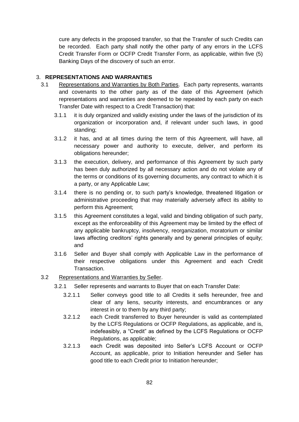cure any defects in the proposed transfer, so that the Transfer of such Credits can be recorded. Each party shall notify the other party of any errors in the LCFS Credit Transfer Form or OCFP Credit Transfer Form, as applicable, within five (5) Banking Days of the discovery of such an error.

#### 3. **REPRESENTATIONS AND WARRANTIES**

- 3.1 Representations and Warranties by Both Parties. Each party represents, warrants and covenants to the other party as of the date of this Agreement (which representations and warranties are deemed to be repeated by each party on each Transfer Date with respect to a Credit Transaction) that:
	- 3.1.1 it is duly organized and validly existing under the laws of the jurisdiction of its organization or incorporation and, if relevant under such laws, in good standing;
	- 3.1.2 it has, and at all times during the term of this Agreement, will have, all necessary power and authority to execute, deliver, and perform its obligations hereunder;
	- 3.1.3 the execution, delivery, and performance of this Agreement by such party has been duly authorized by all necessary action and do not violate any of the terms or conditions of its governing documents, any contract to which it is a party, or any Applicable Law;
	- 3.1.4 there is no pending or, to such party's knowledge, threatened litigation or administrative proceeding that may materially adversely affect its ability to perform this Agreement;
	- 3.1.5 this Agreement constitutes a legal, valid and binding obligation of such party, except as the enforceability of this Agreement may be limited by the effect of any applicable bankruptcy, insolvency, reorganization, moratorium or similar laws affecting creditors' rights generally and by general principles of equity; and
	- 3.1.6 Seller and Buyer shall comply with Applicable Law in the performance of their respective obligations under this Agreement and each Credit Transaction.
- 3.2 Representations and Warranties by Seller.
	- 3.2.1 Seller represents and warrants to Buyer that on each Transfer Date:
		- 3.2.1.1 Seller conveys good title to all Credits it sells hereunder, free and clear of any liens, security interests, and encumbrances or any interest in or to them by any third party;
		- 3.2.1.2 each Credit transferred to Buyer hereunder is valid as contemplated by the LCFS Regulations or OCFP Regulations, as applicable, and is, indefeasibly, a "Credit" as defined by the LCFS Regulations or OCFP Regulations, as applicable;
		- 3.2.1.3 each Credit was deposited into Seller's LCFS Account or OCFP Account, as applicable, prior to Initiation hereunder and Seller has good title to each Credit prior to Initiation hereunder;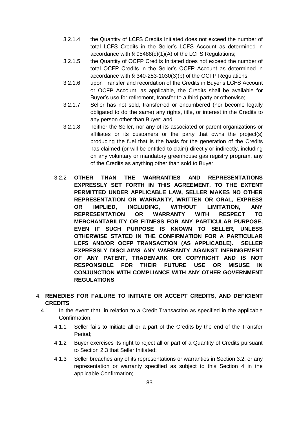- 3.2.1.4 the Quantity of LCFS Credits Initiated does not exceed the number of total LCFS Credits in the Seller's LCFS Account as determined in accordance with § 95488(c)(1)(A) of the LCFS Regulations;
- 3.2.1.5 the Quantity of OCFP Credits Initiated does not exceed the number of total OCFP Credits in the Seller's OCFP Account as determined in accordance with § 340-253-1030(3)(b) of the OCFP Regulations;
- 3.2.1.6 upon Transfer and recordation of the Credits in Buyer's LCFS Account or OCFP Account, as applicable, the Credits shall be available for Buyer's use for retirement, transfer to a third party or otherwise;
- 3.2.1.7 Seller has not sold, transferred or encumbered (nor become legally obligated to do the same) any rights, title, or interest in the Credits to any person other than Buyer; and
- 3.2.1.8 neither the Seller, nor any of its associated or parent organizations or affiliates or its customers or the party that owns the project(s) producing the fuel that is the basis for the generation of the Credits has claimed (or will be entitled to claim) directly or indirectly, including on any voluntary or mandatory greenhouse gas registry program, any of the Credits as anything other than sold to Buyer.
- 3.2.2 **OTHER THAN THE WARRANTIES AND REPRESENTATIONS EXPRESSLY SET FORTH IN THIS AGREEMENT, TO THE EXTENT PERMITTED UNDER APPLICABLE LAW, SELLER MAKES NO OTHER REPRESENTATION OR WARRANTY, WRITTEN OR ORAL, EXPRESS OR IMPLIED, INCLUDING, WITHOUT LIMITATION, ANY REPRESENTATION OR WARRANTY WITH RESPECT TO MERCHANTABILITY OR FITNESS FOR ANY PARTICULAR PURPOSE, EVEN IF SUCH PURPOSE IS KNOWN TO SELLER, UNLESS OTHERWISE STATED IN THE CONFIRMATION FOR A PARTICULAR LCFS AND/OR OCFP TRANSACTION (AS APPLICABLE). SELLER EXPRESSLY DISCLAIMS ANY WARRANTY AGAINST INFRINGEMENT OF ANY PATENT, TRADEMARK OR COPYRIGHT AND IS NOT RESPONSIBLE FOR THEIR FUTURE USE OR MISUSE IN CONJUNCTION WITH COMPLIANCE WITH ANY OTHER GOVERNMENT REGULATIONS**
- 4. **REMEDIES FOR FAILURE TO INITIATE OR ACCEPT CREDITS, AND DEFICIENT CREDITS**
	- 4.1 In the event that, in relation to a Credit Transaction as specified in the applicable Confirmation:
		- 4.1.1 Seller fails to Initiate all or a part of the Credits by the end of the Transfer Period;
		- 4.1.2 Buyer exercises its right to reject all or part of a Quantity of Credits pursuant to Section 2.3 that Seller Initiated;
		- 4.1.3 Seller breaches any of its representations or warranties in Section 3.2, or any representation or warranty specified as subject to this Section 4 in the applicable Confirmation;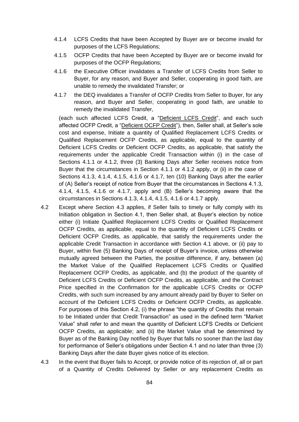- 4.1.4 LCFS Credits that have been Accepted by Buyer are or become invalid for purposes of the LCFS Regulations;
- 4.1.5 OCFP Credits that have been Accepted by Buyer are or become invalid for purposes of the OCFP Regulations;
- 4.1.6 the Executive Officer invalidates a Transfer of LCFS Credits from Seller to Buyer, for any reason, and Buyer and Seller, cooperating in good faith, are unable to remedy the invalidated Transfer; or
- 4.1.7 the DEQ invalidates a Transfer of OCFP Credits from Seller to Buyer, for any reason, and Buyer and Seller, cooperating in good faith, are unable to remedy the invalidated Transfer,

 (each such affected LCFS Credit, a "Deficient LCFS Credit", and each such affected OCFP Credit, a "Deficient OCFP Credit"), then, Seller shall, at Seller's sole cost and expense, Initiate a quantity of Qualified Replacement LCFS Credits or Qualified Replacement OCFP Credits, as applicable, equal to the quantity of Deficient LCFS Credits or Deficient OCFP Credits, as applicable, that satisfy the requirements under the applicable Credit Transaction within (i) in the case of Sections 4.1.1 or 4.1.2, three (3) Banking Days after Seller receives notice from Buyer that the circumstances in Section 4.1.1 or 4.1.2 apply, or (ii) in the case of Sections 4.1.3, 4.1.4, 4.1.5, 4.1.6 or 4.1.7, ten (10) Banking Days after the earlier of (A) Seller's receipt of notice from Buyer that the circumstances in Sections 4.1.3, 4.1.4, 4.1.5, 4.1.6 or 4.1.7, apply and (B) Seller's becoming aware that the circumstances in Sections 4.1.3, 4.1.4, 4.1.5, 4.1.6 or 4.1.7 apply.

- 4.2 Except where Section 4.3 applies, if Seller fails to timely or fully comply with its Initiation obligation in Section 4.1, then Seller shall, at Buyer's election by notice either (i) Initiate Qualified Replacement LCFS Credits or Qualified Replacement OCFP Credits, as applicable, equal to the quantity of Deficient LCFS Credits or Deficient OCFP Credits, as applicable, that satisfy the requirements under the applicable Credit Transaction in accordance with Section 4.1 above, or (ii) pay to Buyer, within five (5) Banking Days of receipt of Buyer's invoice, unless otherwise mutually agreed between the Parties, the positive difference, if any, between (a) the Market Value of the Qualified Replacement LCFS Credits or Qualified Replacement OCFP Credits, as applicable, and (b) the product of the quantity of Deficient LCFS Credits or Deficient OCFP Credits, as applicable, and the Contract Price specified in the Confirmation for the applicable LCFS Credits or OCFP Credits, with such sum increased by any amount already paid by Buyer to Seller on account of the Deficient LCFS Credits or Deficient OCFP Credits, as applicable. For purposes of this Section 4.2, (i) the phrase "the quantity of Credits that remain to be Initiated under that Credit Transaction" as used in the defined term "Market Value" shall refer to and mean the quantity of Deficient LCFS Credits or Deficient OCFP Credits, as applicable; and (ii) the Market Value shall be determined by Buyer as of the Banking Day notified by Buyer that falls no sooner than the last day for performance of Seller's obligations under Section 4.1 and no later than three (3) Banking Days after the date Buyer gives notice of its election.
- 4.3 In the event that Buyer fails to Accept, or provide notice of its rejection of, all or part of a Quantity of Credits Delivered by Seller or any replacement Credits as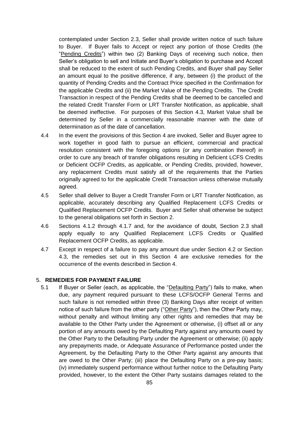contemplated under Section 2.3, Seller shall provide written notice of such failure to Buyer. If Buyer fails to Accept or reject any portion of those Credits (the "Pending Credits") within two (2) Banking Days of receiving such notice, then Seller's obligation to sell and Initiate and Buyer's obligation to purchase and Accept shall be reduced to the extent of such Pending Credits, and Buyer shall pay Seller an amount equal to the positive difference, if any, between (i) the product of the quantity of Pending Credits and the Contract Price specified in the Confirmation for the applicable Credits and (ii) the Market Value of the Pending Credits. The Credit Transaction in respect of the Pending Credits shall be deemed to be cancelled and the related Credit Transfer Form or LRT Transfer Notification, as applicable, shall be deemed ineffective. For purposes of this Section 4.3, Market Value shall be determined by Seller in a commercially reasonable manner with the date of determination as of the date of cancellation.

- 4.4 In the event the provisions of this Section 4 are invoked, Seller and Buyer agree to work together in good faith to pursue an efficient, commercial and practical resolution consistent with the foregoing options (or any combination thereof) in order to cure any breach of transfer obligations resulting in Deficient LCFS Credits or Deficient OCFP Credits, as applicable, or Pending Credits, provided, however, any replacement Credits must satisfy all of the requirements that the Parties originally agreed to for the applicable Credit Transaction unless otherwise mutually agreed.
- 4.5 Seller shall deliver to Buyer a Credit Transfer Form or LRT Transfer Notification, as applicable, accurately describing any Qualified Replacement LCFS Credits or Qualified Replacement OCFP Credits. Buyer and Seller shall otherwise be subject to the general obligations set forth in Section 2.
- 4.6 Sections 4.1.2 through 4.1.7 and, for the avoidance of doubt, Section 2.3 shall apply equally to any Qualified Replacement LCFS Credits or Qualified Replacement OCFP Credits, as applicable.
- 4.7 Except in respect of a failure to pay any amount due under Section 4.2 or Section 4.3, the remedies set out in this Section 4 are exclusive remedies for the occurrence of the events described in Section 4.

#### 5. **REMEDIES FOR PAYMENT FAILURE**

5.1 If Buyer or Seller (each, as applicable, the "Defaulting Party") fails to make, when due, any payment required pursuant to these LCFS/OCFP General Terms and such failure is not remedied within three (3) Banking Days after receipt of written notice of such failure from the other party ("Other Party"), then the Other Party may, without penalty and without limiting any other rights and remedies that may be available to the Other Party under the Agreement or otherwise, (i) offset all or any portion of any amounts owed by the Defaulting Party against any amounts owed by the Other Party to the Defaulting Party under the Agreement or otherwise; (ii) apply any prepayments made, or Adequate Assurance of Performance posted under the Agreement, by the Defaulting Party to the Other Party against any amounts that are owed to the Other Party; (iii) place the Defaulting Party on a pre-pay basis; (iv) immediately suspend performance without further notice to the Defaulting Party provided, however, to the extent the Other Party sustains damages related to the